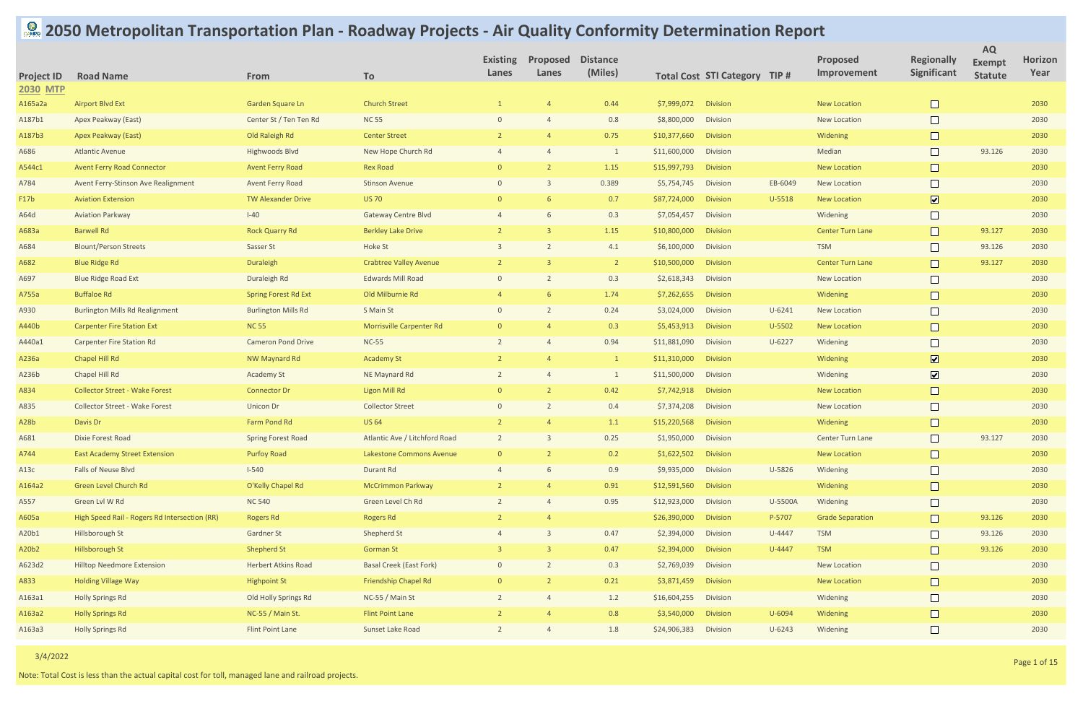## **2050 Metropolitan Transportation Plan - Roadway Projects - Air Quality Conformity Determination Report**

| <b>Project ID</b> | <b>Road Name</b>                              | From                        | To                              | <b>Existing</b><br>Lanes | Proposed<br>Lanes | <b>Distance</b><br>(Miles) |                      | <b>Total Cost STI Category TIP #</b> |            | <b>Proposed</b><br>Improvement | <b>Regionally</b><br>Significant | <b>AQ</b><br><b>Exempt</b><br><b>Statute</b> | <b>Horizon</b><br>Year |
|-------------------|-----------------------------------------------|-----------------------------|---------------------------------|--------------------------|-------------------|----------------------------|----------------------|--------------------------------------|------------|--------------------------------|----------------------------------|----------------------------------------------|------------------------|
| <b>2030 MTP</b>   |                                               |                             |                                 |                          |                   |                            |                      |                                      |            |                                |                                  |                                              |                        |
| A165a2a           | <b>Airport Blvd Ext</b>                       | Garden Square Ln            | <b>Church Street</b>            |                          |                   | 0.44                       | \$7,999,072          | <b>Division</b>                      |            | <b>New Location</b>            | $\Box$                           |                                              | 2030                   |
| A187b1            | Apex Peakway (East)                           | Center St / Ten Ten Rd      | <b>NC 55</b>                    | $\Omega$                 |                   | 0.8                        | \$8,800,000          | Division                             |            | <b>New Location</b>            | $\Box$                           |                                              | 2030                   |
| A187b3            | Apex Peakway (East)                           | Old Raleigh Rd              | <b>Center Street</b>            |                          |                   | 0.75                       | \$10,377,660         | <b>Division</b>                      |            | Widening                       |                                  |                                              | 2030                   |
| A686              | <b>Atlantic Avenue</b>                        | Highwoods Blvd              | New Hope Church Rd              |                          |                   | $\overline{1}$             | \$11,600,000         | <b>Division</b>                      |            | Median                         | $\Box$                           | 93.126                                       | 2030                   |
| A544c1            | <b>Avent Ferry Road Connector</b>             | <b>Avent Ferry Road</b>     | <b>Rex Road</b>                 |                          |                   | 1.15                       | \$15,997,793         | <b>Division</b>                      |            | <b>New Location</b>            |                                  |                                              | 2030                   |
| A784              | Avent Ferry-Stinson Ave Realignment           | <b>Avent Ferry Road</b>     | <b>Stinson Avenue</b>           |                          |                   | 0.389                      | \$5,754,745          | Division                             | EB-6049    | <b>New Location</b>            | $\Box$                           |                                              | 2030                   |
| F17b              | <b>Aviation Extension</b>                     | <b>TW Alexander Drive</b>   | <b>US 70</b>                    |                          |                   | 0.7                        | \$87,724,000         | <b>Division</b>                      | U-5518     | <b>New Location</b>            | $\overline{\mathbf{v}}$          |                                              | 2030                   |
| A64d              | <b>Aviation Parkway</b>                       | $I-40$                      | <b>Gateway Centre Blvd</b>      |                          |                   | 0.3                        | \$7,054,457          | Division                             |            | Widening                       | $\Box$                           |                                              | 2030                   |
| A683a             | <b>Barwell Rd</b>                             | <b>Rock Quarry Rd</b>       | <b>Berkley Lake Drive</b>       |                          |                   | 1.15                       | \$10,800,000         | <b>Division</b>                      |            | <b>Center Turn Lane</b>        | $\Box$                           | 93.127                                       | 2030                   |
| A684              | <b>Blount/Person Streets</b>                  | Sasser St                   | Hoke St                         |                          |                   | 4.1                        | \$6,100,000          | <b>Division</b>                      |            | <b>TSM</b>                     | $\Box$                           | 93.126                                       | 2030                   |
| A682              | <b>Blue Ridge Rd</b>                          | Duraleigh                   | <b>Crabtree Valley Avenue</b>   | $\mathcal{L}$            |                   | $\overline{2}$             | \$10,500,000         | <b>Division</b>                      |            | <b>Center Turn Lane</b>        | $\Box$                           | 93.127                                       | 2030                   |
| A697              | <b>Blue Ridge Road Ext</b>                    | Duraleigh Rd                | <b>Edwards Mill Road</b>        | $\Omega$                 |                   | 0.3                        | \$2,618,343          | <b>Division</b>                      |            | <b>New Location</b>            | $\Box$                           |                                              | 2030                   |
| A755a             | <b>Buffaloe Rd</b>                            | <b>Spring Forest Rd Ext</b> | Old Milburnie Rd                |                          |                   | 1.74                       | \$7,262,655          | <b>Division</b>                      |            | Widening                       |                                  |                                              | 2030                   |
| A930              | <b>Burlington Mills Rd Realignment</b>        | <b>Burlington Mills Rd</b>  | S Main St                       | $\Omega$                 |                   | 0.24                       | \$3,024,000          | <b>Division</b>                      | $U - 6241$ | <b>New Location</b>            | $\Box$                           |                                              | 2030                   |
| A440b             | <b>Carpenter Fire Station Ext</b>             | <b>NC 55</b>                | <b>Morrisville Carpenter Rd</b> | $\Omega$                 |                   | 0.3                        | \$5,453,913          | <b>Division</b>                      | U-5502     | <b>New Location</b>            | $\Box$                           |                                              | 2030                   |
| A440a1            | <b>Carpenter Fire Station Rd</b>              | <b>Cameron Pond Drive</b>   | <b>NC-55</b>                    |                          |                   | 0.94                       | \$11,881,090         | <b>Division</b>                      | $U - 6227$ | Widening                       | $\Box$                           |                                              | 2030                   |
| A236a             | Chapel Hill Rd                                | <b>NW Maynard Rd</b>        | <b>Academy St</b>               |                          |                   | $\overline{1}$             | \$11,310,000         | <b>Division</b>                      |            | Widening                       | $\boxed{\mathbf{v}}$             |                                              | 2030                   |
| A236b             | Chapel Hill Rd                                | <b>Academy St</b>           | NE Maynard Rd                   |                          |                   | $\overline{1}$             | \$11,500,000         | Division                             |            | Widening                       | $\boxed{\blacktriangledown}$     |                                              | 2030                   |
| A834              | <b>Collector Street - Wake Forest</b>         | <b>Connector Dr</b>         | <b>Ligon Mill Rd</b>            | $\Omega$                 |                   | 0.42                       | \$7,742,918          | <b>Division</b>                      |            | <b>New Location</b>            | $\Box$                           |                                              | 2030                   |
| A835              | <b>Collector Street - Wake Forest</b>         | <b>Unicon Dr</b>            | <b>Collector Street</b>         |                          |                   | 0.4                        | \$7,374,208          | Division                             |            | <b>New Location</b>            | $\Box$                           |                                              | 2030                   |
| A <sub>28</sub> b | Davis Dr                                      | Farm Pond Rd                | <b>US 64</b>                    |                          |                   | 1.1                        | \$15,220,568         | <b>Division</b>                      |            | Widening                       | $\Box$                           |                                              | 2030                   |
| A681              | <b>Dixie Forest Road</b>                      | <b>Spring Forest Road</b>   | Atlantic Ave / Litchford Road   |                          | $\mathcal{B}$     | 0.25                       | \$1,950,000 Division |                                      |            | Center Turn Lane               | $\Box$                           | 93.127                                       | 2030                   |
| A744              | <b>East Academy Street Extension</b>          | <b>Purfoy Road</b>          | Lakestone Commons Avenue        | $\Omega$                 |                   | 0.2                        | \$1,622,502          | <b>Division</b>                      |            | <b>New Location</b>            | $\Box$                           |                                              | 2030                   |
| A13c              | Falls of Neuse Blvd                           | $I-540$                     | Durant Rd                       |                          |                   | 0.9                        | \$9,935,000          | Division                             | U-5826     | Widening                       | $\Box$                           |                                              | 2030                   |
| A164a2            | Green Level Church Rd                         | O'Kelly Chapel Rd           | <b>McCrimmon Parkway</b>        |                          |                   | 0.91                       | \$12,591,560         | Division                             |            | Widening                       |                                  |                                              | 2030                   |
| A557              | Green Lvl W Rd                                | <b>NC 540</b>               | Green Level Ch Rd               |                          |                   | 0.95                       | \$12,923,000         | Division                             | U-5500A    | Widening                       | $\Box$                           |                                              | 2030                   |
| A605a             | High Speed Rail - Rogers Rd Intersection (RR) | <b>Rogers Rd</b>            | <b>Rogers Rd</b>                |                          |                   |                            | \$26,390,000         | <b>Division</b>                      | P-5707     | <b>Grade Separation</b>        | $\Box$                           | 93.126                                       | 2030                   |
| A20b1             | Hillsborough St                               | Gardner St                  | Shepherd St                     |                          |                   | 0.47                       | \$2,394,000          | Division                             | U-4447     | <b>TSM</b>                     | $\Box$                           | 93.126                                       | 2030                   |
| A20b2             | Hillsborough St                               | <b>Shepherd St</b>          | <b>Gorman St</b>                |                          |                   | 0.47                       | \$2,394,000          | Division                             | U-4447     | <b>TSM</b>                     | $\mathbf{L}$                     | 93.126                                       | 2030                   |
| A623d2            | <b>Hilltop Needmore Extension</b>             | Herbert Atkins Road         | <b>Basal Creek (East Fork)</b>  | $\Omega$                 |                   | 0.3                        | \$2,769,039          | Division                             |            | New Location                   | $\Box$                           |                                              | 2030                   |
| A833              | <b>Holding Village Way</b>                    | <b>Highpoint St</b>         | <b>Friendship Chapel Rd</b>     | $\Omega$                 |                   | 0.21                       | \$3,871,459          | Division                             |            | <b>New Location</b>            |                                  |                                              | 2030                   |
| A163a1            | <b>Holly Springs Rd</b>                       | Old Holly Springs Rd        | NC-55 / Main St                 |                          |                   | 1.2                        | \$16,604,255         | Division                             |            | Widening                       | $\Box$                           |                                              | 2030                   |
| A163a2            | <b>Holly Springs Rd</b>                       | NC-55 / Main St.            | <b>Flint Point Lane</b>         |                          |                   | 0.8                        | \$3,540,000          | Division                             | U-6094     | Widening                       |                                  |                                              | 2030                   |
| A163a3            | <b>Holly Springs Rd</b>                       | Flint Point Lane            | Sunset Lake Road                | $\overline{2}$           |                   | $1.8\,$                    | \$24,906,383         | Division                             | $U - 6243$ | Widening                       | $\Box$                           |                                              | 2030                   |

Note: Total Cost is less than the actual capital cost for toll, managed lane and railroad projects.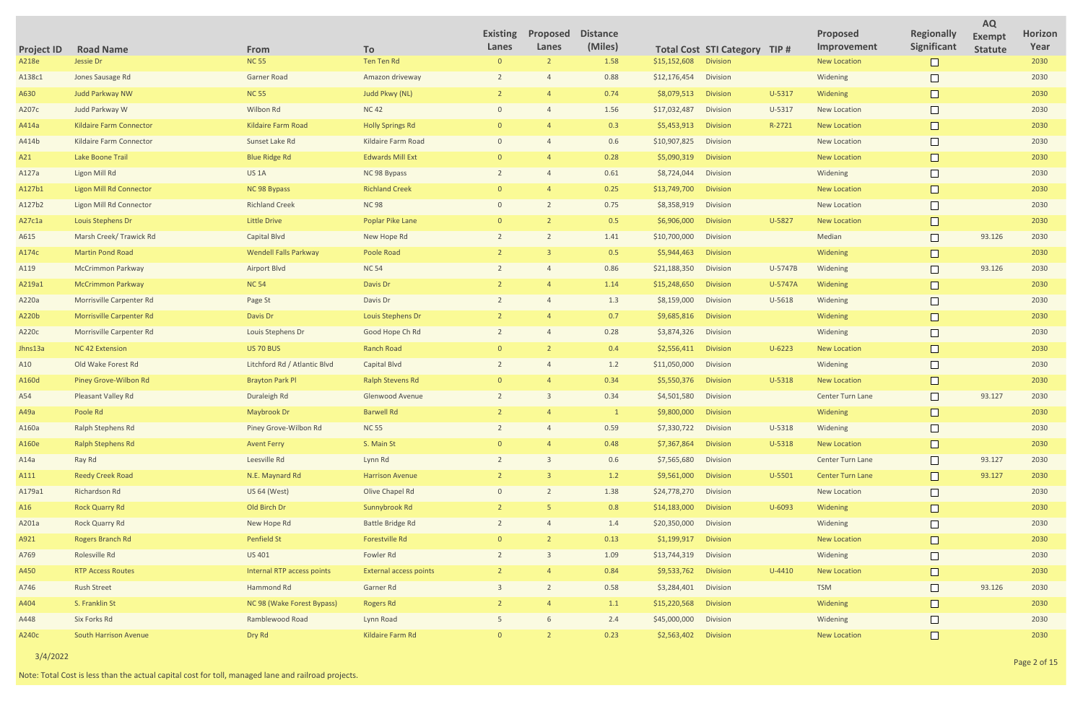| <b>Project ID</b> | <b>Road Name</b>                | From                              | To                            | <b>Existing</b><br>Lanes | Proposed<br>Lanes | <b>Distance</b><br>(Miles) |                      | <b>Total Cost STI Category TIP #</b> |            | <b>Proposed</b><br>Improvement | <b>Regionally</b><br>Significant | <b>AQ</b><br><b>Exempt</b><br><b>Statute</b> | <b>Horizon</b><br>Year |
|-------------------|---------------------------------|-----------------------------------|-------------------------------|--------------------------|-------------------|----------------------------|----------------------|--------------------------------------|------------|--------------------------------|----------------------------------|----------------------------------------------|------------------------|
| A218e             | Jessie Dr                       | <b>NC 55</b>                      | Ten Ten Rd                    | $\overline{0}$           |                   | 1.58                       | \$15,152,608         | <b>Division</b>                      |            | <b>New Location</b>            |                                  |                                              | 2030                   |
| A138c1            | Jones Sausage Rd                | <b>Garner Road</b>                | Amazon driveway               |                          |                   | 0.88                       | \$12,176,454         | <b>Division</b>                      |            | Widening                       |                                  |                                              | 2030                   |
| A630              | Judd Parkway NW                 | <b>NC 55</b>                      | <b>Judd Pkwy (NL)</b>         |                          |                   | 0.74                       | \$8,079,513          | <b>Division</b>                      | U-5317     | Widening                       |                                  |                                              | 2030                   |
| A207c             | Judd Parkway W                  | Wilbon Rd                         | <b>NC42</b>                   |                          |                   | 1.56                       | \$17,032,487         | <b>Division</b>                      | U-5317     | <b>New Location</b>            |                                  |                                              | 2030                   |
| A414a             | <b>Kildaire Farm Connector</b>  | <b>Kildaire Farm Road</b>         | <b>Holly Springs Rd</b>       |                          |                   | 0.3                        | \$5,453,913          | <b>Division</b>                      | R-2721     | <b>New Location</b>            | $\Box$                           |                                              | 2030                   |
| A414b             | Kildaire Farm Connector         | Sunset Lake Rd                    | Kildaire Farm Road            |                          |                   | 0.6                        | \$10,907,825         | <b>Division</b>                      |            | <b>New Location</b>            |                                  |                                              | 2030                   |
| A21               | Lake Boone Trail                | <b>Blue Ridge Rd</b>              | <b>Edwards Mill Ext</b>       |                          |                   | 0.28                       | \$5,090,319          | <b>Division</b>                      |            | <b>New Location</b>            | $\Box$                           |                                              | 2030                   |
| A127a             | Ligon Mill Rd                   | US <sub>1</sub> A                 | NC 98 Bypass                  |                          |                   | 0.61                       | \$8,724,044          | <b>Division</b>                      |            | Widening                       |                                  |                                              | 2030                   |
| A127b1            | <b>Ligon Mill Rd Connector</b>  | NC 98 Bypass                      | <b>Richland Creek</b>         |                          |                   | 0.25                       | \$13,749,700         | <b>Division</b>                      |            | <b>New Location</b>            | $\Box$                           |                                              | 2030                   |
| A127b2            | Ligon Mill Rd Connector         | <b>Richland Creek</b>             | <b>NC98</b>                   |                          |                   | 0.75                       | \$8,358,919          | <b>Division</b>                      |            | New Location                   |                                  |                                              | 2030                   |
| A27c1a            | <b>Louis Stephens Dr</b>        | <b>Little Drive</b>               | <b>Poplar Pike Lane</b>       |                          |                   | 0.5                        | \$6,906,000          | <b>Division</b>                      | U-5827     | <b>New Location</b>            | $\Box$                           |                                              | 2030                   |
| A615              | Marsh Creek/ Trawick Rd         | Capital Blvd                      | New Hope Rd                   |                          |                   | 1.41                       | \$10,700,000         | Division                             |            | Median                         |                                  | 93.126                                       | 2030                   |
| A174c             | <b>Martin Pond Road</b>         | <b>Wendell Falls Parkway</b>      | Poole Road                    |                          |                   | 0.5                        | \$5,944,463          | <b>Division</b>                      |            | Widening                       | $\Box$                           |                                              | 2030                   |
| A119              | <b>McCrimmon Parkway</b>        | <b>Airport Blvd</b>               | <b>NC 54</b>                  |                          |                   | 0.86                       | \$21,188,350         | Division                             | U-5747B    | Widening                       |                                  | 93.126                                       | 2030                   |
| A219a1            | <b>McCrimmon Parkway</b>        | <b>NC 54</b>                      | Davis Dr                      |                          |                   | 1.14                       | \$15,248,650         | <b>Division</b>                      | U-5747A    | Widening                       | $\Box$                           |                                              | 2030                   |
| A220a             | <b>Morrisville Carpenter Rd</b> | Page St                           | Davis Dr                      |                          |                   | 1.3                        | \$8,159,000          | <b>Division</b>                      | U-5618     | Widening                       |                                  |                                              | 2030                   |
| A220b             | <b>Morrisville Carpenter Rd</b> | Davis Dr                          | Louis Stephens Dr             |                          |                   | 0.7                        | \$9,685,816          | <b>Division</b>                      |            | Widening                       | $\Box$                           |                                              | 2030                   |
| A220c             | <b>Morrisville Carpenter Rd</b> | Louis Stephens Dr                 | Good Hope Ch Rd               |                          |                   | 0.28                       | \$3,874,326          | <b>Division</b>                      |            | Widening                       |                                  |                                              | 2030                   |
| Jhns13a           | NC 42 Extension                 | <b>US 70 BUS</b>                  | <b>Ranch Road</b>             | $\Omega$                 |                   | 0.4                        | \$2,556,411          | <b>Division</b>                      | $U - 6223$ | <b>New Location</b>            | $\Box$                           |                                              | 2030                   |
| A10               | Old Wake Forest Rd              | Litchford Rd / Atlantic Blvd      | Capital Blvd                  |                          |                   | 1.2                        | \$11,050,000         | Division                             |            | Widening                       |                                  |                                              | 2030                   |
| A160d             | Piney Grove-Wilbon Rd           | <b>Brayton Park Pl</b>            | <b>Ralph Stevens Rd</b>       | $\Omega$                 |                   | 0.34                       | \$5,550,376          | <b>Division</b>                      | U-5318     | <b>New Location</b>            |                                  |                                              | 2030                   |
| A54               | Pleasant Valley Rd              | Duraleigh Rd                      | Glenwood Avenue               |                          |                   | 0.34                       | \$4,501,580          | Division                             |            | Center Turn Lane               |                                  | 93.127                                       | 2030                   |
| A49a              | Poole Rd                        | Maybrook Dr                       | <b>Barwell Rd</b>             |                          |                   |                            | \$9,800,000          | <b>Division</b>                      |            | Widening                       |                                  |                                              | 2030                   |
| A160a             | Ralph Stephens Rd               | Piney Grove-Wilbon Rd             | <b>NC 55</b>                  |                          |                   | 0.59                       | \$7,330,722 Division |                                      | U-5318     | Widening                       | $\Box$                           |                                              | 2030                   |
| A160e             | <b>Ralph Stephens Rd</b>        | <b>Avent Ferry</b>                | S. Main St                    |                          |                   | 0.48                       | \$7,367,864          | Division                             | U-5318     | <b>New Location</b>            |                                  |                                              | 2030                   |
| A14a              | Ray Rd                          | Leesville Rd                      | Lynn Rd                       |                          |                   | 0.6                        | \$7,565,680          | Division                             |            | Center Turn Lane               | $\Box$                           | 93.127                                       | 2030                   |
| A111              | <b>Reedy Creek Road</b>         | N.E. Maynard Rd                   | <b>Harrison Avenue</b>        |                          |                   | 1.2                        | \$9,561,000          | Division                             | U-5501     | <b>Center Turn Lane</b>        |                                  | 93.127                                       | 2030                   |
| A179a1            | Richardson Rd                   | US 64 (West)                      | Olive Chapel Rd               | $\Omega$                 |                   | 1.38                       | \$24,778,270         | Division                             |            | New Location                   | $\Box$                           |                                              | 2030                   |
| A16               | <b>Rock Quarry Rd</b>           | Old Birch Dr                      | Sunnybrook Rd                 |                          |                   | 0.8                        | \$14,183,000         | Division                             | U-6093     | Widening                       | $\Box$                           |                                              | 2030                   |
| A201a             | Rock Quarry Rd                  | New Hope Rd                       | <b>Battle Bridge Rd</b>       |                          |                   | 1.4                        | \$20,350,000         | Division                             |            | Widening                       | $\Box$                           |                                              | 2030                   |
| A921              | Rogers Branch Rd                | Penfield St                       | Forestville Rd                |                          |                   | 0.13                       | \$1,199,917          | Division                             |            | <b>New Location</b>            |                                  |                                              | 2030                   |
| A769              | Rolesville Rd                   | US 401                            | Fowler Rd                     |                          |                   | 1.09                       | \$13,744,319         | Division                             |            | Widening                       | $\Box$                           |                                              | 2030                   |
| A450              | <b>RTP Access Routes</b>        | <b>Internal RTP access points</b> | <b>External access points</b> |                          |                   | 0.84                       | \$9,533,762          | Division                             | $U-4410$   | <b>New Location</b>            | $\Box$                           |                                              | 2030                   |
| A746              | <b>Rush Street</b>              | Hammond Rd                        | Garner Rd                     |                          |                   | 0.58                       | \$3,284,401          | Division                             |            | <b>TSM</b>                     | $\Box$                           | 93.126                                       | 2030                   |
| A404              | S. Franklin St                  | NC 98 (Wake Forest Bypass)        | <b>Rogers Rd</b>              |                          |                   | 1.1                        | \$15,220,568         | Division                             |            | Widening                       | $\Box$                           |                                              | 2030                   |
| A448              | Six Forks Rd                    | Ramblewood Road                   | Lynn Road                     |                          |                   | 2.4                        | \$45,000,000         | Division                             |            | Widening                       | $\Box$                           |                                              | 2030                   |
| A240c             | <b>South Harrison Avenue</b>    | Dry Rd                            | Kildaire Farm Rd              |                          |                   | 0.23                       | \$2,563,402 Division |                                      |            | <b>New Location</b>            | $\Box$                           |                                              | 2030                   |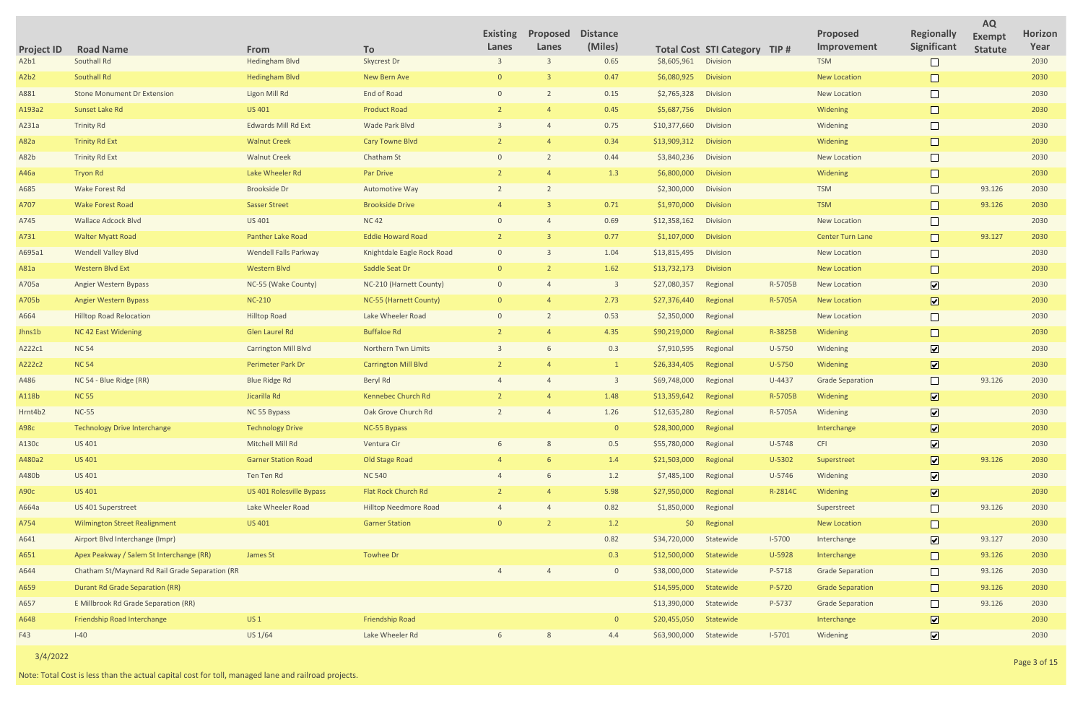|                               |                                                 |                             |                              | <b>Existing</b> | Proposed | <b>Distance</b>         |              |                                      |          | <b>Proposed</b>         | <b>Regionally</b>            | <b>AQ</b><br><b>Exempt</b> | <b>Horizon</b> |
|-------------------------------|-------------------------------------------------|-----------------------------|------------------------------|-----------------|----------|-------------------------|--------------|--------------------------------------|----------|-------------------------|------------------------------|----------------------------|----------------|
| <b>Project ID</b>             | <b>Road Name</b>                                | From                        | To                           | Lanes           | Lanes    | (Miles)                 |              | <b>Total Cost STI Category TIP #</b> |          | Improvement             | Significant                  | <b>Statute</b>             | Year           |
| A2b1                          | Southall Rd                                     | <b>Hedingham Blvd</b>       | Skycrest Dr                  |                 |          | 0.65                    | \$8,605,961  | Division                             |          | <b>TSM</b>              |                              |                            | 2030           |
| A <sub>2</sub> b <sub>2</sub> | Southall Rd                                     | <b>Hedingham Blvd</b>       | New Bern Ave                 |                 |          | 0.47                    | \$6,080,925  | <b>Division</b>                      |          | <b>New Location</b>     |                              |                            | 2030           |
| A881                          | <b>Stone Monument Dr Extension</b>              | Ligon Mill Rd               | End of Road                  | $\Omega$        |          | 0.15                    | \$2,765,328  | Division                             |          | <b>New Location</b>     |                              |                            | 2030           |
| A193a2                        | Sunset Lake Rd                                  | <b>US 401</b>               | <b>Product Road</b>          |                 |          | 0.45                    | \$5,687,756  | <b>Division</b>                      |          | Widening                |                              |                            | 2030           |
| A231a                         | <b>Trinity Rd</b>                               | <b>Edwards Mill Rd Ext</b>  | Wade Park Blvd               |                 |          | 0.75                    | \$10,377,660 | Division                             |          | Widening                | $\Box$                       |                            | 2030           |
| A82a                          | <b>Trinity Rd Ext</b>                           | <b>Walnut Creek</b>         | Cary Towne Blvd              |                 |          | 0.34                    | \$13,909,312 | <b>Division</b>                      |          | Widening                | $\Box$                       |                            | 2030           |
| A82b                          | <b>Trinity Rd Ext</b>                           | <b>Walnut Creek</b>         | Chatham St                   |                 |          | 0.44                    | \$3,840,236  | Division                             |          | New Location            |                              |                            | 2030           |
| A46a                          | <b>Tryon Rd</b>                                 | Lake Wheeler Rd             | Par Drive                    |                 |          | 1.3                     | \$6,800,000  | <b>Division</b>                      |          | Widening                |                              |                            | 2030           |
| A685                          | Wake Forest Rd                                  | <b>Brookside Dr</b>         | <b>Automotive Way</b>        |                 |          |                         | \$2,300,000  | Division                             |          | <b>TSM</b>              | $\Box$                       | 93.126                     | 2030           |
| A707                          | <b>Wake Forest Road</b>                         | <b>Sasser Street</b>        | <b>Brookside Drive</b>       |                 |          | 0.71                    | \$1,970,000  | <b>Division</b>                      |          | <b>TSM</b>              |                              | 93.126                     | 2030           |
| A745                          | <b>Wallace Adcock Blvd</b>                      | <b>US 401</b>               | <b>NC42</b>                  |                 |          | 0.69                    | \$12,358,162 | Division                             |          | <b>New Location</b>     | $\Box$                       |                            | 2030           |
| A731                          | <b>Walter Myatt Road</b>                        | Panther Lake Road           | <b>Eddie Howard Road</b>     |                 |          | 0.77                    | \$1,107,000  | <b>Division</b>                      |          | <b>Center Turn Lane</b> | $\Box$                       | 93.127                     | 2030           |
| A695a1                        | <b>Wendell Valley Blvd</b>                      | Wendell Falls Parkway       | Knightdale Eagle Rock Road   | $\Omega$        |          | 1.04                    | \$13,815,495 | Division                             |          | <b>New Location</b>     |                              |                            | 2030           |
| A81a                          | <b>Western Blvd Ext</b>                         | <b>Western Blvd</b>         | Saddle Seat Dr               | $\Omega$        |          | 1.62                    | \$13,732,173 | <b>Division</b>                      |          | <b>New Location</b>     |                              |                            | 2030           |
| A705a                         | <b>Angier Western Bypass</b>                    | NC-55 (Wake County)         | NC-210 (Harnett County)      | $\overline{0}$  |          | $\overline{\mathbf{3}}$ | \$27,080,357 | Regional                             | R-5705B  | <b>New Location</b>     | $\boxed{\blacktriangledown}$ |                            | 2030           |
| A705b                         | Angier Western Bypass                           | <b>NC-210</b>               | NC-55 (Harnett County)       | $\Omega$        |          | 2.73                    | \$27,376,440 | Regional                             | R-5705A  | <b>New Location</b>     | $\overline{\mathbf{v}}$      |                            | 2030           |
| A664                          | <b>Hilltop Road Relocation</b>                  | <b>Hilltop Road</b>         | Lake Wheeler Road            | $\Omega$        |          | 0.53                    | \$2,350,000  | Regional                             |          | <b>New Location</b>     | $\Box$                       |                            | 2030           |
| Jhns1b                        | NC 42 East Widening                             | Glen Laurel Rd              | <b>Buffaloe Rd</b>           |                 |          | 4.35                    | \$90,219,000 | Regional                             | R-3825B  | Widening                | $\Box$                       |                            | 2030           |
| A222c1                        | <b>NC 54</b>                                    | <b>Carrington Mill Blvd</b> | <b>Northern Twn Limits</b>   |                 |          | 0.3                     | \$7,910,595  | Regional                             | U-5750   | Widening                | $\overline{\mathbf{v}}$      |                            | 2030           |
| A222c2                        | <b>NC 54</b>                                    | Perimeter Park Dr           | <b>Carrington Mill Blvd</b>  |                 |          | $\overline{1}$          | \$26,334,405 | Regional                             | U-5750   | Widening                | $\boxed{\text{v}}$           |                            | 2030           |
| A486                          | NC 54 - Blue Ridge (RR)                         | <b>Blue Ridge Rd</b>        | Beryl Rd                     |                 |          | $\overline{3}$          | \$69,748,000 | Regional                             | U-4437   | <b>Grade Separation</b> | $\Box$                       | 93.126                     | 2030           |
| A118b                         | <b>NC 55</b>                                    | Jicarilla Rd                | <b>Kennebec Church Rd</b>    |                 |          | 1.48                    | \$13,359,642 | Regional                             | R-5705B  | Widening                | $\overline{\mathbf{v}}$      |                            | 2030           |
| Hrnt4b2                       | <b>NC-55</b>                                    | NC 55 Bypass                | Oak Grove Church Rd          |                 |          | 1.26                    | \$12,635,280 | Regional                             | R-5705A  | Widening                | $\boxed{\blacktriangledown}$ |                            | 2030           |
| A98c                          | <b>Technology Drive Interchange</b>             | <b>Technology Drive</b>     | NC-55 Bypass                 |                 |          | $\overline{0}$          | \$28,300,000 | Regional                             |          | Interchange             | $\overline{\mathbf{v}}$      |                            | 2030           |
| A130c                         | US 401                                          | Mitchell Mill Rd            | Ventura Cir                  |                 |          | 0.5                     | \$55,780,000 | Regional                             | U-5748   | <b>CFI</b>              | $\boxed{\blacktriangledown}$ |                            | 2030           |
| A480a2                        | <b>US 401</b>                                   | <b>Garner Station Road</b>  | Old Stage Road               |                 |          | $1.4\,$                 | \$21,503,000 | Regional                             | U-5302   | Superstreet             | $\overline{\mathbf{v}}$      | 93.126                     | 2030           |
| A480b                         | US 401                                          | Ten Ten Rd                  | <b>NC 540</b>                |                 |          | $1.2$                   | \$7,485,100  | Regional                             | U-5746   | Widening                | $\overline{\mathbf{v}}$      |                            | 2030           |
| A90c                          | <b>US 401</b>                                   | US 401 Rolesville Bypass    | Flat Rock Church Rd          |                 |          | 5.98                    | \$27,950,000 | Regional                             | R-2814C  | Widening                | $\overline{\mathbf{v}}$      |                            | 2030           |
| A664a                         | US 401 Superstreet                              | Lake Wheeler Road           | <b>Hilltop Needmore Road</b> |                 |          | 0.82                    | \$1,850,000  | Regional                             |          | Superstreet             | $\Box$                       | 93.126                     | 2030           |
| A754                          | <b>Wilmington Street Realignment</b>            | <b>US 401</b>               | <b>Garner Station</b>        |                 |          | 1.2                     | \$0\$        | Regional                             |          | <b>New Location</b>     | $\Box$                       |                            | 2030           |
| A641                          | Airport Blvd Interchange (Impr)                 |                             |                              |                 |          | 0.82                    | \$34,720,000 | Statewide                            | $I-5700$ | Interchange             | $\overline{\mathbf{v}}$      | 93.127                     | 2030           |
| A651                          | Apex Peakway / Salem St Interchange (RR)        | James St                    | <b>Towhee Dr</b>             |                 |          | 0.3                     | \$12,500,000 | Statewide                            | U-5928   | Interchange             | $\Box$                       | 93.126                     | 2030           |
| A644                          | Chatham St/Maynard Rd Rail Grade Separation (RR |                             |                              |                 |          | $\overline{0}$          | \$38,000,000 | Statewide                            | P-5718   | <b>Grade Separation</b> | $\Box$                       | 93.126                     | 2030           |
| A659                          | <b>Durant Rd Grade Separation (RR)</b>          |                             |                              |                 |          |                         | \$14,595,000 | Statewide                            | P-5720   | <b>Grade Separation</b> | $\Box$                       | 93.126                     | 2030           |
| A657                          | E Millbrook Rd Grade Separation (RR)            |                             |                              |                 |          |                         | \$13,390,000 | Statewide                            | P-5737   | <b>Grade Separation</b> | $\Box$                       | 93.126                     | 2030           |
| A648                          | Friendship Road Interchange                     | <b>US1</b>                  | <b>Friendship Road</b>       |                 |          | $\overline{0}$          | \$20,455,050 | Statewide                            |          | Interchange             | $\boxed{\blacktriangledown}$ |                            | 2030           |
| F43                           | $I-40$                                          | US 1/64                     | Lake Wheeler Rd              |                 |          | 4.4                     | \$63,900,000 | Statewide                            | $I-5701$ | Widening                | $\overline{\mathbf{v}}$      |                            | 2030           |
|                               |                                                 |                             |                              |                 |          |                         |              |                                      |          |                         |                              |                            |                |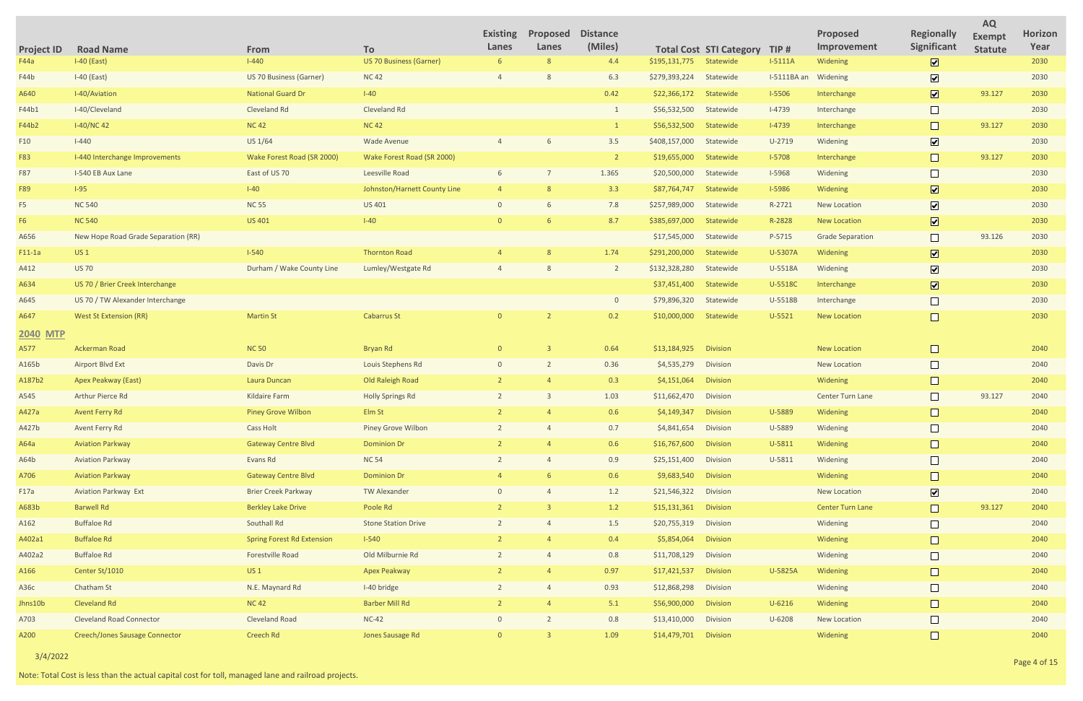|                   |                                       |                                   |                                | <b>Existing</b>          | Proposed | <b>Distance</b> |               |                                |               | Proposed                | <b>Regionally</b>            | <b>AQ</b>                       | Horizon |
|-------------------|---------------------------------------|-----------------------------------|--------------------------------|--------------------------|----------|-----------------|---------------|--------------------------------|---------------|-------------------------|------------------------------|---------------------------------|---------|
| <b>Project ID</b> | <b>Road Name</b>                      | From                              | <b>To</b>                      | Lanes                    | Lanes    | (Miles)         |               | <b>Total Cost STI Category</b> | TIP#          | Improvement             | Significant                  | <b>Exempt</b><br><b>Statute</b> | Year    |
| F44a              | $I-40$ (East)                         | $1 - 440$                         | <b>US 70 Business (Garner)</b> | 6                        |          | 4.4             | \$195,131,775 | Statewide                      | $I-5111A$     | Widening                | $\boxed{\mathbf{v}}$         |                                 | 2030    |
| F44b              | $I-40$ (East)                         | US 70 Business (Garner)           | <b>NC42</b>                    |                          |          | 6.3             | \$279,393,224 | Statewide                      | I-5111BA an   | Widening                | $\boxed{\blacktriangledown}$ |                                 | 2030    |
| A640              | I-40/Aviation                         | <b>National Guard Dr</b>          | $I-40$                         |                          |          | 0.42            | \$22,366,172  | Statewide                      | <b>I-5506</b> | Interchange             | $\boxed{\textbf{v}}$         | 93.127                          | 2030    |
| F44b1             | I-40/Cleveland                        | Cleveland Rd                      | Cleveland Rd                   |                          |          |                 | \$56,532,500  | Statewide                      | $I-4739$      | Interchange             |                              |                                 | 2030    |
| F44b2             | $I-40/NC42$                           | <b>NC42</b>                       | <b>NC 42</b>                   |                          |          | $\overline{1}$  | \$56,532,500  | Statewide                      | $I-4739$      | Interchange             | $\Box$                       | 93.127                          | 2030    |
| F <sub>10</sub>   | $I - 440$                             | US 1/64                           | Wade Avenue                    |                          |          | 3.5             | \$408,157,000 | Statewide                      | $U-2719$      | Widening                | $\boxed{\blacktriangledown}$ |                                 | 2030    |
| F83               | I-440 Interchange Improvements        | Wake Forest Road (SR 2000)        | Wake Forest Road (SR 2000)     |                          |          | <sup>2</sup>    | \$19,655,000  | Statewide                      | $I-5708$      | Interchange             | $\Box$                       | 93.127                          | 2030    |
| F87               | I-540 EB Aux Lane                     | East of US 70                     | Leesville Road                 |                          |          | 1.365           | \$20,500,000  | Statewide                      | <b>I-5968</b> | Widening                |                              |                                 | 2030    |
| F89               | $I-95$                                | $I-40$                            | Johnston/Harnett County Line   |                          |          | 3.3             | \$87,764,747  | Statewide                      | <b>I-5986</b> | Widening                | $\boxed{\mathbf{v}}$         |                                 | 2030    |
| F5                | <b>NC 540</b>                         | <b>NC 55</b>                      | <b>US 401</b>                  | $\Omega$                 |          | 7.8             | \$257,989,000 | Statewide                      | R-2721        | <b>New Location</b>     | $\boxed{\mathbf{v}}$         |                                 | 2030    |
| F <sub>6</sub>    | <b>NC 540</b>                         | <b>US 401</b>                     | $I-40$                         | $\Omega$                 |          | 8.7             | \$385,697,000 | Statewide                      | R-2828        | New Location            | $\overline{\mathbf{z}}$      |                                 | 2030    |
| A656              | New Hope Road Grade Separation (RR)   |                                   |                                |                          |          |                 | \$17,545,000  | Statewide                      | P-5715        | <b>Grade Separation</b> | $\Box$                       | 93.126                          | 2030    |
| $F11-1a$          | US <sub>1</sub>                       | $1 - 540$                         | <b>Thornton Road</b>           |                          |          | 1.74            | \$291,200,000 | Statewide                      | U-5307A       | Widening                | $\boxed{\mathbf{v}}$         |                                 | 2030    |
| A412              | <b>US 70</b>                          | Durham / Wake County Line         | Lumley/Westgate Rd             |                          |          | $\overline{2}$  | \$132,328,280 | Statewide                      | U-5518A       | Widening                | $\boxed{\blacktriangledown}$ |                                 | 2030    |
| A634              | US 70 / Brier Creek Interchange       |                                   |                                |                          |          |                 | \$37,451,400  | Statewide                      | U-5518C       | Interchange             | $\boxed{\blacktriangledown}$ |                                 | 2030    |
| A645              | US 70 / TW Alexander Interchange      |                                   |                                |                          |          | $\overline{0}$  | \$79,896,320  | Statewide                      | U-5518B       | Interchange             |                              |                                 | 2030    |
| A647              | <b>West St Extension (RR)</b>         | <b>Martin St</b>                  | <b>Cabarrus St</b>             | $\Omega$                 |          | 0.2             | \$10,000,000  | Statewide                      | $U-5521$      | New Location            | $\Box$                       |                                 | 2030    |
| <b>2040 MTP</b>   |                                       |                                   |                                |                          |          |                 |               |                                |               |                         |                              |                                 |         |
| A577              | Ackerman Road                         | <b>NC 50</b>                      | Bryan Rd                       | $\overline{0}$           |          | 0.64            | \$13,184,925  | <b>Division</b>                |               | <b>New Location</b>     | $\Box$                       |                                 | 2040    |
| A165b             | <b>Airport Blvd Ext</b>               | Davis Dr                          | Louis Stephens Rd              | $\mathbf{0}$             |          | 0.36            | \$4,535,279   | Division                       |               | <b>New Location</b>     |                              |                                 | 2040    |
| A187b2            | Apex Peakway (East)                   | Laura Duncan                      | Old Raleigh Road               |                          |          | 0.3             | \$4,151,064   | Division                       |               | Widening                |                              |                                 | 2040    |
| A545              | Arthur Pierce Rd                      | <b>Kildaire Farm</b>              | <b>Holly Springs Rd</b>        |                          |          | 1.03            | \$11,662,470  | Division                       |               | Center Turn Lane        |                              | 93.127                          | 2040    |
| A427a             | Avent Ferry Rd                        | <b>Piney Grove Wilbon</b>         | Elm St                         |                          |          | 0.6             | \$4,149,347   | <b>Division</b>                | U-5889        | Widening                |                              |                                 | 2040    |
| A427b             | <b>Avent Ferry Rd</b>                 | <b>Cass Holt</b>                  | <b>Piney Grove Wilbon</b>      | $\overline{2}$           |          | 0.7             | \$4,841,654   | Division                       | U-5889        | Widening                | $\Box$                       |                                 | 2040    |
| A64a              | <b>Aviation Parkway</b>               | <b>Gateway Centre Blvd</b>        | <b>Dominion Dr</b>             |                          |          | 0.6             | \$16,767,600  | Division                       | U-5811        | Widening                |                              |                                 | 2040    |
| A64b              | <b>Aviation Parkway</b>               | Evans Rd                          | <b>NC 54</b>                   | $\overline{2}$           |          | 0.9             | \$25,151,400  | Division                       | $U-5811$      | Widening                | $\Box$                       |                                 | 2040    |
| A706              | <b>Aviation Parkway</b>               | <b>Gateway Centre Blvd</b>        | <b>Dominion Dr</b>             |                          |          | 0.6             | \$9,683,540   | Division                       |               | Widening                |                              |                                 | 2040    |
| F17a              | <b>Aviation Parkway Ext</b>           | <b>Brier Creek Parkway</b>        | <b>TW Alexander</b>            | $\mathbf{0}$             |          | 1.2             | \$21,546,322  | Division                       |               | New Location            | $\boxed{\blacktriangledown}$ |                                 | 2040    |
| A683b             | <b>Barwell Rd</b>                     | <b>Berkley Lake Drive</b>         | Poole Rd                       |                          |          | 1.2             | \$15,131,361  | Division                       |               | <b>Center Turn Lane</b> | $\Box$                       | 93.127                          | 2040    |
| A162              | <b>Buffaloe Rd</b>                    | Southall Rd                       | <b>Stone Station Drive</b>     | $\overline{\phantom{a}}$ |          | $1.5\,$         | \$20,755,319  | Division                       |               | Widening                | $\Box$                       |                                 | 2040    |
| A402a1            | <b>Buffaloe Rd</b>                    | <b>Spring Forest Rd Extension</b> | $I-540$                        |                          |          | 0.4             | \$5,854,064   | Division                       |               | Widening                |                              |                                 | 2040    |
| A402a2            | <b>Buffaloe Rd</b>                    | Forestville Road                  | Old Milburnie Rd               |                          |          | 0.8             | \$11,708,129  | Division                       |               | Widening                | $\Box$                       |                                 | 2040    |
| A166              | Center St/1010                        | US <sub>1</sub>                   | <b>Apex Peakway</b>            |                          |          | 0.97            | \$17,421,537  | Division                       | U-5825A       | Widening                |                              |                                 | 2040    |
| A36c              | Chatham St                            | N.E. Maynard Rd                   | I-40 bridge                    | $\overline{2}$           |          | 0.93            | \$12,868,298  | Division                       |               | Widening                | $\Box$                       |                                 | 2040    |
| Jhns10b           | <b>Cleveland Rd</b>                   | <b>NC42</b>                       | <b>Barber Mill Rd</b>          |                          |          | 5.1             | \$56,900,000  | Division                       | $U - 6216$    | Widening                |                              |                                 | 2040    |
| A703              | <b>Cleveland Road Connector</b>       | <b>Cleveland Road</b>             | $NC-42$                        | $\overline{0}$           |          | 0.8             | \$13,410,000  | Division                       | U-6208        | New Location            | $\Box$                       |                                 | 2040    |
| A200              | <b>Creech/Jones Sausage Connector</b> | Creech Rd                         | Jones Sausage Rd               | $\overline{0}$           |          | 1.09            | \$14,479,701  | Division                       |               | Widening                | $\Box$                       |                                 | 2040    |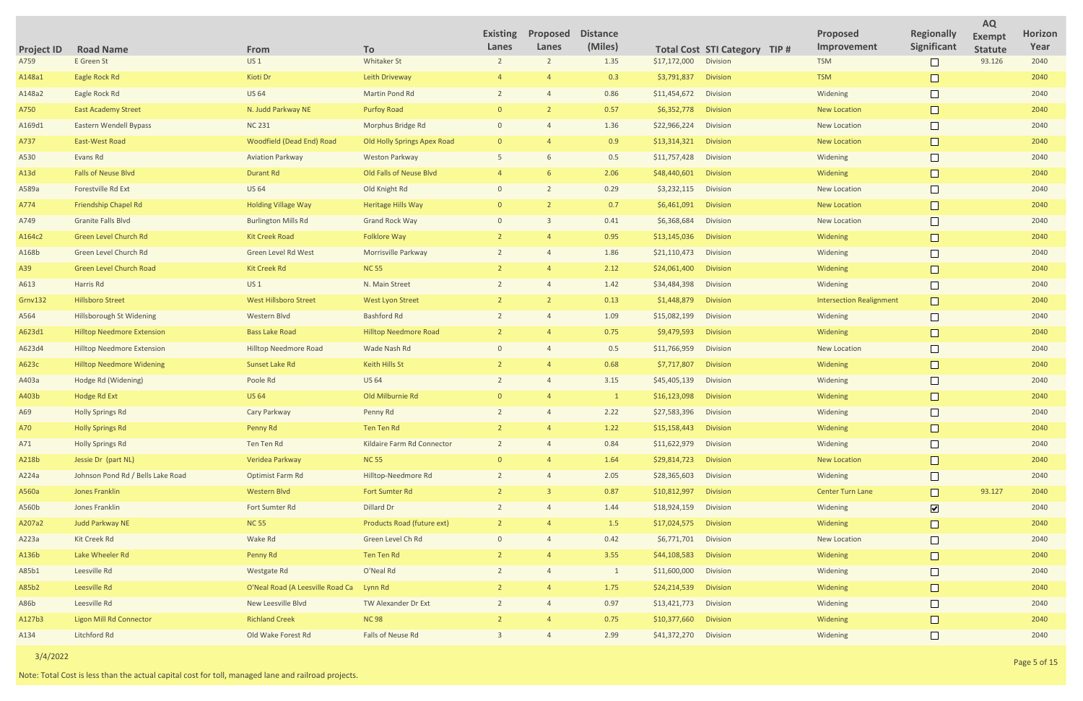|                     |      |                                 |                                         | <b>AQ</b>                       |                        |
|---------------------|------|---------------------------------|-----------------------------------------|---------------------------------|------------------------|
| <b>STI Category</b> | TIP# | <b>Proposed</b><br>Improvement  | <b>Regionally</b><br><b>Significant</b> | <b>Exempt</b><br><b>Statute</b> | <b>Horizon</b><br>Year |
| <b>Division</b>     |      | <b>TSM</b>                      |                                         | 93.126                          | 2040                   |
| <b>Division</b>     |      | <b>TSM</b>                      |                                         |                                 | 2040                   |
| <b>Division</b>     |      | Widening                        |                                         |                                 | 2040                   |
| <b>Division</b>     |      | <b>New Location</b>             |                                         |                                 | 2040                   |
| <b>Division</b>     |      | <b>New Location</b>             |                                         |                                 | 2040                   |
| <b>Division</b>     |      | <b>New Location</b>             |                                         |                                 | 2040                   |
| <b>Division</b>     |      | Widening                        |                                         |                                 | 2040                   |
| <b>Division</b>     |      | Widening                        |                                         |                                 | 2040                   |
| <b>Division</b>     |      | <b>New Location</b>             |                                         |                                 | 2040                   |
| <b>Division</b>     |      | <b>New Location</b>             |                                         |                                 | 2040                   |
| <b>Division</b>     |      | <b>New Location</b>             |                                         |                                 | 2040                   |
| <b>Division</b>     |      | Widening                        |                                         |                                 | 2040                   |
| <b>Division</b>     |      | Widening                        |                                         |                                 | 2040                   |
| <b>Division</b>     |      | Widening                        |                                         |                                 | 2040                   |
| <b>Division</b>     |      | Widening                        |                                         |                                 | 2040                   |
| <b>Division</b>     |      | <b>Intersection Realignment</b> |                                         |                                 | 2040                   |
| <b>Division</b>     |      | Widening                        |                                         |                                 | 2040                   |
| <b>Division</b>     |      | Widening                        |                                         |                                 | 2040                   |
| <b>Division</b>     |      | <b>New Location</b>             |                                         |                                 | 2040                   |
| <b>Division</b>     |      | Widening                        |                                         |                                 | 2040                   |
| <b>Division</b>     |      | Widening                        |                                         |                                 | 2040                   |
| <b>Division</b>     |      | Widening                        |                                         |                                 | 2040                   |
| <b>Division</b>     |      | Widening                        |                                         |                                 | 2040                   |
| <b>Division</b>     |      | Widening                        |                                         |                                 | 2040                   |
| <b>Division</b>     |      | Widening                        |                                         |                                 | 2040                   |
| <b>Division</b>     |      | <b>New Location</b>             |                                         |                                 | 2040                   |
| <b>Division</b>     |      | Widening                        |                                         |                                 | 2040                   |
| <b>Division</b>     |      | <b>Center Turn Lane</b>         |                                         | 93.127                          | 2040                   |
| <b>Division</b>     |      | Widening                        | $\boxed{\blacktriangledown}$            |                                 | 2040                   |
| <b>Division</b>     |      | Widening                        |                                         |                                 | 2040                   |
| <b>Division</b>     |      | <b>New Location</b>             |                                         |                                 | 2040                   |
| <b>Division</b>     |      | Widening                        |                                         |                                 | 2040                   |
| <b>Division</b>     |      | Widening                        |                                         |                                 | 2040                   |
| <b>Division</b>     |      | Widening                        |                                         |                                 | 2040                   |
| <b>Division</b>     |      | Widening                        |                                         |                                 | 2040                   |
| <b>Division</b>     |      | Widening                        |                                         |                                 | 2040                   |
| Division            |      | Widening                        |                                         |                                 | 2040                   |

| <b>Project ID</b> | <b>Road Name</b>                  | From                             | To                           | <b>Existing</b><br>Lanes | Proposed<br>Lanes | <b>Distance</b><br>(Miles) |                       | Total Cost STI Category TIP # | <b>Proposed</b><br>Improvement  | <b>Regionally</b><br>Significant | <b>Exempt</b><br><b>Statute</b> | <b>Horiz</b><br>Yea |
|-------------------|-----------------------------------|----------------------------------|------------------------------|--------------------------|-------------------|----------------------------|-----------------------|-------------------------------|---------------------------------|----------------------------------|---------------------------------|---------------------|
| A759              | E Green St                        | US <sub>1</sub>                  | <b>Whitaker St</b>           |                          | $\overline{2}$    | 1.35                       | \$17,172,000          | Division                      | <b>TSM</b>                      |                                  | 93.126                          | 2040                |
| A148a1            | Eagle Rock Rd                     | Kioti Dr                         | Leith Driveway               |                          |                   | 0.3                        | \$3,791,837           | <b>Division</b>               | <b>TSM</b>                      |                                  |                                 | 2040                |
| A148a2            | Eagle Rock Rd                     | <b>US 64</b>                     | Martin Pond Rd               |                          |                   | 0.86                       | \$11,454,672          | <b>Division</b>               | Widening                        |                                  |                                 | 2040                |
| A750              | <b>East Academy Street</b>        | N. Judd Parkway NE               | <b>Purfoy Road</b>           |                          |                   | 0.57                       | \$6,352,778           | <b>Division</b>               | <b>New Location</b>             |                                  |                                 | 2040                |
| A169d1            | Eastern Wendell Bypass            | <b>NC 231</b>                    | Morphus Bridge Rd            | $\Omega$                 |                   | 1.36                       | \$22,966,224          | <b>Division</b>               | <b>New Location</b>             |                                  |                                 | 2040                |
| A737              | East-West Road                    | <b>Woodfield (Dead End) Road</b> | Old Holly Springs Apex Road  |                          |                   | 0.9                        | \$13,314,321          | Division                      | <b>New Location</b>             |                                  |                                 | 2040                |
| A530              | Evans Rd                          | <b>Aviation Parkway</b>          | <b>Weston Parkway</b>        |                          |                   | 0.5                        | \$11,757,428          | <b>Division</b>               | Widening                        |                                  |                                 | 2040                |
| A13d              | <b>Falls of Neuse Blvd</b>        | <b>Durant Rd</b>                 | Old Falls of Neuse Blvd      |                          |                   | 2.06                       | \$48,440,601          | <b>Division</b>               | Widening                        |                                  |                                 | 2040                |
| A589a             | Forestville Rd Ext                | <b>US 64</b>                     | Old Knight Rd                | $\Omega$                 | $\overline{2}$    | 0.29                       | \$3,232,115           | <b>Division</b>               | <b>New Location</b>             |                                  |                                 | 2040                |
| A774              | Friendship Chapel Rd              | <b>Holding Village Way</b>       | <b>Heritage Hills Way</b>    |                          |                   | 0.7                        | \$6,461,091           | <b>Division</b>               | <b>New Location</b>             |                                  |                                 | 2040                |
| A749              | <b>Granite Falls Blvd</b>         | <b>Burlington Mills Rd</b>       | <b>Grand Rock Way</b>        | $\Omega$                 |                   | 0.41                       | \$6,368,684           | <b>Division</b>               | <b>New Location</b>             |                                  |                                 | 2040                |
| A164c2            | Green Level Church Rd             | <b>Kit Creek Road</b>            | <b>Folklore Way</b>          |                          |                   | 0.95                       | \$13,145,036          | Division                      | Widening                        |                                  |                                 | 2040                |
| A168b             | Green Level Church Rd             | Green Level Rd West              | Morrisville Parkway          |                          |                   | 1.86                       | \$21,110,473          | Division                      | Widening                        |                                  |                                 | 2040                |
| A39               | <b>Green Level Church Road</b>    | <b>Kit Creek Rd</b>              | <b>NC 55</b>                 |                          |                   | 2.12                       | \$24,061,400          | <b>Division</b>               | Widening                        |                                  |                                 | 2040                |
| A613              | Harris Rd                         | US <sub>1</sub>                  | N. Main Street               |                          |                   | 1.42                       | \$34,484,398          | Division                      | Widening                        |                                  |                                 | 2040                |
| <b>Grnv132</b>    | <b>Hillsboro Street</b>           | West Hillsboro Street            | <b>West Lyon Street</b>      |                          |                   | 0.13                       | \$1,448,879           | Division                      | <b>Intersection Realignment</b> |                                  |                                 | 2040                |
| A564              | <b>Hillsborough St Widening</b>   | Western Blvd                     | <b>Bashford Rd</b>           |                          |                   | 1.09                       | \$15,082,199          | Division                      | Widening                        |                                  |                                 | 2040                |
| A623d1            | <b>Hilltop Needmore Extension</b> | <b>Bass Lake Road</b>            | <b>Hilltop Needmore Road</b> |                          |                   | 0.75                       | \$9,479,593           | <b>Division</b>               | Widening                        |                                  |                                 | 2040                |
| A623d4            | <b>Hilltop Needmore Extension</b> | <b>Hilltop Needmore Road</b>     | Wade Nash Rd                 |                          |                   | 0.5                        | \$11,766,959          | <b>Division</b>               | <b>New Location</b>             |                                  |                                 | 2040                |
| A623c             | <b>Hilltop Needmore Widening</b>  | Sunset Lake Rd                   | Keith Hills St               |                          |                   | 0.68                       | \$7,717,807           | Division                      | Widening                        |                                  |                                 | 2040                |
| A403a             | Hodge Rd (Widening)               | Poole Rd                         | <b>US 64</b>                 |                          |                   | 3.15                       | \$45,405,139          | Division                      | Widening                        |                                  |                                 | 2040                |
| A403b             | Hodge Rd Ext                      | <b>US 64</b>                     | Old Milburnie Rd             |                          |                   | $\mathbf{1}$               | \$16,123,098          | <b>Division</b>               | Widening                        |                                  |                                 | 2040                |
| A69               | <b>Holly Springs Rd</b>           | Cary Parkway                     | Penny Rd                     |                          |                   | 2.22                       | \$27,583,396          | <b>Division</b>               | Widening                        |                                  |                                 | 2040                |
| A70               | <b>Holly Springs Rd</b>           | Penny Rd                         | Ten Ten Rd                   |                          |                   | 1.22                       | \$15,158,443 Division |                               | Widening                        |                                  |                                 | 2040                |
| A71               | <b>Holly Springs Rd</b>           | Ten Ten Rd                       | Kildaire Farm Rd Connector   |                          |                   | 0.84                       | \$11,622,979          | Division                      | Widening                        |                                  |                                 | 2040                |
| A218b             | Jessie Dr (part NL)               | Veridea Parkway                  | <b>NC 55</b>                 |                          |                   | 1.64                       | \$29,814,723          | Division                      | <b>New Location</b>             |                                  |                                 | 2040                |
| A224a             | Johnson Pond Rd / Bells Lake Road | Optimist Farm Rd                 | Hilltop-Needmore Rd          |                          |                   | 2.05                       | \$28,365,603          | Division                      | Widening                        |                                  |                                 | 2040                |
| A560a             | <b>Jones Franklin</b>             | Western Blvd                     | <b>Fort Sumter Rd</b>        |                          | $\mathbf{B}$      | 0.87                       | \$10,812,997          | Division                      | <b>Center Turn Lane</b>         |                                  | 93.127                          | 2040                |
| A560b             | Jones Franklin                    | Fort Sumter Rd                   | Dillard Dr                   |                          |                   | 1.44                       | \$18,924,159          | Division                      | Widening                        | $\overline{\mathbf{v}}$          |                                 | 2040                |
| A207a2            | <b>Judd Parkway NE</b>            | <b>NC 55</b>                     | Products Road (future ext)   |                          |                   | 1.5                        | \$17,024,575          | Division                      | Widening                        |                                  |                                 | 2040                |
| A223a             | Kit Creek Rd                      | Wake Rd                          | Green Level Ch Rd            |                          |                   | 0.42                       | \$6,771,701 Division  |                               | New Location                    |                                  |                                 | 2040                |
| A136b             | Lake Wheeler Rd                   | Penny Rd                         | Ten Ten Rd                   |                          |                   | 3.55                       | \$44,108,583          | <b>Division</b>               | Widening                        |                                  |                                 | 2040                |
| A85b1             | Leesville Rd                      | Westgate Rd                      | O'Neal Rd                    |                          |                   | 1                          | \$11,600,000          | Division                      | Widening                        |                                  |                                 | 2040                |
| A85b2             | Leesville Rd                      | O'Neal Road (A Leesville Road Ca | Lynn Rd                      |                          |                   | 1.75                       | \$24,214,539          | Division                      | Widening                        |                                  |                                 | 2040                |
| A86b              | Leesville Rd                      | New Leesville Blvd               | TW Alexander Dr Ext          |                          |                   | 0.97                       | \$13,421,773          | Division                      | Widening                        |                                  |                                 | 2040                |
| A127b3            | <b>Ligon Mill Rd Connector</b>    | <b>Richland Creek</b>            | <b>NC98</b>                  |                          |                   | 0.75                       | \$10,377,660          | Division                      | Widening                        |                                  |                                 | 2040                |
| A134              | Litchford Rd                      | Old Wake Forest Rd               | Falls of Neuse Rd            |                          |                   | 2.99                       | \$41,372,270 Division |                               | Widening                        |                                  |                                 | 2040                |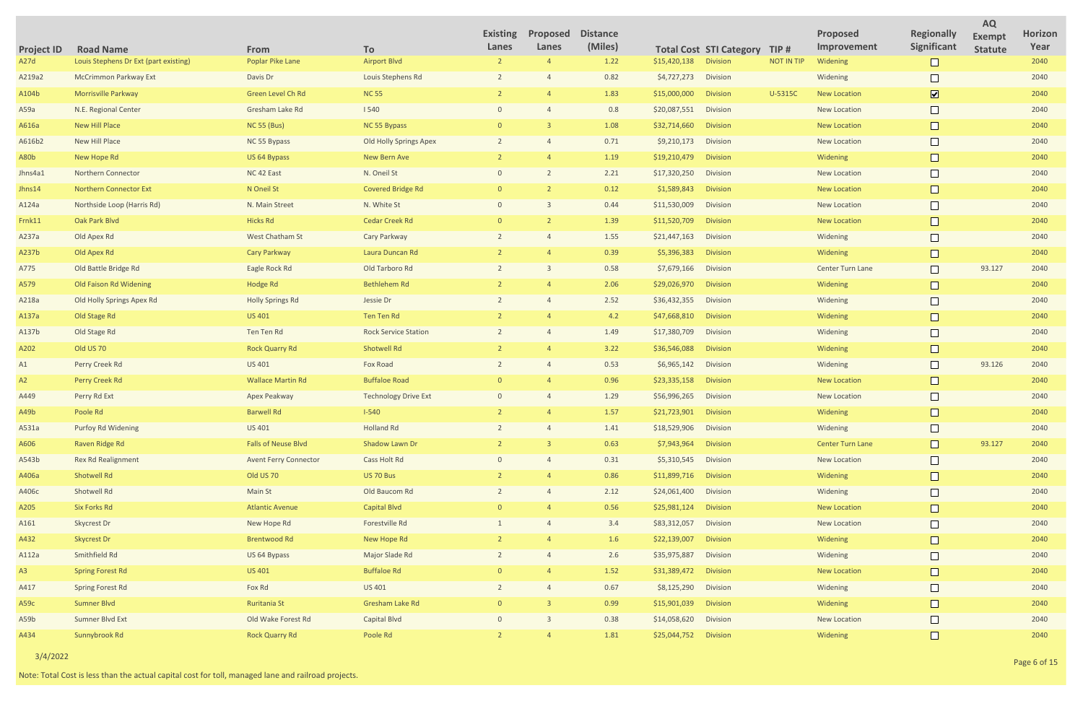| <b>Project ID</b> | <b>Road Name</b>                      | From                         | To                          | <b>Existing</b><br>Lanes | Proposed<br>Lanes | <b>Distance</b><br>(Miles) |                       | <b>Total Cost STI Category</b> | TIP#              | <b>Proposed</b><br>Improvement | <b>Regionally</b><br>Significant | <b>AQ</b><br><b>Exempt</b><br><b>Statute</b> | Horizon<br>Year |
|-------------------|---------------------------------------|------------------------------|-----------------------------|--------------------------|-------------------|----------------------------|-----------------------|--------------------------------|-------------------|--------------------------------|----------------------------------|----------------------------------------------|-----------------|
| A <sub>27</sub> d | Louis Stephens Dr Ext (part existing) | Poplar Pike Lane             | <b>Airport Blvd</b>         |                          |                   | 1.22                       | \$15,420,138          | <b>Division</b>                | <b>NOT IN TIP</b> | Widening                       |                                  |                                              | 2040            |
| A219a2            | <b>McCrimmon Parkway Ext</b>          | Davis Dr                     | Louis Stephens Rd           |                          |                   | 0.82                       | \$4,727,273           | <b>Division</b>                |                   | Widening                       |                                  |                                              | 2040            |
| A104b             | <b>Morrisville Parkway</b>            | Green Level Ch Rd            | <b>NC 55</b>                |                          |                   | 1.83                       | \$15,000,000          | <b>Division</b>                | U-5315C           | <b>New Location</b>            | $\boxed{\mathbf{v}}$             |                                              | 2040            |
| A59a              | N.E. Regional Center                  | Gresham Lake Rd              | 1540                        |                          |                   | 0.8                        | \$20,087,551          | Division                       |                   | New Location                   |                                  |                                              | 2040            |
| A616a             | New Hill Place                        | <b>NC 55 (Bus)</b>           | NC 55 Bypass                |                          |                   | 1.08                       | \$32,714,660          | <b>Division</b>                |                   | <b>New Location</b>            | $\Box$                           |                                              | 2040            |
| A616b2            | New Hill Place                        | NC 55 Bypass                 | Old Holly Springs Apex      |                          |                   | 0.71                       | \$9,210,173           | <b>Division</b>                |                   | New Location                   |                                  |                                              | 2040            |
| A80b              | New Hope Rd                           | US 64 Bypass                 | New Bern Ave                |                          |                   | 1.19                       | \$19,210,479          | <b>Division</b>                |                   | Widening                       |                                  |                                              | 2040            |
| Jhns4a1           | Northern Connector                    | NC 42 East                   | N. Oneil St                 |                          |                   | 2.21                       | \$17,320,250          | Division                       |                   | New Location                   |                                  |                                              | 2040            |
| Jhns14            | <b>Northern Connector Ext</b>         | N Oneil St                   | <b>Covered Bridge Rd</b>    | $\Omega$                 |                   | 0.12                       | \$1,589,843           | <b>Division</b>                |                   | <b>New Location</b>            | $\Box$                           |                                              | 2040            |
| A124a             | Northside Loop (Harris Rd)            | N. Main Street               | N. White St                 |                          |                   | 0.44                       | \$11,530,009          | Division                       |                   | <b>New Location</b>            |                                  |                                              | 2040            |
| Frnk11            | Oak Park Blvd                         | <b>Hicks Rd</b>              | <b>Cedar Creek Rd</b>       |                          |                   | 1.39                       | \$11,520,709          | <b>Division</b>                |                   | <b>New Location</b>            | $\Box$                           |                                              | 2040            |
| A237a             | Old Apex Rd                           | West Chatham St              | Cary Parkway                |                          |                   | 1.55                       | \$21,447,163          | Division                       |                   | Widening                       |                                  |                                              | 2040            |
| A237b             | Old Apex Rd                           | Cary Parkway                 | Laura Duncan Rd             |                          |                   | 0.39                       | \$5,396,383           | <b>Division</b>                |                   | Widening                       |                                  |                                              | 2040            |
| A775              | Old Battle Bridge Rd                  | Eagle Rock Rd                | Old Tarboro Rd              |                          |                   | 0.58                       | \$7,679,166           | <b>Division</b>                |                   | Center Turn Lane               |                                  | 93.127                                       | 2040            |
| A579              | Old Faison Rd Widening                | Hodge Rd                     | <b>Bethlehem Rd</b>         |                          |                   | 2.06                       | \$29,026,970          | <b>Division</b>                |                   | Widening                       | $\Box$                           |                                              | 2040            |
| A218a             | Old Holly Springs Apex Rd             | <b>Holly Springs Rd</b>      | Jessie Dr                   |                          |                   | 2.52                       | \$36,432,355          | Division                       |                   | Widening                       |                                  |                                              | 2040            |
| A137a             | Old Stage Rd                          | <b>US 401</b>                | Ten Ten Rd                  |                          |                   | 4.2                        | \$47,668,810          | <b>Division</b>                |                   | Widening                       | $\Box$                           |                                              | 2040            |
| A137b             | Old Stage Rd                          | Ten Ten Rd                   | <b>Rock Service Station</b> |                          |                   | 1.49                       | \$17,380,709          | <b>Division</b>                |                   | Widening                       |                                  |                                              | 2040            |
| A202              | Old US 70                             | <b>Rock Quarry Rd</b>        | <b>Shotwell Rd</b>          |                          |                   | 3.22                       | \$36,546,088          | <b>Division</b>                |                   | Widening                       |                                  |                                              | 2040            |
| A1                | Perry Creek Rd                        | US 401                       | Fox Road                    |                          |                   | 0.53                       | \$6,965,142           | <b>Division</b>                |                   | Widening                       |                                  | 93.126                                       | 2040            |
| A2                | Perry Creek Rd                        | <b>Wallace Martin Rd</b>     | <b>Buffaloe Road</b>        | $\Omega$                 |                   | 0.96                       | \$23,335,158          | <b>Division</b>                |                   | <b>New Location</b>            | $\Box$                           |                                              | 2040            |
| A449              | Perry Rd Ext                          | Apex Peakway                 | <b>Technology Drive Ext</b> |                          |                   | 1.29                       | \$56,996,265          | Division                       |                   | New Location                   |                                  |                                              | 2040            |
| A49b              | Poole Rd                              | <b>Barwell Rd</b>            | $1 - 540$                   |                          |                   | 1.57                       | \$21,723,901          | <b>Division</b>                |                   | Widening                       |                                  |                                              | 2040            |
| A531a             | Purfoy Rd Widening                    | US 401                       | <b>Holland Rd</b>           |                          |                   | 1.41                       | \$18,529,906          | Division                       |                   | Widening                       | $\Box$                           |                                              | 2040            |
| A606              | Raven Ridge Rd                        | <b>Falls of Neuse Blvd</b>   | Shadow Lawn Dr              |                          |                   | 0.63                       | \$7,943,964           | Division                       |                   | <b>Center Turn Lane</b>        |                                  | 93.127                                       | 2040            |
| A543b             | <b>Rex Rd Realignment</b>             | <b>Avent Ferry Connector</b> | Cass Holt Rd                |                          |                   | 0.31                       | \$5,310,545           | Division                       |                   | New Location                   | $\Box$                           |                                              | 2040            |
| A406a             | Shotwell Rd                           | Old US 70                    | US 70 Bus                   |                          |                   | 0.86                       | \$11,899,716          | Division                       |                   | Widening                       |                                  |                                              | 2040            |
| A406c             | Shotwell Rd                           | Main St                      | Old Baucom Rd               |                          |                   | 2.12                       | \$24,061,400          | Division                       |                   | Widening                       | $\Box$                           |                                              | 2040            |
| A205              | <b>Six Forks Rd</b>                   | <b>Atlantic Avenue</b>       | <b>Capital Blvd</b>         |                          |                   | 0.56                       | \$25,981,124          | Division                       |                   | <b>New Location</b>            |                                  |                                              | 2040            |
| A161              | Skycrest Dr                           | New Hope Rd                  | Forestville Rd              |                          |                   | 3.4                        | \$83,312,057          | Division                       |                   | New Location                   | $\Box$                           |                                              | 2040            |
| A432              | Skycrest Dr                           | <b>Brentwood Rd</b>          | New Hope Rd                 |                          |                   | 1.6                        | \$22,139,007          | Division                       |                   | Widening                       |                                  |                                              | 2040            |
| A112a             | Smithfield Rd                         | US 64 Bypass                 | Major Slade Rd              |                          |                   | 2.6                        | \$35,975,887          | Division                       |                   | Widening                       | $\Box$                           |                                              | 2040            |
| A3                | <b>Spring Forest Rd</b>               | <b>US 401</b>                | <b>Buffaloe Rd</b>          |                          |                   | 1.52                       | \$31,389,472          | Division                       |                   | <b>New Location</b>            |                                  |                                              | 2040            |
| A417              | <b>Spring Forest Rd</b>               | Fox Rd                       | US 401                      |                          |                   | 0.67                       | \$8,125,290           | Division                       |                   | Widening                       | $\Box$                           |                                              | 2040            |
| A59c              | Sumner Blvd                           | Ruritania St                 | Gresham Lake Rd             |                          |                   | 0.99                       | \$15,901,039          | Division                       |                   | Widening                       |                                  |                                              | 2040            |
| A59b              | Sumner Blvd Ext                       | Old Wake Forest Rd           | Capital Blvd                | $\cap$                   |                   | 0.38                       | \$14,058,620          | Division                       |                   | New Location                   | $\Box$                           |                                              | 2040            |
| A434              | Sunnybrook Rd                         | <b>Rock Quarry Rd</b>        | Poole Rd                    |                          |                   | 1.81                       | \$25,044,752 Division |                                |                   | Widening                       | $\Box$                           |                                              | 2040            |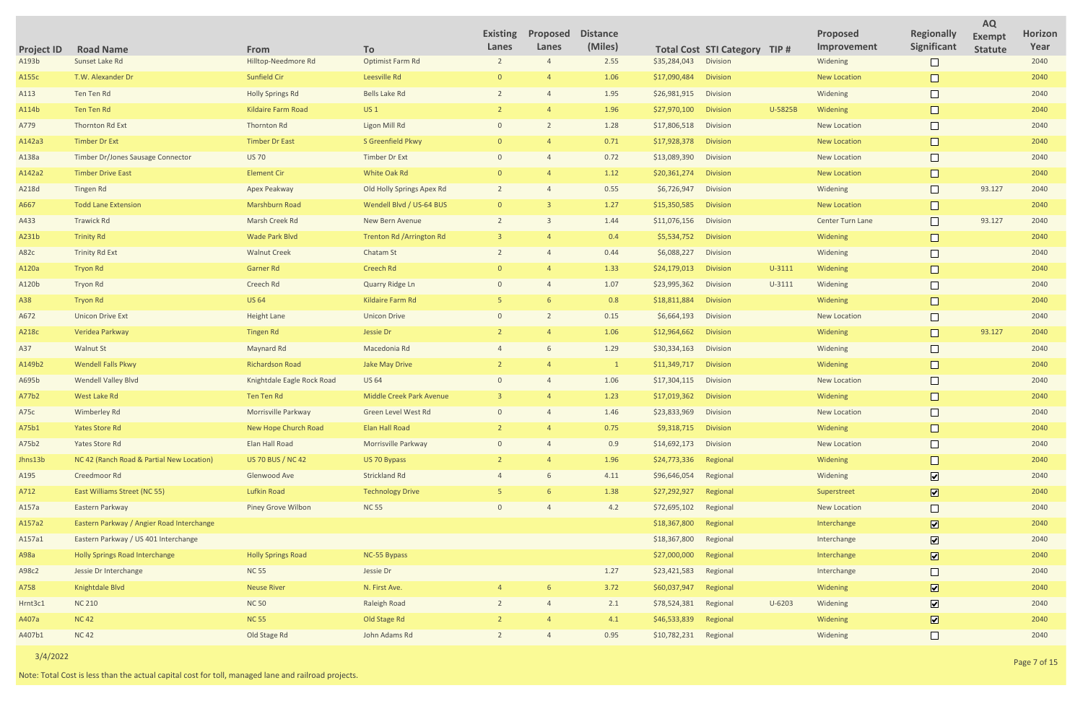|                            |                                           |                             |                            | <b>Existing</b><br>Lanes | Proposed<br>Lanes | <b>Distance</b><br>(Miles) |              |                                                         |            | Proposed<br>Improvement | <b>Regionally</b><br>Significant | <b>AQ</b><br><b>Exempt</b> | Horizon<br>Year |
|----------------------------|-------------------------------------------|-----------------------------|----------------------------|--------------------------|-------------------|----------------------------|--------------|---------------------------------------------------------|------------|-------------------------|----------------------------------|----------------------------|-----------------|
| <b>Project ID</b><br>A193b | <b>Road Name</b><br>Sunset Lake Rd        | From<br>Hilltop-Needmore Rd | To<br>Optimist Farm Rd     |                          |                   | 2.55                       | \$35,284,043 | <b>Total Cost STI Category TIP #</b><br><b>Division</b> |            | Widening                | $\Box$                           | <b>Statute</b>             | 2040            |
| A155c                      | T.W. Alexander Dr                         | Sunfield Cir                | Leesville Rd               |                          |                   | 1.06                       | \$17,090,484 | <b>Division</b>                                         |            | <b>New Location</b>     | $\Box$                           |                            | 2040            |
| A113                       | Ten Ten Rd                                | <b>Holly Springs Rd</b>     | <b>Bells Lake Rd</b>       |                          |                   | 1.95                       | \$26,981,915 | Division                                                |            | Widening                | $\Box$                           |                            | 2040            |
| A114b                      | Ten Ten Rd                                | <b>Kildaire Farm Road</b>   | US <sub>1</sub>            |                          |                   | 1.96                       | \$27,970,100 | <b>Division</b>                                         | U-5825B    | Widening                |                                  |                            | 2040            |
| A779                       | Thornton Rd Ext                           | Thornton Rd                 | Ligon Mill Rd              | $\Omega$                 |                   | 1.28                       | \$17,806,518 | Division                                                |            | <b>New Location</b>     |                                  |                            | 2040            |
| A142a3                     | Timber Dr Ext                             | <b>Timber Dr East</b>       | S Greenfield Pkwy          |                          |                   | 0.71                       | \$17,928,378 | <b>Division</b>                                         |            | <b>New Location</b>     |                                  |                            | 2040            |
| A138a                      | Timber Dr/Jones Sausage Connector         | <b>US 70</b>                | <b>Timber Dr Ext</b>       | $\Omega$                 |                   | 0.72                       | \$13,089,390 | Division                                                |            | New Location            | $\Box$                           |                            | 2040            |
| A142a2                     | <b>Timber Drive East</b>                  | <b>Element Cir</b>          | White Oak Rd               |                          |                   | 1.12                       | \$20,361,274 | <b>Division</b>                                         |            | <b>New Location</b>     | $\Box$                           |                            | 2040            |
| A218d                      | Tingen Rd                                 | Apex Peakway                | Old Holly Springs Apex Rd  |                          |                   | 0.55                       | \$6,726,947  | Division                                                |            | Widening                | $\Box$                           | 93.127                     | 2040            |
| A667                       | <b>Todd Lane Extension</b>                | <b>Marshburn Road</b>       | Wendell Blvd / US-64 BUS   |                          |                   | 1.27                       | \$15,350,585 | <b>Division</b>                                         |            | <b>New Location</b>     | $\Box$                           |                            | 2040            |
| A433                       | <b>Trawick Rd</b>                         | Marsh Creek Rd              | New Bern Avenue            |                          |                   | 1.44                       | \$11,076,156 | Division                                                |            | Center Turn Lane        | $\Box$                           | 93.127                     | 2040            |
| A231b                      | <b>Trinity Rd</b>                         | Wade Park Blvd              | Trenton Rd / Arrington Rd  |                          |                   | 0.4                        | \$5,534,752  | <b>Division</b>                                         |            | Widening                | $\Box$                           |                            | 2040            |
| A82c                       | <b>Trinity Rd Ext</b>                     | <b>Walnut Creek</b>         | Chatam St                  |                          |                   | 0.44                       | \$6,088,227  | Division                                                |            | Widening                | $\Box$                           |                            | 2040            |
| A120a                      | <b>Tryon Rd</b>                           | Garner Rd                   | <b>Creech Rd</b>           |                          |                   | 1.33                       | \$24,179,013 | <b>Division</b>                                         | $U - 3111$ | Widening                | $\Box$                           |                            | 2040            |
| A120b                      | <b>Tryon Rd</b>                           | Creech Rd                   | Quarry Ridge Ln            |                          |                   | 1.07                       | \$23,995,362 | Division                                                | $U - 3111$ | Widening                | $\Box$                           |                            | 2040            |
| A38                        | <b>Tryon Rd</b>                           | <b>US 64</b>                | Kildaire Farm Rd           |                          |                   | 0.8                        | \$18,811,884 | <b>Division</b>                                         |            | Widening                | $\Box$                           |                            | 2040            |
| A672                       | <b>Unicon Drive Ext</b>                   | <b>Height Lane</b>          | <b>Unicon Drive</b>        |                          |                   | 0.15                       | \$6,664,193  | Division                                                |            | New Location            | $\Box$                           |                            | 2040            |
| A218c                      | Veridea Parkway                           | <b>Tingen Rd</b>            | Jessie Dr                  |                          |                   | 1.06                       | \$12,964,662 | <b>Division</b>                                         |            | Widening                | $\Box$                           | 93.127                     | 2040            |
| A37                        | <b>Walnut St</b>                          | Maynard Rd                  | Macedonia Rd               |                          |                   | 1.29                       | \$30,334,163 | Division                                                |            | Widening                | $\Box$                           |                            | 2040            |
| A149b2                     | <b>Wendell Falls Pkwy</b>                 | Richardson Road             | <b>Jake May Drive</b>      |                          |                   | $\mathbf{1}$               | \$11,349,717 | <b>Division</b>                                         |            | Widening                | $\Box$                           |                            | 2040            |
| A695b                      | <b>Wendell Valley Blvd</b>                | Knightdale Eagle Rock Road  | <b>US 64</b>               |                          |                   | 1.06                       | \$17,304,115 | Division                                                |            | New Location            |                                  |                            | 2040            |
| A77b2                      | West Lake Rd                              | <b>Ten Ten Rd</b>           | Middle Creek Park Avenue   |                          |                   | 1.23                       | \$17,019,362 | <b>Division</b>                                         |            | Widening                |                                  |                            | 2040            |
| A75c                       | Wimberley Rd                              | Morrisville Parkway         | <b>Green Level West Rd</b> | $\Omega$                 |                   | 1.46                       | \$23,833,969 | Division                                                |            | <b>New Location</b>     |                                  |                            | 2040            |
| A75b1                      | <b>Yates Store Rd</b>                     | New Hope Church Road        | <b>Elan Hall Road</b>      |                          |                   | 0.75                       | \$9,318,715  | <b>Division</b>                                         |            | Widening                | $\Box$                           |                            | 2040            |
| A75b2                      | Yates Store Rd                            | Elan Hall Road              | Morrisville Parkway        |                          |                   | 0.9                        | \$14,692,173 | Division                                                |            | New Location            | $\Box$                           |                            | 2040            |
| Jhns13b                    | NC 42 (Ranch Road & Partial New Location) | <b>US 70 BUS / NC 42</b>    | US 70 Bypass               |                          |                   | 1.96                       | \$24,773,336 | Regional                                                |            | Widening                |                                  |                            | 2040            |
| A195                       | Creedmoor Rd                              | Glenwood Ave                | <b>Strickland Rd</b>       |                          |                   | 4.11                       | \$96,646,054 | Regional                                                |            | Widening                | $\overline{\mathbf{v}}$          |                            | 2040            |
| A712                       | East Williams Street (NC 55)              | Lufkin Road                 | <b>Technology Drive</b>    |                          |                   | 1.38                       | \$27,292,927 | Regional                                                |            | Superstreet             | $\overline{\mathbf{v}}$          |                            | 2040            |
| A157a                      | Eastern Parkway                           | Piney Grove Wilbon          | <b>NC 55</b>               |                          |                   | 4.2                        | \$72,695,102 | Regional                                                |            | New Location            | $\Box$                           |                            | 2040            |
| A157a2                     | Eastern Parkway / Angier Road Interchange |                             |                            |                          |                   |                            | \$18,367,800 | Regional                                                |            | Interchange             | $\overline{\mathbf{v}}$          |                            | 2040            |
| A157a1                     | Eastern Parkway / US 401 Interchange      |                             |                            |                          |                   |                            | \$18,367,800 | Regional                                                |            | Interchange             | $\overline{\mathbf{v}}$          |                            | 2040            |
| A98a                       | <b>Holly Springs Road Interchange</b>     | <b>Holly Springs Road</b>   | NC-55 Bypass               |                          |                   |                            | \$27,000,000 | Regional                                                |            | Interchange             | $\overline{\mathbf{v}}$          |                            | 2040            |
| A98c2                      | Jessie Dr Interchange                     | <b>NC 55</b>                | Jessie Dr                  |                          |                   | 1.27                       | \$23,421,583 | Regional                                                |            | Interchange             | $\Box$                           |                            | 2040            |
| A758                       | Knightdale Blvd                           | <b>Neuse River</b>          | N. First Ave.              |                          |                   | 3.72                       | \$60,037,947 | Regional                                                |            | Widening                | $\overline{\mathbf{v}}$          |                            | 2040            |
| Hrnt3c1                    | <b>NC 210</b>                             | <b>NC 50</b>                | <b>Raleigh Road</b>        |                          |                   | 2.1                        | \$78,524,381 | Regional                                                | $U - 6203$ | Widening                | $\overline{\mathbf{v}}$          |                            | 2040            |
| A407a                      | <b>NC 42</b>                              | <b>NC 55</b>                | Old Stage Rd               |                          |                   | 4.1                        | \$46,533,839 | Regional                                                |            | Widening                | $\overline{\mathbf{v}}$          |                            | 2040            |
| A407b1                     | <b>NC 42</b>                              | Old Stage Rd                | John Adams Rd              | $\overline{2}$           |                   | 0.95                       | \$10,782,231 | Regional                                                |            | Widening                | $\Box$                           |                            | 2040            |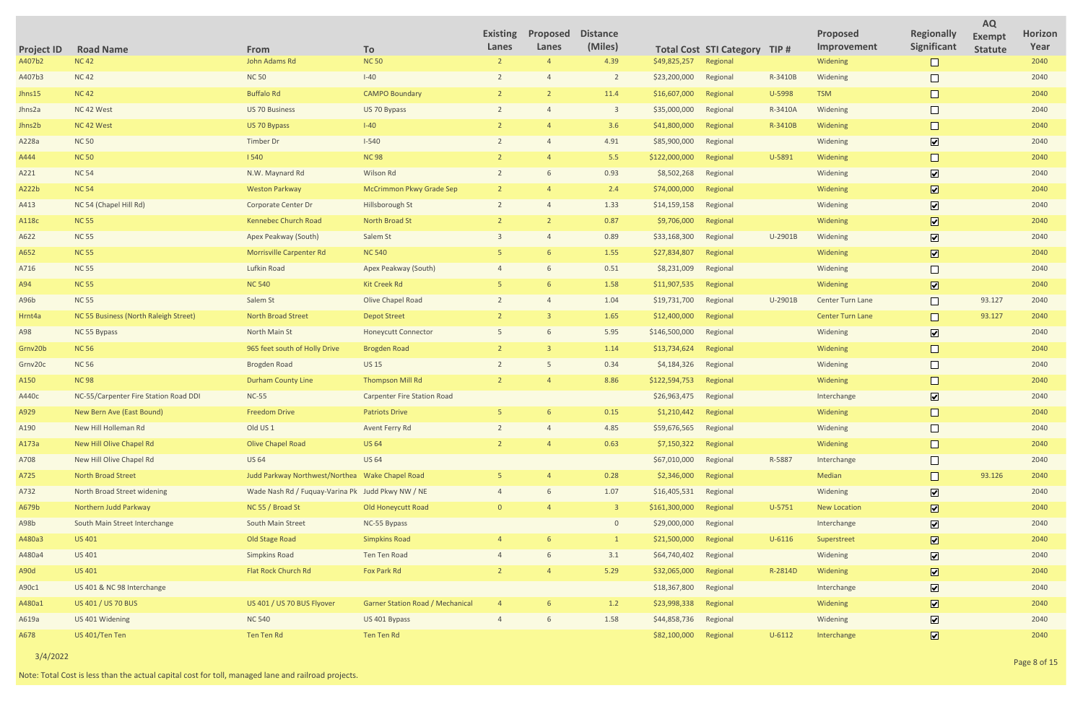|                             |                                       |                                                   |                                         | <b>Existing</b> | Proposed | <b>Distance</b>         |               |                                |            | <b>Proposed</b>         | <b>Regionally</b>            | <b>AQ</b>                | Horizon |
|-----------------------------|---------------------------------------|---------------------------------------------------|-----------------------------------------|-----------------|----------|-------------------------|---------------|--------------------------------|------------|-------------------------|------------------------------|--------------------------|---------|
|                             | <b>Road Name</b>                      | From                                              | To                                      | Lanes           | Lanes    | (Miles)                 |               | <b>Total Cost STI Category</b> | TIP#       | Improvement             | Significant                  | Exempt<br><b>Statute</b> | Year    |
| <b>Project ID</b><br>A407b2 | <b>NC42</b>                           | John Adams Rd                                     | <b>NC 50</b>                            | $\overline{2}$  |          | 4.39                    | \$49,825,257  | Regional                       |            | Widening                |                              |                          | 2040    |
| A407b3                      | <b>NC42</b>                           | <b>NC 50</b>                                      | $I-40$                                  |                 |          | $\overline{2}$          | \$23,200,000  | Regional                       | R-3410B    | Widening                |                              |                          | 2040    |
| Jhns15                      | <b>NC42</b>                           | <b>Buffalo Rd</b>                                 | <b>CAMPO Boundary</b>                   |                 |          | 11.4                    | \$16,607,000  | Regional                       | U-5998     | <b>TSM</b>              |                              |                          | 2040    |
| Jhns2a                      | NC 42 West                            | <b>US 70 Business</b>                             | US 70 Bypass                            |                 |          | $\overline{\mathbf{3}}$ | \$35,000,000  | Regional                       | R-3410A    | Widening                |                              |                          | 2040    |
| Jhns2b                      | NC 42 West                            | US 70 Bypass                                      | $I-40$                                  |                 |          | 3.6                     | \$41,800,000  | Regional                       | R-3410B    | Widening                |                              |                          | 2040    |
| A228a                       | <b>NC 50</b>                          | Timber Dr                                         | $I - 540$                               |                 |          | 4.91                    | \$85,900,000  | Regional                       |            | Widening                | $\boxed{\blacktriangledown}$ |                          | 2040    |
| A444                        | <b>NC 50</b>                          | 1540                                              | <b>NC 98</b>                            |                 |          | 5.5                     | \$122,000,000 | Regional                       | U-5891     | Widening                |                              |                          | 2040    |
| A221                        | <b>NC 54</b>                          | N.W. Maynard Rd                                   | Wilson Rd                               |                 |          | 0.93                    | \$8,502,268   | Regional                       |            | Widening                | $\overline{\mathbf{v}}$      |                          | 2040    |
| A222b                       | <b>NC 54</b>                          | <b>Weston Parkway</b>                             | McCrimmon Pkwy Grade Sep                |                 |          | 2.4                     | \$74,000,000  | Regional                       |            | Widening                | $\boxed{\blacktriangledown}$ |                          | 2040    |
| A413                        | NC 54 (Chapel Hill Rd)                | Corporate Center Dr                               | Hillsborough St                         |                 |          | 1.33                    | \$14,159,158  | Regional                       |            | Widening                | $\overline{\mathbf{v}}$      |                          | 2040    |
| A118c                       | <b>NC 55</b>                          | Kennebec Church Road                              | North Broad St                          |                 |          | 0.87                    | \$9,706,000   | Regional                       |            | Widening                | $\boxed{\blacktriangledown}$ |                          | 2040    |
| A622                        | <b>NC 55</b>                          | Apex Peakway (South)                              | Salem St                                |                 |          | 0.89                    | \$33,168,300  | Regional                       | U-2901B    | Widening                | $\boxed{\blacktriangledown}$ |                          | 2040    |
| A652                        | <b>NC 55</b>                          | <b>Morrisville Carpenter Rd</b>                   | <b>NC 540</b>                           |                 |          | 1.55                    | \$27,834,807  | Regional                       |            | Widening                | $\boxed{\blacktriangledown}$ |                          | 2040    |
| A716                        | <b>NC 55</b>                          | Lufkin Road                                       | Apex Peakway (South)                    |                 |          | 0.51                    | \$8,231,009   | Regional                       |            | Widening                |                              |                          | 2040    |
| A94                         | <b>NC 55</b>                          | <b>NC 540</b>                                     | Kit Creek Rd                            |                 |          | 1.58                    | \$11,907,535  | Regional                       |            | Widening                | $\boxed{\blacktriangledown}$ |                          | 2040    |
| A96b                        | <b>NC 55</b>                          | Salem St                                          | Olive Chapel Road                       |                 |          | 1.04                    | \$19,731,700  | Regional                       | U-2901B    | Center Turn Lane        |                              | 93.127                   | 2040    |
| Hrnt4a                      | NC 55 Business (North Raleigh Street) | North Broad Street                                | <b>Depot Street</b>                     |                 |          | 1.65                    | \$12,400,000  | Regional                       |            | <b>Center Turn Lane</b> | $\Box$                       | 93.127                   | 2040    |
| A98                         | NC 55 Bypass                          | North Main St                                     | <b>Honeycutt Connector</b>              |                 |          | 5.95                    | \$146,500,000 | Regional                       |            | Widening                | $\boxed{\mathbf{v}}$         |                          | 2040    |
| Grnv20b                     | <b>NC 56</b>                          | 965 feet south of Holly Drive                     | <b>Brogden Road</b>                     | $\overline{2}$  |          | 1.14                    | \$13,734,624  | Regional                       |            | Widening                |                              |                          | 2040    |
| Grnv20c                     | <b>NC 56</b>                          | <b>Brogden Road</b>                               | <b>US 15</b>                            |                 |          | 0.34                    | \$4,184,326   | Regional                       |            | Widening                |                              |                          | 2040    |
| A150                        | <b>NC 98</b>                          | <b>Durham County Line</b>                         | <b>Thompson Mill Rd</b>                 |                 |          | 8.86                    | \$122,594,753 | Regional                       |            | Widening                |                              |                          | 2040    |
| A440c                       | NC-55/Carpenter Fire Station Road DDI | $NC-55$                                           | <b>Carpenter Fire Station Road</b>      |                 |          |                         | \$26,963,475  | Regional                       |            | Interchange             | $\boxed{\mathbf{v}}$         |                          | 2040    |
| A929                        | New Bern Ave (East Bound)             | <b>Freedom Drive</b>                              | <b>Patriots Drive</b>                   |                 |          | 0.15                    | \$1,210,442   | Regional                       |            | Widening                |                              |                          | 2040    |
| A190                        | New Hill Holleman Rd                  | Old US <sub>1</sub>                               | Avent Ferry Rd                          |                 |          | 4.85                    | \$59,676,565  | Regional                       |            | Widening                |                              |                          | 2040    |
| A173a                       | New Hill Olive Chapel Rd              | <b>Olive Chapel Road</b>                          | <b>US 64</b>                            |                 |          | 0.63                    | \$7,150,322   | Regional                       |            | Widening                |                              |                          | 2040    |
| A708                        | New Hill Olive Chapel Rd              | <b>US 64</b>                                      | <b>US 64</b>                            |                 |          |                         | \$67,010,000  | Regional                       | R-5887     | Interchange             | $\Box$                       |                          | 2040    |
| A725                        | North Broad Street                    | Judd Parkway Northwest/Northea Wake Chapel Road   |                                         |                 |          | 0.28                    | \$2,346,000   | Regional                       |            | Median                  |                              | 93.126                   | 2040    |
| A732                        | North Broad Street widening           | Wade Nash Rd / Fuquay-Varina Pk Judd Pkwy NW / NE |                                         |                 |          | 1.07                    | \$16,405,531  | Regional                       |            | Widening                | $\boxed{\blacktriangledown}$ |                          | 2040    |
| A679b                       | Northern Judd Parkway                 | NC 55 / Broad St                                  | <b>Old Honeycutt Road</b>               | $\cap$          |          | $\overline{\mathbf{3}}$ | \$161,300,000 | Regional                       | $U-5751$   | <b>New Location</b>     | $\boxed{\textbf{v}}$         |                          | 2040    |
| A98b                        | South Main Street Interchange         | South Main Street                                 | NC-55 Bypass                            |                 |          | $\circ$                 | \$29,000,000  | Regional                       |            | Interchange             | $\boxed{\blacktriangledown}$ |                          | 2040    |
| A480a3                      | <b>US 401</b>                         | Old Stage Road                                    | <b>Simpkins Road</b>                    |                 |          |                         | \$21,500,000  | Regional                       | $U - 6116$ | Superstreet             | $\boxed{\textbf{v}}$         |                          | 2040    |
| A480a4                      | US 401                                | <b>Simpkins Road</b>                              | Ten Ten Road                            |                 |          | 3.1                     | \$64,740,402  | Regional                       |            | Widening                | $\boxed{\blacktriangledown}$ |                          | 2040    |
| A90d                        | <b>US 401</b>                         | Flat Rock Church Rd                               | Fox Park Rd                             |                 |          | 5.29                    | \$32,065,000  | Regional                       | R-2814D    | Widening                | $\boxed{\blacktriangledown}$ |                          | 2040    |
| A90c1                       | US 401 & NC 98 Interchange            |                                                   |                                         |                 |          |                         | \$18,367,800  | Regional                       |            | Interchange             | $\boxed{\blacktriangledown}$ |                          | 2040    |
| A480a1                      | US 401 / US 70 BUS                    | US 401 / US 70 BUS Flyover                        | <b>Garner Station Road / Mechanical</b> |                 |          | 1.2                     | \$23,998,338  | Regional                       |            | Widening                | $\boxed{\blacktriangledown}$ |                          | 2040    |
| A619a                       | US 401 Widening                       | <b>NC 540</b>                                     | US 401 Bypass                           |                 |          | 1.58                    | \$44,858,736  | Regional                       |            | Widening                | $\boxed{\blacktriangledown}$ |                          | 2040    |
| A678                        | US 401/Ten Ten                        | Ten Ten Rd                                        | Ten Ten Rd                              |                 |          |                         | \$82,100,000  | Regional                       | $U - 6112$ | Interchange             | $\overline{\mathbf{v}}$      |                          | 2040    |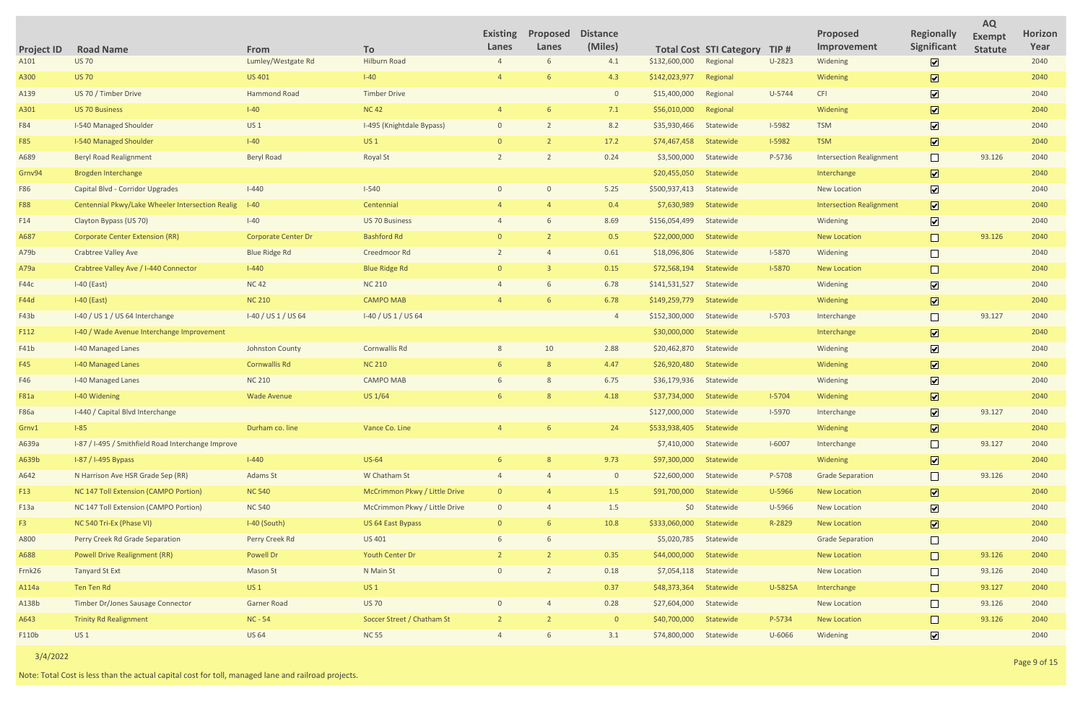|                     |               |                                 |                              | <b>AQ</b>      |                |
|---------------------|---------------|---------------------------------|------------------------------|----------------|----------------|
|                     |               | <b>Proposed</b>                 | <b>Regionally</b>            | <b>Exempt</b>  | <b>Horizon</b> |
| <b>STI Category</b> | TIP#          | Improvement                     | Significant                  | <b>Statute</b> | Year           |
| Regional            | U-2823        | Widening                        | $\boxed{\blacktriangledown}$ |                | 2040           |
| Regional            |               | Widening                        | $\boxed{\blacktriangledown}$ |                | 2040           |
| Regional            | U-5744        | <b>CFI</b>                      | $\boxed{\blacktriangledown}$ |                | 2040           |
| Regional            |               | Widening                        | $\boxed{\blacktriangledown}$ |                | 2040           |
| Statewide           | <b>I-5982</b> | <b>TSM</b>                      | $\boxed{\blacktriangledown}$ |                | 2040           |
| Statewide           | <b>I-5982</b> | <b>TSM</b>                      | $\boxed{\blacktriangledown}$ |                | 2040           |
| Statewide           | P-5736        | <b>Intersection Realignment</b> |                              | 93.126         | 2040           |
| Statewide           |               | Interchange                     | $\boxed{\blacktriangledown}$ |                | 2040           |
| Statewide           |               | <b>New Location</b>             | $\blacktriangledown$         |                | 2040           |
| <b>Statewide</b>    |               | <b>Intersection Realignment</b> | $\boxed{\checkmark}$         |                | 2040           |
| Statewide           |               | Widening                        | $\boxed{\blacktriangledown}$ |                | 2040           |
| <b>Statewide</b>    |               | <b>New Location</b>             |                              | 93.126         | 2040           |
| Statewide           | $I-5870$      | Widening                        |                              |                | 2040           |
| <b>Statewide</b>    | I-5870        | <b>New Location</b>             |                              |                | 2040           |
| Statewide           |               | Widening                        | $\boxed{\blacktriangledown}$ |                | 2040           |
| <b>Statewide</b>    |               | Widening                        | $\boxed{\blacktriangledown}$ |                | 2040           |
| Statewide           | $I - 5703$    | Interchange                     |                              | 93.127         | 2040           |
| <b>Statewide</b>    |               | Interchange                     | $\boxed{\blacktriangledown}$ |                | 2040           |
| Statewide           |               | Widening                        | $\boxed{\mathbf{v}}$         |                | 2040           |
| <b>Statewide</b>    |               | Widening                        | $\boxed{\blacktriangledown}$ |                | 2040           |
| Statewide           |               | Widening                        | $\boxed{\blacktriangledown}$ |                | 2040           |
| <b>Statewide</b>    | $I-5704$      | Widening                        | $\boxed{\blacktriangledown}$ |                | 2040           |
| Statewide           | I-5970        | Interchange                     | $\blacktriangleright$        | 93.127         | 2040           |
| Statewide           |               | Widening                        | $\boxed{\blacktriangledown}$ |                | 2040           |
| Statewide           | $I-6007$      | Interchange                     |                              | 93.127         | 2040           |
| Statewide           |               | Widening                        | $\boxed{\blacktriangledown}$ |                | 2040           |
| Statewide           | P-5708        | <b>Grade Separation</b>         |                              | 93.126         | 2040           |
| Statewide           | U-5966        | <b>New Location</b>             | $\boxed{\mathbf{v}}$         |                | 2040           |
| Statewide           | U-5966        | <b>New Location</b>             | $\boxed{\blacktriangledown}$ |                | 2040           |
| Statewide           | R-2829        | <b>New Location</b>             | $\boxed{\mathbf{v}}$         |                | 2040           |
| Statewide           |               | <b>Grade Separation</b>         |                              |                | 2040           |
| Statewide           |               | <b>New Location</b>             |                              | 93.126         | 2040           |
| Statewide           |               | <b>New Location</b>             |                              | 93.126         | 2040           |
| Statewide           | U-5825A       | Interchange                     |                              | 93.127         | 2040           |
| Statewide           |               | <b>New Location</b>             |                              | 93.126         | 2040           |
| Statewide           | P-5734        | <b>New Location</b>             |                              | 93.126         | 2040           |
| Statewide           | U-6066        | Widening                        | $\blacktriangledown$         |                | 2040           |

| <b>Project ID</b> | <b>Road Name</b>                                   | From                       | To                            | <b>Existing</b><br>Lanes | Proposed<br>Lanes | <b>Distance</b><br>(Miles) |               | <b>Total Cost STI Category</b> | TIP#     | <b>Proposed</b><br>Improvement  | <b>Regionally</b><br>Significant | <b>Exempt</b><br><b>Statute</b> | <b>Horiz</b><br>Yea |
|-------------------|----------------------------------------------------|----------------------------|-------------------------------|--------------------------|-------------------|----------------------------|---------------|--------------------------------|----------|---------------------------------|----------------------------------|---------------------------------|---------------------|
| A101              | <b>US 70</b>                                       | Lumley/Westgate Rd         | <b>Hilburn Road</b>           |                          | 6                 | 4.1                        | \$132,600,000 | Regional                       | U-2823   | Widening                        | $\overline{\mathbf{v}}$          |                                 | 2040                |
| A300              | <b>US 70</b>                                       | <b>US 401</b>              | $I-40$                        |                          |                   | 4.3                        | \$142,023,977 | Regional                       |          | Widening                        | $\overline{\mathbf{v}}$          |                                 | 2040                |
| A139              | US 70 / Timber Drive                               | Hammond Road               | <b>Timber Drive</b>           |                          |                   | $\overline{0}$             | \$15,400,000  | Regional                       | U-5744   | <b>CFI</b>                      | $\boxed{\mathbf{v}}$             |                                 | 2040                |
| A301              | <b>US 70 Business</b>                              | $I-40$                     | <b>NC42</b>                   |                          |                   | 7.1                        | \$56,010,000  | Regional                       |          | Widening                        | $\boxed{\text{v}}$               |                                 | 2040                |
| F84               | <b>I-540 Managed Shoulder</b>                      | <b>US1</b>                 | I-495 (Knightdale Bypass)     | $\mathbf{0}$             |                   | 8.2                        | \$35,930,466  | Statewide                      | $I-5982$ | <b>TSM</b>                      | $\overline{\mathbf{v}}$          |                                 | 2040                |
| <b>F85</b>        | <b>I-540 Managed Shoulder</b>                      | $I-40$                     | <b>US1</b>                    | $\Omega$                 |                   | 17.2                       | \$74,467,458  | Statewide                      | $I-5982$ | <b>TSM</b>                      | $\boxed{\text{v}}$               |                                 | 2040                |
| A689              | <b>Beryl Road Realignment</b>                      | <b>Beryl Road</b>          | <b>Royal St</b>               |                          |                   | 0.24                       | \$3,500,000   | Statewide                      | P-5736   | <b>Intersection Realignment</b> |                                  | 93.126                          | 2040                |
| Grnv94            | <b>Brogden Interchange</b>                         |                            |                               |                          |                   |                            | \$20,455,050  | Statewide                      |          | Interchange                     | $\overline{\mathbf{v}}$          |                                 | 2040                |
| F86               | Capital Blvd - Corridor Upgrades                   | $I-440$                    | $I - 540$                     | $\Omega$                 | $\Omega$          | 5.25                       | \$500,937,413 | Statewide                      |          | <b>New Location</b>             | $\boxed{\mathbf{v}}$             |                                 | 2040                |
| <b>F88</b>        | Centennial Pkwy/Lake Wheeler Intersection Realig   | $I-40$                     | Centennial                    |                          |                   | 0.4                        | \$7,630,989   | Statewide                      |          | <b>Intersection Realignment</b> | $\overline{\mathbf{v}}$          |                                 | 2040                |
| F14               | Clayton Bypass (US 70)                             | $I-40$                     | <b>US 70 Business</b>         |                          |                   | 8.69                       | \$156,054,499 | Statewide                      |          | Widening                        | $\overline{\mathbf{v}}$          |                                 | 2040                |
| A687              | <b>Corporate Center Extension (RR)</b>             | <b>Corporate Center Dr</b> | <b>Bashford Rd</b>            |                          |                   | 0.5                        | \$22,000,000  | Statewide                      |          | <b>New Location</b>             | $\Box$                           | 93.126                          | 2040                |
| A79b              | <b>Crabtree Valley Ave</b>                         | <b>Blue Ridge Rd</b>       | Creedmoor Rd                  |                          |                   | 0.61                       | \$18,096,806  | Statewide                      | $I-5870$ | Widening                        |                                  |                                 | 2040                |
| A79a              | Crabtree Valley Ave / I-440 Connector              | $I-440$                    | <b>Blue Ridge Rd</b>          | $\Omega$                 |                   | 0.15                       | \$72,568,194  | Statewide                      | $I-5870$ | <b>New Location</b>             |                                  |                                 | 2040                |
| F44c              | $I-40$ (East)                                      | <b>NC42</b>                | <b>NC 210</b>                 |                          | 6                 | 6.78                       | \$141,531,527 | Statewide                      |          | Widening                        | $\overline{\mathbf{v}}$          |                                 | 2040                |
| <b>F44d</b>       | $I-40$ (East)                                      | <b>NC 210</b>              | <b>CAMPO MAB</b>              |                          |                   | 6.78                       | \$149,259,779 | Statewide                      |          | Widening                        | $\overline{\mathbf{v}}$          |                                 | 2040                |
| F43b              | I-40 / US 1 / US 64 Interchange                    | I-40 / US 1 / US 64        | I-40 / US 1 / US 64           |                          |                   | $\overline{4}$             | \$152,300,000 | Statewide                      | $I-5703$ | Interchange                     |                                  | 93.127                          | 2040                |
| F112              | I-40 / Wade Avenue Interchange Improvement         |                            |                               |                          |                   |                            | \$30,000,000  | Statewide                      |          | Interchange                     | $\overline{\mathbf{v}}$          |                                 | 2040                |
| F41b              | I-40 Managed Lanes                                 | Johnston County            | <b>Cornwallis Rd</b>          |                          | 10                | 2.88                       | \$20,462,870  | Statewide                      |          | Widening                        | $\boxed{\mathbf{v}}$             |                                 | 2040                |
| F45               | <b>I-40 Managed Lanes</b>                          | <b>Cornwallis Rd</b>       | <b>NC 210</b>                 |                          | 8                 | 4.47                       | \$26,920,480  | Statewide                      |          | Widening                        | $\overline{\mathbf{v}}$          |                                 | 2040                |
| F46               | <b>I-40 Managed Lanes</b>                          | <b>NC 210</b>              | <b>CAMPO MAB</b>              |                          | $\mathcal{R}$     | 6.75                       | \$36,179,936  | Statewide                      |          | Widening                        | $\boxed{\blacktriangledown}$     |                                 | 2040                |
| <b>F81a</b>       | I-40 Widening                                      | <b>Wade Avenue</b>         | US 1/64                       |                          | 8                 | 4.18                       | \$37,734,000  | Statewide                      | $I-5704$ | Widening                        | $\overline{\mathbf{v}}$          |                                 | 2040                |
| <b>F86a</b>       | I-440 / Capital Blvd Interchange                   |                            |                               |                          |                   |                            | \$127,000,000 | Statewide                      | $I-5970$ | Interchange                     | $\overline{\mathbf{v}}$          | 93.127                          | 2040                |
| Grnv1             | $I-85$                                             | Durham co. line            | Vance Co. Line                |                          |                   | 24                         | \$533,938,405 | Statewide                      |          | Widening                        | $\overline{\mathbf{v}}$          |                                 | 2040                |
| A639a             | I-87 / I-495 / Smithfield Road Interchange Improve |                            |                               |                          |                   |                            | \$7,410,000   | Statewide                      | $I-6007$ | Interchange                     | $\Box$                           | 93.127                          | 2040                |
| A639b             | I-87 / I-495 Bypass                                | $I-440$                    | <b>US-64</b>                  |                          |                   | 9.73                       | \$97,300,000  | Statewide                      |          | Widening                        | $\overline{\mathbf{v}}$          |                                 | 2040                |
| A642              | N Harrison Ave HSR Grade Sep (RR)                  | Adams St                   | W Chatham St                  |                          |                   | $\overline{0}$             | \$22,600,000  | Statewide                      | P-5708   | <b>Grade Separation</b>         | $\Box$                           | 93.126                          | 2040                |
| F13               | NC 147 Toll Extension (CAMPO Portion)              | <b>NC 540</b>              | McCrimmon Pkwy / Little Drive |                          |                   | 1.5                        | \$91,700,000  | Statewide                      | U-5966   | <b>New Location</b>             | $\overline{\mathbf{v}}$          |                                 | 2040                |
| F13a              | NC 147 Toll Extension (CAMPO Portion)              | <b>NC 540</b>              | McCrimmon Pkwy / Little Drive | $\Omega$                 |                   | 1.5                        | \$0\$         | Statewide                      | U-5966   | New Location                    | $\overline{\mathbf{v}}$          |                                 | 2040                |
| F <sub>3</sub>    | NC 540 Tri-Ex (Phase VI)                           | I-40 (South)               | US 64 East Bypass             | $\Omega$                 |                   | 10.8                       | \$333,060,000 | Statewide                      | R-2829   | <b>New Location</b>             | $\overline{\mathbf{v}}$          |                                 | 2040                |
| A800              | Perry Creek Rd Grade Separation                    | Perry Creek Rd             | US 401                        |                          |                   |                            | \$5,020,785   | Statewide                      |          | <b>Grade Separation</b>         | $\Box$                           |                                 | 2040                |
| A688              | <b>Powell Drive Realignment (RR)</b>               | <b>Powell Dr</b>           | <b>Youth Center Dr</b>        |                          |                   | 0.35                       | \$44,000,000  | Statewide                      |          | <b>New Location</b>             | $\Box$                           | 93.126                          | 2040                |
| Frnk26            | <b>Tanyard St Ext</b>                              | Mason St                   | N Main St                     |                          |                   | 0.18                       | \$7,054,118   | Statewide                      |          | New Location                    | $\Box$                           | 93.126                          | 2040                |
| A114a             | Ten Ten Rd                                         | <b>US1</b>                 | US <sub>1</sub>               |                          |                   | 0.37                       | \$48,373,364  | Statewide                      | U-5825A  | Interchange                     | $\Box$                           | 93.127                          | 2040                |
| A138b             | Timber Dr/Jones Sausage Connector                  | <b>Garner Road</b>         | <b>US 70</b>                  |                          |                   | 0.28                       | \$27,604,000  | Statewide                      |          | New Location                    | $\Box$                           | 93.126                          | 2040                |
| A643              | <b>Trinity Rd Realignment</b>                      | NC - 54                    | Soccer Street / Chatham St    |                          |                   | $\overline{0}$             | \$40,700,000  | Statewide                      | P-5734   | <b>New Location</b>             |                                  | 93.126                          | 2040                |
| F110b             | US <sub>1</sub>                                    | <b>US 64</b>               | <b>NC 55</b>                  |                          | 6                 | 3.1                        | \$74,800,000  | Statewide                      | U-6066   | Widening                        | $\overline{\mathbf{v}}$          |                                 | 2040                |
|                   |                                                    |                            |                               |                          |                   |                            |               |                                |          |                                 |                                  |                                 |                     |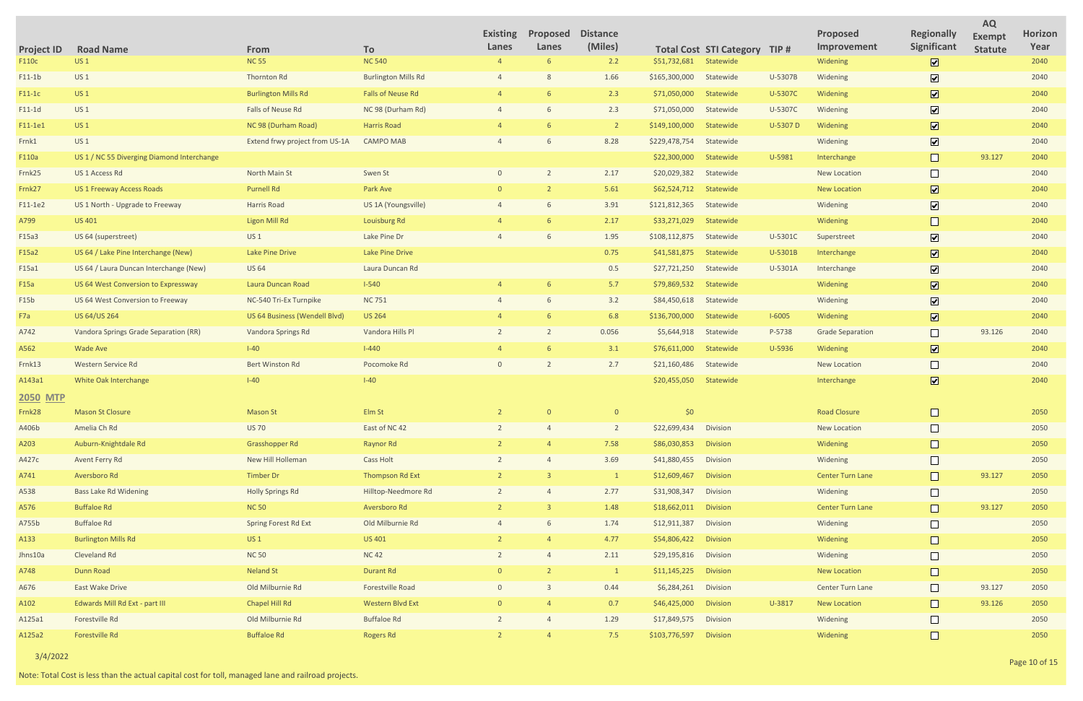| <b>Total Cost STI Category</b><br>TIP#<br>$\overline{\mathbf{z}}$<br><b>US1</b><br><b>NC 55</b><br><b>NC 540</b><br>2.2<br>\$51,732,681<br>Statewide<br>2040<br>F110c<br>6<br>Widening<br>$\overline{\mathbf{v}}$<br><b>US1</b><br>1.66<br>$F11-1b$<br>Thornton Rd<br><b>Burlington Mills Rd</b><br>\$165,300,000<br>Statewide<br>U-5307B<br>Widening<br>2040<br>$\boxed{\mathbf{v}}$<br><b>US1</b><br>2.3<br><b>Burlington Mills Rd</b><br><b>Falls of Neuse Rd</b><br>\$71,050,000<br>U-5307C<br>Widening<br>2040<br>$F11-1C$<br>Statewide<br>$\overline{\mathbf{v}}$<br>Falls of Neuse Rd<br>2.3<br>$F11-1d$<br>US <sub>1</sub><br>NC 98 (Durham Rd)<br>\$71,050,000<br>Statewide<br>U-5307C<br>2040<br>Widening<br>$\boxed{\blacktriangledown}$<br>US <sub>1</sub><br>NC 98 (Durham Road)<br><b>Harris Road</b><br>U-5307 D<br>Widening<br>2040<br>F11-1e1<br>$\overline{2}$<br>\$149,100,000<br>Statewide<br>$\boxed{\blacktriangledown}$<br>8.28<br>Frnk1<br><b>US1</b><br>Extend frwy project from US-1A<br><b>CAMPO MAB</b><br>\$229,478,754<br>Statewide<br>2040<br>Widening<br>$\Box$<br>93.127<br>U-5981<br>2040<br>F110a<br>US 1 / NC 55 Diverging Diamond Interchange<br>\$22,300,000<br>Statewide<br>Interchange<br>US 1 Access Rd<br>North Main St<br>Swen St<br>2.17<br>\$20,029,382<br>Statewide<br>2040<br>Frnk25<br><b>New Location</b><br>$\boxed{\mathbf{v}}$<br>5.61<br><b>Purnell Rd</b><br>Park Ave<br>\$62,524,712<br>2040<br>Frnk27<br><b>US 1 Freeway Access Roads</b><br>Statewide<br><b>New Location</b><br>$\boxed{\mathbf{v}}$<br>$F11-1e2$<br>US 1 North - Upgrade to Freeway<br>Harris Road<br>US 1A (Youngsville)<br>3.91<br>\$121,812,365<br>Statewide<br>2040<br>Widening<br>A799<br><b>US 401</b><br><b>Ligon Mill Rd</b><br>2.17<br>\$33,271,029<br>2040<br>Louisburg Rd<br>Statewide<br>Widening<br>$\boxed{\mathbf{v}}$<br>1.95<br>F15a3<br>US 64 (superstreet)<br><b>US1</b><br>Lake Pine Dr<br>\$108,112,875<br>Statewide<br>U-5301C<br>2040<br>Superstreet<br>$\boxed{\mathbf{v}}$<br>US 64 / Lake Pine Interchange (New)<br><b>Lake Pine Drive</b><br>Lake Pine Drive<br>0.75<br>\$41,581,875<br>U-5301B<br>2040<br>F15a2<br>Statewide<br>Interchange<br>$\overline{\mathbf{v}}$<br>F15a1<br>US 64 / Laura Duncan Interchange (New)<br><b>US 64</b><br>Laura Duncan Rd<br>0.5<br>\$27,721,250<br>Statewide<br>U-5301A<br>2040<br>Interchange<br>$\boxed{\mathbf{v}}$<br>$I-540$<br>5.7<br>F15a<br>\$79,869,532<br>Statewide<br>2040<br>US 64 West Conversion to Expressway<br>Laura Duncan Road<br>Widening<br>$\overline{\mathbf{v}}$<br>3.2<br>2040<br>F15b<br>US 64 West Conversion to Freeway<br>NC-540 Tri-Ex Turnpike<br><b>NC 751</b><br>\$84,450,618<br>Statewide<br>Widening<br>$\boxed{\mathbf{v}}$<br>6.8<br>F7a<br>US 64/US 264<br><b>US 264</b><br>$I-6005$<br>2040<br>US 64 Business (Wendell Blvd)<br>\$136,700,000<br>Statewide<br>Widening<br>$\Box$<br>A742<br>Vandora Springs Grade Separation (RR)<br>Vandora Springs Rd<br>Vandora Hills Pl<br>0.056<br>\$5,644,918<br>P-5738<br><b>Grade Separation</b><br>93.126<br>2040<br>Statewide<br>$\boxed{\mathbf{v}}$<br><b>Wade Ave</b><br>$I-40$<br>$I-440$<br>3.1<br>U-5936<br>2040<br>A562<br>\$76,611,000<br>Statewide<br>Widening<br>Western Service Rd<br><b>Bert Winston Rd</b><br>Pocomoke Rd<br>2.7<br>\$21,160,486<br>Statewide<br>2040<br>Frnk13<br>New Location<br>$\boxed{\blacktriangledown}$<br>$I-40$<br>$I-40$<br>2040<br>A143a1<br>White Oak Interchange<br>\$20,455,050<br>Statewide<br>Interchange<br><b>2050 MTP</b><br><b>Mason St Closure</b><br>\$0\$<br><b>Road Closure</b><br>2050<br>Frnk <sub>28</sub><br><b>Mason St</b><br>Elm St<br>$\overline{0}$<br>$\mathbf{0}$<br>$\Box$<br>Amelia Ch Rd<br><b>US 70</b><br>East of NC 42<br>\$22,699,434 Division<br>2050<br>A406b<br>$\overline{2}$<br><b>New Location</b><br>Auburn-Knightdale Rd<br>Grasshopper Rd<br><b>Raynor Rd</b><br>7.58<br>\$86,030,853<br><b>Division</b><br>Widening<br>2050<br>A203<br>$\Box$<br>New Hill Holleman<br>3.69<br>2050<br>A427c<br>Avent Ferry Rd<br>Cass Holt<br>\$41,880,455<br>Division<br>Widening<br>Timber Dr<br><b>Thompson Rd Ext</b><br>93.127<br>2050<br>A741<br>Aversboro Rd<br>\$12,609,467<br><b>Division</b><br><b>Center Turn Lane</b><br>$\mathbf{1}$<br>$\Box$<br><b>Bass Lake Rd Widening</b><br><b>Holly Springs Rd</b><br>Hilltop-Needmore Rd<br>2.77<br>\$31,908,347<br>Widening<br>2050<br>A538<br>Division<br>$\overline{2}$<br><b>Buffaloe Rd</b><br>93.127<br>2050<br>A576<br><b>NC 50</b><br>Aversboro Rd<br>1.48<br>\$18,662,011<br><b>Division</b><br><b>Center Turn Lane</b><br>$\Box$<br><b>Buffaloe Rd</b><br>Spring Forest Rd Ext<br>Old Milburnie Rd<br>1.74<br>\$12,911,387<br>2050<br>A755b<br>Division<br>Widening<br><b>Burlington Mills Rd</b><br>4.77<br>$\Box$<br>A133<br><b>US1</b><br><b>US 401</b><br>\$54,806,422<br><b>Division</b><br>Widening<br>2050<br>$\Box$<br><b>Cleveland Rd</b><br><b>NC 50</b><br><b>NC42</b><br>2.11<br>\$29,195,816 Division<br>2050<br>Jhns10a<br>Widening<br><b>Durant Rd</b><br>A748<br>Dunn Road<br><b>Neland St</b><br>\$11,145,225<br><b>Division</b><br><b>New Location</b><br>2050<br>$\mathbf{1}$<br>$\Box$<br>East Wake Drive<br>Old Milburnie Rd<br>Forestville Road<br>0.44<br>\$6,284,261 Division<br>93.127<br>2050<br>A676<br>Center Turn Lane<br>$\Omega$<br>$\Box$<br>Chapel Hill Rd<br>93.126<br>Edwards Mill Rd Ext - part III<br>Western Blvd Ext<br>0.7<br>\$46,425,000<br><b>Division</b><br>U-3817<br>2050<br>A102<br><b>New Location</b><br>$\Box$<br>Old Milburnie Rd<br><b>Buffaloe Rd</b><br>1.29<br>\$17,849,575<br>Division<br>2050<br>A125a1<br>Forestville Rd<br>Widening |                   |                  |                    |           | <b>Existing</b> | Proposed | <b>Distance</b> |  | Proposed    | <b>Regionally</b> | <b>AQ</b><br><b>Exempt</b> | <b>Horizon</b> |
|------------------------------------------------------------------------------------------------------------------------------------------------------------------------------------------------------------------------------------------------------------------------------------------------------------------------------------------------------------------------------------------------------------------------------------------------------------------------------------------------------------------------------------------------------------------------------------------------------------------------------------------------------------------------------------------------------------------------------------------------------------------------------------------------------------------------------------------------------------------------------------------------------------------------------------------------------------------------------------------------------------------------------------------------------------------------------------------------------------------------------------------------------------------------------------------------------------------------------------------------------------------------------------------------------------------------------------------------------------------------------------------------------------------------------------------------------------------------------------------------------------------------------------------------------------------------------------------------------------------------------------------------------------------------------------------------------------------------------------------------------------------------------------------------------------------------------------------------------------------------------------------------------------------------------------------------------------------------------------------------------------------------------------------------------------------------------------------------------------------------------------------------------------------------------------------------------------------------------------------------------------------------------------------------------------------------------------------------------------------------------------------------------------------------------------------------------------------------------------------------------------------------------------------------------------------------------------------------------------------------------------------------------------------------------------------------------------------------------------------------------------------------------------------------------------------------------------------------------------------------------------------------------------------------------------------------------------------------------------------------------------------------------------------------------------------------------------------------------------------------------------------------------------------------------------------------------------------------------------------------------------------------------------------------------------------------------------------------------------------------------------------------------------------------------------------------------------------------------------------------------------------------------------------------------------------------------------------------------------------------------------------------------------------------------------------------------------------------------------------------------------------------------------------------------------------------------------------------------------------------------------------------------------------------------------------------------------------------------------------------------------------------------------------------------------------------------------------------------------------------------------------------------------------------------------------------------------------------------------------------------------------------------------------------------------------------------------------------------------------------------------------------------------------------------------------------------------------------------------------------------------------------------------------------------------------------------------------------------------------------------------------------------------------------------------------------------------------------------------------------------------------------------------------------------------------------------------------------------------------------------------------------------------------------------------------------------------------------------------------------------------------------------------------------------------------------------------------------------------------------------------------------------------------------------------------------------------------------------------------------------------------------------------------------------------------------------------------------------------------------------------------------------------------------------------------------------------------------------------------------------------------------------------------------------------------------------------------------------------------------------------------------------------------------------------------------------------|-------------------|------------------|--------------------|-----------|-----------------|----------|-----------------|--|-------------|-------------------|----------------------------|----------------|
|                                                                                                                                                                                                                                                                                                                                                                                                                                                                                                                                                                                                                                                                                                                                                                                                                                                                                                                                                                                                                                                                                                                                                                                                                                                                                                                                                                                                                                                                                                                                                                                                                                                                                                                                                                                                                                                                                                                                                                                                                                                                                                                                                                                                                                                                                                                                                                                                                                                                                                                                                                                                                                                                                                                                                                                                                                                                                                                                                                                                                                                                                                                                                                                                                                                                                                                                                                                                                                                                                                                                                                                                                                                                                                                                                                                                                                                                                                                                                                                                                                                                                                                                                                                                                                                                                                                                                                                                                                                                                                                                                                                                                                                                                                                                                                                                                                                                                                                                                                                                                                                                                                                                                                                                                                                                                                                                                                                                                                                                                                                                                                                                                                                                                                            | <b>Project ID</b> | <b>Road Name</b> | From               | To        | Lanes           | Lanes    | (Miles)         |  | Improvement | Significant       | <b>Statute</b>             | Year           |
|                                                                                                                                                                                                                                                                                                                                                                                                                                                                                                                                                                                                                                                                                                                                                                                                                                                                                                                                                                                                                                                                                                                                                                                                                                                                                                                                                                                                                                                                                                                                                                                                                                                                                                                                                                                                                                                                                                                                                                                                                                                                                                                                                                                                                                                                                                                                                                                                                                                                                                                                                                                                                                                                                                                                                                                                                                                                                                                                                                                                                                                                                                                                                                                                                                                                                                                                                                                                                                                                                                                                                                                                                                                                                                                                                                                                                                                                                                                                                                                                                                                                                                                                                                                                                                                                                                                                                                                                                                                                                                                                                                                                                                                                                                                                                                                                                                                                                                                                                                                                                                                                                                                                                                                                                                                                                                                                                                                                                                                                                                                                                                                                                                                                                                            |                   |                  |                    |           |                 |          |                 |  |             |                   |                            |                |
|                                                                                                                                                                                                                                                                                                                                                                                                                                                                                                                                                                                                                                                                                                                                                                                                                                                                                                                                                                                                                                                                                                                                                                                                                                                                                                                                                                                                                                                                                                                                                                                                                                                                                                                                                                                                                                                                                                                                                                                                                                                                                                                                                                                                                                                                                                                                                                                                                                                                                                                                                                                                                                                                                                                                                                                                                                                                                                                                                                                                                                                                                                                                                                                                                                                                                                                                                                                                                                                                                                                                                                                                                                                                                                                                                                                                                                                                                                                                                                                                                                                                                                                                                                                                                                                                                                                                                                                                                                                                                                                                                                                                                                                                                                                                                                                                                                                                                                                                                                                                                                                                                                                                                                                                                                                                                                                                                                                                                                                                                                                                                                                                                                                                                                            |                   |                  |                    |           |                 |          |                 |  |             |                   |                            |                |
|                                                                                                                                                                                                                                                                                                                                                                                                                                                                                                                                                                                                                                                                                                                                                                                                                                                                                                                                                                                                                                                                                                                                                                                                                                                                                                                                                                                                                                                                                                                                                                                                                                                                                                                                                                                                                                                                                                                                                                                                                                                                                                                                                                                                                                                                                                                                                                                                                                                                                                                                                                                                                                                                                                                                                                                                                                                                                                                                                                                                                                                                                                                                                                                                                                                                                                                                                                                                                                                                                                                                                                                                                                                                                                                                                                                                                                                                                                                                                                                                                                                                                                                                                                                                                                                                                                                                                                                                                                                                                                                                                                                                                                                                                                                                                                                                                                                                                                                                                                                                                                                                                                                                                                                                                                                                                                                                                                                                                                                                                                                                                                                                                                                                                                            |                   |                  |                    |           |                 |          |                 |  |             |                   |                            |                |
|                                                                                                                                                                                                                                                                                                                                                                                                                                                                                                                                                                                                                                                                                                                                                                                                                                                                                                                                                                                                                                                                                                                                                                                                                                                                                                                                                                                                                                                                                                                                                                                                                                                                                                                                                                                                                                                                                                                                                                                                                                                                                                                                                                                                                                                                                                                                                                                                                                                                                                                                                                                                                                                                                                                                                                                                                                                                                                                                                                                                                                                                                                                                                                                                                                                                                                                                                                                                                                                                                                                                                                                                                                                                                                                                                                                                                                                                                                                                                                                                                                                                                                                                                                                                                                                                                                                                                                                                                                                                                                                                                                                                                                                                                                                                                                                                                                                                                                                                                                                                                                                                                                                                                                                                                                                                                                                                                                                                                                                                                                                                                                                                                                                                                                            |                   |                  |                    |           |                 |          |                 |  |             |                   |                            |                |
|                                                                                                                                                                                                                                                                                                                                                                                                                                                                                                                                                                                                                                                                                                                                                                                                                                                                                                                                                                                                                                                                                                                                                                                                                                                                                                                                                                                                                                                                                                                                                                                                                                                                                                                                                                                                                                                                                                                                                                                                                                                                                                                                                                                                                                                                                                                                                                                                                                                                                                                                                                                                                                                                                                                                                                                                                                                                                                                                                                                                                                                                                                                                                                                                                                                                                                                                                                                                                                                                                                                                                                                                                                                                                                                                                                                                                                                                                                                                                                                                                                                                                                                                                                                                                                                                                                                                                                                                                                                                                                                                                                                                                                                                                                                                                                                                                                                                                                                                                                                                                                                                                                                                                                                                                                                                                                                                                                                                                                                                                                                                                                                                                                                                                                            |                   |                  |                    |           |                 |          |                 |  |             |                   |                            |                |
|                                                                                                                                                                                                                                                                                                                                                                                                                                                                                                                                                                                                                                                                                                                                                                                                                                                                                                                                                                                                                                                                                                                                                                                                                                                                                                                                                                                                                                                                                                                                                                                                                                                                                                                                                                                                                                                                                                                                                                                                                                                                                                                                                                                                                                                                                                                                                                                                                                                                                                                                                                                                                                                                                                                                                                                                                                                                                                                                                                                                                                                                                                                                                                                                                                                                                                                                                                                                                                                                                                                                                                                                                                                                                                                                                                                                                                                                                                                                                                                                                                                                                                                                                                                                                                                                                                                                                                                                                                                                                                                                                                                                                                                                                                                                                                                                                                                                                                                                                                                                                                                                                                                                                                                                                                                                                                                                                                                                                                                                                                                                                                                                                                                                                                            |                   |                  |                    |           |                 |          |                 |  |             |                   |                            |                |
|                                                                                                                                                                                                                                                                                                                                                                                                                                                                                                                                                                                                                                                                                                                                                                                                                                                                                                                                                                                                                                                                                                                                                                                                                                                                                                                                                                                                                                                                                                                                                                                                                                                                                                                                                                                                                                                                                                                                                                                                                                                                                                                                                                                                                                                                                                                                                                                                                                                                                                                                                                                                                                                                                                                                                                                                                                                                                                                                                                                                                                                                                                                                                                                                                                                                                                                                                                                                                                                                                                                                                                                                                                                                                                                                                                                                                                                                                                                                                                                                                                                                                                                                                                                                                                                                                                                                                                                                                                                                                                                                                                                                                                                                                                                                                                                                                                                                                                                                                                                                                                                                                                                                                                                                                                                                                                                                                                                                                                                                                                                                                                                                                                                                                                            |                   |                  |                    |           |                 |          |                 |  |             |                   |                            |                |
|                                                                                                                                                                                                                                                                                                                                                                                                                                                                                                                                                                                                                                                                                                                                                                                                                                                                                                                                                                                                                                                                                                                                                                                                                                                                                                                                                                                                                                                                                                                                                                                                                                                                                                                                                                                                                                                                                                                                                                                                                                                                                                                                                                                                                                                                                                                                                                                                                                                                                                                                                                                                                                                                                                                                                                                                                                                                                                                                                                                                                                                                                                                                                                                                                                                                                                                                                                                                                                                                                                                                                                                                                                                                                                                                                                                                                                                                                                                                                                                                                                                                                                                                                                                                                                                                                                                                                                                                                                                                                                                                                                                                                                                                                                                                                                                                                                                                                                                                                                                                                                                                                                                                                                                                                                                                                                                                                                                                                                                                                                                                                                                                                                                                                                            |                   |                  |                    |           |                 |          |                 |  |             |                   |                            |                |
|                                                                                                                                                                                                                                                                                                                                                                                                                                                                                                                                                                                                                                                                                                                                                                                                                                                                                                                                                                                                                                                                                                                                                                                                                                                                                                                                                                                                                                                                                                                                                                                                                                                                                                                                                                                                                                                                                                                                                                                                                                                                                                                                                                                                                                                                                                                                                                                                                                                                                                                                                                                                                                                                                                                                                                                                                                                                                                                                                                                                                                                                                                                                                                                                                                                                                                                                                                                                                                                                                                                                                                                                                                                                                                                                                                                                                                                                                                                                                                                                                                                                                                                                                                                                                                                                                                                                                                                                                                                                                                                                                                                                                                                                                                                                                                                                                                                                                                                                                                                                                                                                                                                                                                                                                                                                                                                                                                                                                                                                                                                                                                                                                                                                                                            |                   |                  |                    |           |                 |          |                 |  |             |                   |                            |                |
|                                                                                                                                                                                                                                                                                                                                                                                                                                                                                                                                                                                                                                                                                                                                                                                                                                                                                                                                                                                                                                                                                                                                                                                                                                                                                                                                                                                                                                                                                                                                                                                                                                                                                                                                                                                                                                                                                                                                                                                                                                                                                                                                                                                                                                                                                                                                                                                                                                                                                                                                                                                                                                                                                                                                                                                                                                                                                                                                                                                                                                                                                                                                                                                                                                                                                                                                                                                                                                                                                                                                                                                                                                                                                                                                                                                                                                                                                                                                                                                                                                                                                                                                                                                                                                                                                                                                                                                                                                                                                                                                                                                                                                                                                                                                                                                                                                                                                                                                                                                                                                                                                                                                                                                                                                                                                                                                                                                                                                                                                                                                                                                                                                                                                                            |                   |                  |                    |           |                 |          |                 |  |             |                   |                            |                |
|                                                                                                                                                                                                                                                                                                                                                                                                                                                                                                                                                                                                                                                                                                                                                                                                                                                                                                                                                                                                                                                                                                                                                                                                                                                                                                                                                                                                                                                                                                                                                                                                                                                                                                                                                                                                                                                                                                                                                                                                                                                                                                                                                                                                                                                                                                                                                                                                                                                                                                                                                                                                                                                                                                                                                                                                                                                                                                                                                                                                                                                                                                                                                                                                                                                                                                                                                                                                                                                                                                                                                                                                                                                                                                                                                                                                                                                                                                                                                                                                                                                                                                                                                                                                                                                                                                                                                                                                                                                                                                                                                                                                                                                                                                                                                                                                                                                                                                                                                                                                                                                                                                                                                                                                                                                                                                                                                                                                                                                                                                                                                                                                                                                                                                            |                   |                  |                    |           |                 |          |                 |  |             |                   |                            |                |
|                                                                                                                                                                                                                                                                                                                                                                                                                                                                                                                                                                                                                                                                                                                                                                                                                                                                                                                                                                                                                                                                                                                                                                                                                                                                                                                                                                                                                                                                                                                                                                                                                                                                                                                                                                                                                                                                                                                                                                                                                                                                                                                                                                                                                                                                                                                                                                                                                                                                                                                                                                                                                                                                                                                                                                                                                                                                                                                                                                                                                                                                                                                                                                                                                                                                                                                                                                                                                                                                                                                                                                                                                                                                                                                                                                                                                                                                                                                                                                                                                                                                                                                                                                                                                                                                                                                                                                                                                                                                                                                                                                                                                                                                                                                                                                                                                                                                                                                                                                                                                                                                                                                                                                                                                                                                                                                                                                                                                                                                                                                                                                                                                                                                                                            |                   |                  |                    |           |                 |          |                 |  |             |                   |                            |                |
|                                                                                                                                                                                                                                                                                                                                                                                                                                                                                                                                                                                                                                                                                                                                                                                                                                                                                                                                                                                                                                                                                                                                                                                                                                                                                                                                                                                                                                                                                                                                                                                                                                                                                                                                                                                                                                                                                                                                                                                                                                                                                                                                                                                                                                                                                                                                                                                                                                                                                                                                                                                                                                                                                                                                                                                                                                                                                                                                                                                                                                                                                                                                                                                                                                                                                                                                                                                                                                                                                                                                                                                                                                                                                                                                                                                                                                                                                                                                                                                                                                                                                                                                                                                                                                                                                                                                                                                                                                                                                                                                                                                                                                                                                                                                                                                                                                                                                                                                                                                                                                                                                                                                                                                                                                                                                                                                                                                                                                                                                                                                                                                                                                                                                                            |                   |                  |                    |           |                 |          |                 |  |             |                   |                            |                |
|                                                                                                                                                                                                                                                                                                                                                                                                                                                                                                                                                                                                                                                                                                                                                                                                                                                                                                                                                                                                                                                                                                                                                                                                                                                                                                                                                                                                                                                                                                                                                                                                                                                                                                                                                                                                                                                                                                                                                                                                                                                                                                                                                                                                                                                                                                                                                                                                                                                                                                                                                                                                                                                                                                                                                                                                                                                                                                                                                                                                                                                                                                                                                                                                                                                                                                                                                                                                                                                                                                                                                                                                                                                                                                                                                                                                                                                                                                                                                                                                                                                                                                                                                                                                                                                                                                                                                                                                                                                                                                                                                                                                                                                                                                                                                                                                                                                                                                                                                                                                                                                                                                                                                                                                                                                                                                                                                                                                                                                                                                                                                                                                                                                                                                            |                   |                  |                    |           |                 |          |                 |  |             |                   |                            |                |
|                                                                                                                                                                                                                                                                                                                                                                                                                                                                                                                                                                                                                                                                                                                                                                                                                                                                                                                                                                                                                                                                                                                                                                                                                                                                                                                                                                                                                                                                                                                                                                                                                                                                                                                                                                                                                                                                                                                                                                                                                                                                                                                                                                                                                                                                                                                                                                                                                                                                                                                                                                                                                                                                                                                                                                                                                                                                                                                                                                                                                                                                                                                                                                                                                                                                                                                                                                                                                                                                                                                                                                                                                                                                                                                                                                                                                                                                                                                                                                                                                                                                                                                                                                                                                                                                                                                                                                                                                                                                                                                                                                                                                                                                                                                                                                                                                                                                                                                                                                                                                                                                                                                                                                                                                                                                                                                                                                                                                                                                                                                                                                                                                                                                                                            |                   |                  |                    |           |                 |          |                 |  |             |                   |                            |                |
|                                                                                                                                                                                                                                                                                                                                                                                                                                                                                                                                                                                                                                                                                                                                                                                                                                                                                                                                                                                                                                                                                                                                                                                                                                                                                                                                                                                                                                                                                                                                                                                                                                                                                                                                                                                                                                                                                                                                                                                                                                                                                                                                                                                                                                                                                                                                                                                                                                                                                                                                                                                                                                                                                                                                                                                                                                                                                                                                                                                                                                                                                                                                                                                                                                                                                                                                                                                                                                                                                                                                                                                                                                                                                                                                                                                                                                                                                                                                                                                                                                                                                                                                                                                                                                                                                                                                                                                                                                                                                                                                                                                                                                                                                                                                                                                                                                                                                                                                                                                                                                                                                                                                                                                                                                                                                                                                                                                                                                                                                                                                                                                                                                                                                                            |                   |                  |                    |           |                 |          |                 |  |             |                   |                            |                |
|                                                                                                                                                                                                                                                                                                                                                                                                                                                                                                                                                                                                                                                                                                                                                                                                                                                                                                                                                                                                                                                                                                                                                                                                                                                                                                                                                                                                                                                                                                                                                                                                                                                                                                                                                                                                                                                                                                                                                                                                                                                                                                                                                                                                                                                                                                                                                                                                                                                                                                                                                                                                                                                                                                                                                                                                                                                                                                                                                                                                                                                                                                                                                                                                                                                                                                                                                                                                                                                                                                                                                                                                                                                                                                                                                                                                                                                                                                                                                                                                                                                                                                                                                                                                                                                                                                                                                                                                                                                                                                                                                                                                                                                                                                                                                                                                                                                                                                                                                                                                                                                                                                                                                                                                                                                                                                                                                                                                                                                                                                                                                                                                                                                                                                            |                   |                  |                    |           |                 |          |                 |  |             |                   |                            |                |
|                                                                                                                                                                                                                                                                                                                                                                                                                                                                                                                                                                                                                                                                                                                                                                                                                                                                                                                                                                                                                                                                                                                                                                                                                                                                                                                                                                                                                                                                                                                                                                                                                                                                                                                                                                                                                                                                                                                                                                                                                                                                                                                                                                                                                                                                                                                                                                                                                                                                                                                                                                                                                                                                                                                                                                                                                                                                                                                                                                                                                                                                                                                                                                                                                                                                                                                                                                                                                                                                                                                                                                                                                                                                                                                                                                                                                                                                                                                                                                                                                                                                                                                                                                                                                                                                                                                                                                                                                                                                                                                                                                                                                                                                                                                                                                                                                                                                                                                                                                                                                                                                                                                                                                                                                                                                                                                                                                                                                                                                                                                                                                                                                                                                                                            |                   |                  |                    |           |                 |          |                 |  |             |                   |                            |                |
|                                                                                                                                                                                                                                                                                                                                                                                                                                                                                                                                                                                                                                                                                                                                                                                                                                                                                                                                                                                                                                                                                                                                                                                                                                                                                                                                                                                                                                                                                                                                                                                                                                                                                                                                                                                                                                                                                                                                                                                                                                                                                                                                                                                                                                                                                                                                                                                                                                                                                                                                                                                                                                                                                                                                                                                                                                                                                                                                                                                                                                                                                                                                                                                                                                                                                                                                                                                                                                                                                                                                                                                                                                                                                                                                                                                                                                                                                                                                                                                                                                                                                                                                                                                                                                                                                                                                                                                                                                                                                                                                                                                                                                                                                                                                                                                                                                                                                                                                                                                                                                                                                                                                                                                                                                                                                                                                                                                                                                                                                                                                                                                                                                                                                                            |                   |                  |                    |           |                 |          |                 |  |             |                   |                            |                |
|                                                                                                                                                                                                                                                                                                                                                                                                                                                                                                                                                                                                                                                                                                                                                                                                                                                                                                                                                                                                                                                                                                                                                                                                                                                                                                                                                                                                                                                                                                                                                                                                                                                                                                                                                                                                                                                                                                                                                                                                                                                                                                                                                                                                                                                                                                                                                                                                                                                                                                                                                                                                                                                                                                                                                                                                                                                                                                                                                                                                                                                                                                                                                                                                                                                                                                                                                                                                                                                                                                                                                                                                                                                                                                                                                                                                                                                                                                                                                                                                                                                                                                                                                                                                                                                                                                                                                                                                                                                                                                                                                                                                                                                                                                                                                                                                                                                                                                                                                                                                                                                                                                                                                                                                                                                                                                                                                                                                                                                                                                                                                                                                                                                                                                            |                   |                  |                    |           |                 |          |                 |  |             |                   |                            |                |
|                                                                                                                                                                                                                                                                                                                                                                                                                                                                                                                                                                                                                                                                                                                                                                                                                                                                                                                                                                                                                                                                                                                                                                                                                                                                                                                                                                                                                                                                                                                                                                                                                                                                                                                                                                                                                                                                                                                                                                                                                                                                                                                                                                                                                                                                                                                                                                                                                                                                                                                                                                                                                                                                                                                                                                                                                                                                                                                                                                                                                                                                                                                                                                                                                                                                                                                                                                                                                                                                                                                                                                                                                                                                                                                                                                                                                                                                                                                                                                                                                                                                                                                                                                                                                                                                                                                                                                                                                                                                                                                                                                                                                                                                                                                                                                                                                                                                                                                                                                                                                                                                                                                                                                                                                                                                                                                                                                                                                                                                                                                                                                                                                                                                                                            |                   |                  |                    |           |                 |          |                 |  |             |                   |                            |                |
|                                                                                                                                                                                                                                                                                                                                                                                                                                                                                                                                                                                                                                                                                                                                                                                                                                                                                                                                                                                                                                                                                                                                                                                                                                                                                                                                                                                                                                                                                                                                                                                                                                                                                                                                                                                                                                                                                                                                                                                                                                                                                                                                                                                                                                                                                                                                                                                                                                                                                                                                                                                                                                                                                                                                                                                                                                                                                                                                                                                                                                                                                                                                                                                                                                                                                                                                                                                                                                                                                                                                                                                                                                                                                                                                                                                                                                                                                                                                                                                                                                                                                                                                                                                                                                                                                                                                                                                                                                                                                                                                                                                                                                                                                                                                                                                                                                                                                                                                                                                                                                                                                                                                                                                                                                                                                                                                                                                                                                                                                                                                                                                                                                                                                                            |                   |                  |                    |           |                 |          |                 |  |             |                   |                            |                |
|                                                                                                                                                                                                                                                                                                                                                                                                                                                                                                                                                                                                                                                                                                                                                                                                                                                                                                                                                                                                                                                                                                                                                                                                                                                                                                                                                                                                                                                                                                                                                                                                                                                                                                                                                                                                                                                                                                                                                                                                                                                                                                                                                                                                                                                                                                                                                                                                                                                                                                                                                                                                                                                                                                                                                                                                                                                                                                                                                                                                                                                                                                                                                                                                                                                                                                                                                                                                                                                                                                                                                                                                                                                                                                                                                                                                                                                                                                                                                                                                                                                                                                                                                                                                                                                                                                                                                                                                                                                                                                                                                                                                                                                                                                                                                                                                                                                                                                                                                                                                                                                                                                                                                                                                                                                                                                                                                                                                                                                                                                                                                                                                                                                                                                            |                   |                  |                    |           |                 |          |                 |  |             |                   |                            |                |
|                                                                                                                                                                                                                                                                                                                                                                                                                                                                                                                                                                                                                                                                                                                                                                                                                                                                                                                                                                                                                                                                                                                                                                                                                                                                                                                                                                                                                                                                                                                                                                                                                                                                                                                                                                                                                                                                                                                                                                                                                                                                                                                                                                                                                                                                                                                                                                                                                                                                                                                                                                                                                                                                                                                                                                                                                                                                                                                                                                                                                                                                                                                                                                                                                                                                                                                                                                                                                                                                                                                                                                                                                                                                                                                                                                                                                                                                                                                                                                                                                                                                                                                                                                                                                                                                                                                                                                                                                                                                                                                                                                                                                                                                                                                                                                                                                                                                                                                                                                                                                                                                                                                                                                                                                                                                                                                                                                                                                                                                                                                                                                                                                                                                                                            |                   |                  |                    |           |                 |          |                 |  |             |                   |                            |                |
|                                                                                                                                                                                                                                                                                                                                                                                                                                                                                                                                                                                                                                                                                                                                                                                                                                                                                                                                                                                                                                                                                                                                                                                                                                                                                                                                                                                                                                                                                                                                                                                                                                                                                                                                                                                                                                                                                                                                                                                                                                                                                                                                                                                                                                                                                                                                                                                                                                                                                                                                                                                                                                                                                                                                                                                                                                                                                                                                                                                                                                                                                                                                                                                                                                                                                                                                                                                                                                                                                                                                                                                                                                                                                                                                                                                                                                                                                                                                                                                                                                                                                                                                                                                                                                                                                                                                                                                                                                                                                                                                                                                                                                                                                                                                                                                                                                                                                                                                                                                                                                                                                                                                                                                                                                                                                                                                                                                                                                                                                                                                                                                                                                                                                                            |                   |                  |                    |           |                 |          |                 |  |             |                   |                            |                |
|                                                                                                                                                                                                                                                                                                                                                                                                                                                                                                                                                                                                                                                                                                                                                                                                                                                                                                                                                                                                                                                                                                                                                                                                                                                                                                                                                                                                                                                                                                                                                                                                                                                                                                                                                                                                                                                                                                                                                                                                                                                                                                                                                                                                                                                                                                                                                                                                                                                                                                                                                                                                                                                                                                                                                                                                                                                                                                                                                                                                                                                                                                                                                                                                                                                                                                                                                                                                                                                                                                                                                                                                                                                                                                                                                                                                                                                                                                                                                                                                                                                                                                                                                                                                                                                                                                                                                                                                                                                                                                                                                                                                                                                                                                                                                                                                                                                                                                                                                                                                                                                                                                                                                                                                                                                                                                                                                                                                                                                                                                                                                                                                                                                                                                            |                   |                  |                    |           |                 |          |                 |  |             |                   |                            |                |
|                                                                                                                                                                                                                                                                                                                                                                                                                                                                                                                                                                                                                                                                                                                                                                                                                                                                                                                                                                                                                                                                                                                                                                                                                                                                                                                                                                                                                                                                                                                                                                                                                                                                                                                                                                                                                                                                                                                                                                                                                                                                                                                                                                                                                                                                                                                                                                                                                                                                                                                                                                                                                                                                                                                                                                                                                                                                                                                                                                                                                                                                                                                                                                                                                                                                                                                                                                                                                                                                                                                                                                                                                                                                                                                                                                                                                                                                                                                                                                                                                                                                                                                                                                                                                                                                                                                                                                                                                                                                                                                                                                                                                                                                                                                                                                                                                                                                                                                                                                                                                                                                                                                                                                                                                                                                                                                                                                                                                                                                                                                                                                                                                                                                                                            |                   |                  |                    |           |                 |          |                 |  |             |                   |                            |                |
|                                                                                                                                                                                                                                                                                                                                                                                                                                                                                                                                                                                                                                                                                                                                                                                                                                                                                                                                                                                                                                                                                                                                                                                                                                                                                                                                                                                                                                                                                                                                                                                                                                                                                                                                                                                                                                                                                                                                                                                                                                                                                                                                                                                                                                                                                                                                                                                                                                                                                                                                                                                                                                                                                                                                                                                                                                                                                                                                                                                                                                                                                                                                                                                                                                                                                                                                                                                                                                                                                                                                                                                                                                                                                                                                                                                                                                                                                                                                                                                                                                                                                                                                                                                                                                                                                                                                                                                                                                                                                                                                                                                                                                                                                                                                                                                                                                                                                                                                                                                                                                                                                                                                                                                                                                                                                                                                                                                                                                                                                                                                                                                                                                                                                                            |                   |                  |                    |           |                 |          |                 |  |             |                   |                            |                |
|                                                                                                                                                                                                                                                                                                                                                                                                                                                                                                                                                                                                                                                                                                                                                                                                                                                                                                                                                                                                                                                                                                                                                                                                                                                                                                                                                                                                                                                                                                                                                                                                                                                                                                                                                                                                                                                                                                                                                                                                                                                                                                                                                                                                                                                                                                                                                                                                                                                                                                                                                                                                                                                                                                                                                                                                                                                                                                                                                                                                                                                                                                                                                                                                                                                                                                                                                                                                                                                                                                                                                                                                                                                                                                                                                                                                                                                                                                                                                                                                                                                                                                                                                                                                                                                                                                                                                                                                                                                                                                                                                                                                                                                                                                                                                                                                                                                                                                                                                                                                                                                                                                                                                                                                                                                                                                                                                                                                                                                                                                                                                                                                                                                                                                            |                   |                  |                    |           |                 |          |                 |  |             |                   |                            |                |
|                                                                                                                                                                                                                                                                                                                                                                                                                                                                                                                                                                                                                                                                                                                                                                                                                                                                                                                                                                                                                                                                                                                                                                                                                                                                                                                                                                                                                                                                                                                                                                                                                                                                                                                                                                                                                                                                                                                                                                                                                                                                                                                                                                                                                                                                                                                                                                                                                                                                                                                                                                                                                                                                                                                                                                                                                                                                                                                                                                                                                                                                                                                                                                                                                                                                                                                                                                                                                                                                                                                                                                                                                                                                                                                                                                                                                                                                                                                                                                                                                                                                                                                                                                                                                                                                                                                                                                                                                                                                                                                                                                                                                                                                                                                                                                                                                                                                                                                                                                                                                                                                                                                                                                                                                                                                                                                                                                                                                                                                                                                                                                                                                                                                                                            |                   |                  |                    |           |                 |          |                 |  |             |                   |                            |                |
|                                                                                                                                                                                                                                                                                                                                                                                                                                                                                                                                                                                                                                                                                                                                                                                                                                                                                                                                                                                                                                                                                                                                                                                                                                                                                                                                                                                                                                                                                                                                                                                                                                                                                                                                                                                                                                                                                                                                                                                                                                                                                                                                                                                                                                                                                                                                                                                                                                                                                                                                                                                                                                                                                                                                                                                                                                                                                                                                                                                                                                                                                                                                                                                                                                                                                                                                                                                                                                                                                                                                                                                                                                                                                                                                                                                                                                                                                                                                                                                                                                                                                                                                                                                                                                                                                                                                                                                                                                                                                                                                                                                                                                                                                                                                                                                                                                                                                                                                                                                                                                                                                                                                                                                                                                                                                                                                                                                                                                                                                                                                                                                                                                                                                                            |                   |                  |                    |           |                 |          |                 |  |             |                   |                            |                |
|                                                                                                                                                                                                                                                                                                                                                                                                                                                                                                                                                                                                                                                                                                                                                                                                                                                                                                                                                                                                                                                                                                                                                                                                                                                                                                                                                                                                                                                                                                                                                                                                                                                                                                                                                                                                                                                                                                                                                                                                                                                                                                                                                                                                                                                                                                                                                                                                                                                                                                                                                                                                                                                                                                                                                                                                                                                                                                                                                                                                                                                                                                                                                                                                                                                                                                                                                                                                                                                                                                                                                                                                                                                                                                                                                                                                                                                                                                                                                                                                                                                                                                                                                                                                                                                                                                                                                                                                                                                                                                                                                                                                                                                                                                                                                                                                                                                                                                                                                                                                                                                                                                                                                                                                                                                                                                                                                                                                                                                                                                                                                                                                                                                                                                            |                   |                  |                    |           |                 |          |                 |  |             |                   |                            |                |
|                                                                                                                                                                                                                                                                                                                                                                                                                                                                                                                                                                                                                                                                                                                                                                                                                                                                                                                                                                                                                                                                                                                                                                                                                                                                                                                                                                                                                                                                                                                                                                                                                                                                                                                                                                                                                                                                                                                                                                                                                                                                                                                                                                                                                                                                                                                                                                                                                                                                                                                                                                                                                                                                                                                                                                                                                                                                                                                                                                                                                                                                                                                                                                                                                                                                                                                                                                                                                                                                                                                                                                                                                                                                                                                                                                                                                                                                                                                                                                                                                                                                                                                                                                                                                                                                                                                                                                                                                                                                                                                                                                                                                                                                                                                                                                                                                                                                                                                                                                                                                                                                                                                                                                                                                                                                                                                                                                                                                                                                                                                                                                                                                                                                                                            |                   |                  |                    |           |                 |          |                 |  |             |                   |                            |                |
|                                                                                                                                                                                                                                                                                                                                                                                                                                                                                                                                                                                                                                                                                                                                                                                                                                                                                                                                                                                                                                                                                                                                                                                                                                                                                                                                                                                                                                                                                                                                                                                                                                                                                                                                                                                                                                                                                                                                                                                                                                                                                                                                                                                                                                                                                                                                                                                                                                                                                                                                                                                                                                                                                                                                                                                                                                                                                                                                                                                                                                                                                                                                                                                                                                                                                                                                                                                                                                                                                                                                                                                                                                                                                                                                                                                                                                                                                                                                                                                                                                                                                                                                                                                                                                                                                                                                                                                                                                                                                                                                                                                                                                                                                                                                                                                                                                                                                                                                                                                                                                                                                                                                                                                                                                                                                                                                                                                                                                                                                                                                                                                                                                                                                                            |                   |                  |                    |           |                 |          |                 |  |             |                   |                            |                |
|                                                                                                                                                                                                                                                                                                                                                                                                                                                                                                                                                                                                                                                                                                                                                                                                                                                                                                                                                                                                                                                                                                                                                                                                                                                                                                                                                                                                                                                                                                                                                                                                                                                                                                                                                                                                                                                                                                                                                                                                                                                                                                                                                                                                                                                                                                                                                                                                                                                                                                                                                                                                                                                                                                                                                                                                                                                                                                                                                                                                                                                                                                                                                                                                                                                                                                                                                                                                                                                                                                                                                                                                                                                                                                                                                                                                                                                                                                                                                                                                                                                                                                                                                                                                                                                                                                                                                                                                                                                                                                                                                                                                                                                                                                                                                                                                                                                                                                                                                                                                                                                                                                                                                                                                                                                                                                                                                                                                                                                                                                                                                                                                                                                                                                            |                   |                  |                    |           |                 |          |                 |  |             |                   |                            |                |
|                                                                                                                                                                                                                                                                                                                                                                                                                                                                                                                                                                                                                                                                                                                                                                                                                                                                                                                                                                                                                                                                                                                                                                                                                                                                                                                                                                                                                                                                                                                                                                                                                                                                                                                                                                                                                                                                                                                                                                                                                                                                                                                                                                                                                                                                                                                                                                                                                                                                                                                                                                                                                                                                                                                                                                                                                                                                                                                                                                                                                                                                                                                                                                                                                                                                                                                                                                                                                                                                                                                                                                                                                                                                                                                                                                                                                                                                                                                                                                                                                                                                                                                                                                                                                                                                                                                                                                                                                                                                                                                                                                                                                                                                                                                                                                                                                                                                                                                                                                                                                                                                                                                                                                                                                                                                                                                                                                                                                                                                                                                                                                                                                                                                                                            |                   |                  |                    |           |                 |          |                 |  |             |                   |                            |                |
| \$103,776,597 Division                                                                                                                                                                                                                                                                                                                                                                                                                                                                                                                                                                                                                                                                                                                                                                                                                                                                                                                                                                                                                                                                                                                                                                                                                                                                                                                                                                                                                                                                                                                                                                                                                                                                                                                                                                                                                                                                                                                                                                                                                                                                                                                                                                                                                                                                                                                                                                                                                                                                                                                                                                                                                                                                                                                                                                                                                                                                                                                                                                                                                                                                                                                                                                                                                                                                                                                                                                                                                                                                                                                                                                                                                                                                                                                                                                                                                                                                                                                                                                                                                                                                                                                                                                                                                                                                                                                                                                                                                                                                                                                                                                                                                                                                                                                                                                                                                                                                                                                                                                                                                                                                                                                                                                                                                                                                                                                                                                                                                                                                                                                                                                                                                                                                                     | A125a2            | Forestville Rd   | <b>Buffaloe Rd</b> | Rogers Rd |                 |          | 7.5             |  | Widening    | $\Box$            |                            | 2050           |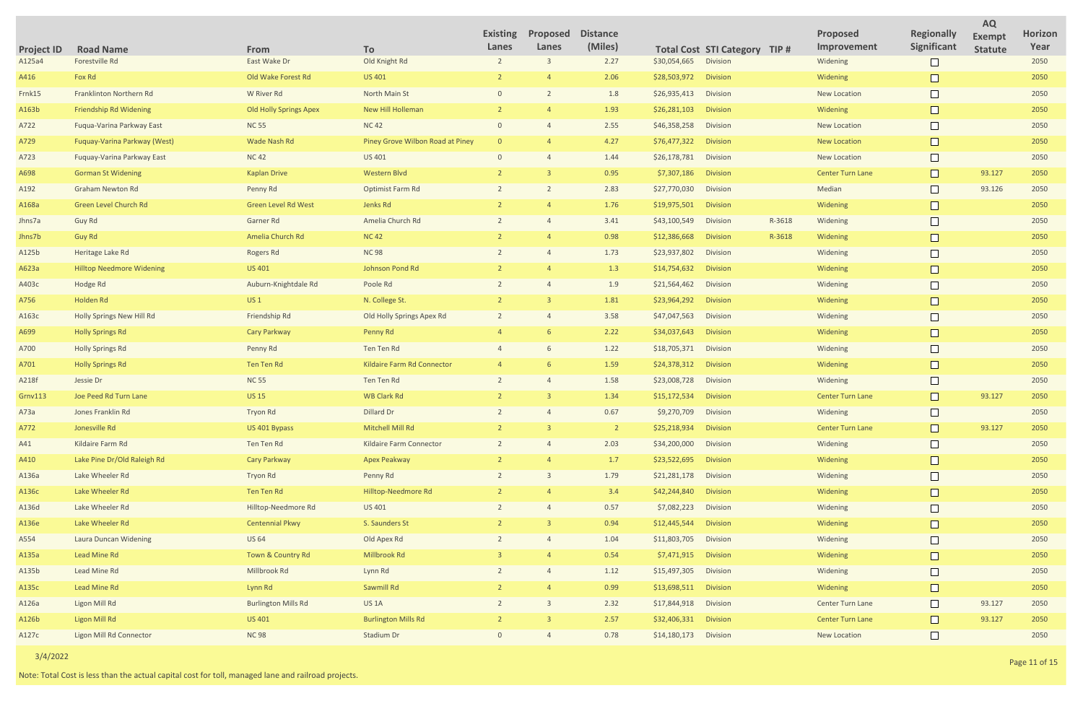|                     |        |                                |                                         | <b>AQ</b>                       |                        |
|---------------------|--------|--------------------------------|-----------------------------------------|---------------------------------|------------------------|
| <b>STI Category</b> | TIP#   | <b>Proposed</b><br>Improvement | <b>Regionally</b><br><b>Significant</b> | <b>Exempt</b><br><b>Statute</b> | <b>Horizon</b><br>Year |
| <b>Division</b>     |        | Widening                       |                                         |                                 | 2050                   |
| <b>Division</b>     |        | Widening                       |                                         |                                 | 2050                   |
| <b>Division</b>     |        | <b>New Location</b>            |                                         |                                 | 2050                   |
| <b>Division</b>     |        | Widening                       |                                         |                                 | 2050                   |
| <b>Division</b>     |        | <b>New Location</b>            |                                         |                                 | 2050                   |
| <b>Division</b>     |        | <b>New Location</b>            |                                         |                                 | 2050                   |
| <b>Division</b>     |        | <b>New Location</b>            |                                         |                                 | 2050                   |
| <b>Division</b>     |        | <b>Center Turn Lane</b>        |                                         | 93.127                          | 2050                   |
| <b>Division</b>     |        | Median                         |                                         | 93.126                          | 2050                   |
| <b>Division</b>     |        | Widening                       |                                         |                                 | 2050                   |
| <b>Division</b>     | R-3618 | Widening                       |                                         |                                 | 2050                   |
| <b>Division</b>     | R-3618 | Widening                       |                                         |                                 | 2050                   |
| Division            |        | Widening                       |                                         |                                 | 2050                   |
| <b>Division</b>     |        | Widening                       |                                         |                                 | 2050                   |
| Division            |        | Widening                       |                                         |                                 | 2050                   |
| <b>Division</b>     |        | Widening                       |                                         |                                 | 2050                   |
| Division            |        | Widening                       |                                         |                                 | 2050                   |
| <b>Division</b>     |        | Widening                       |                                         |                                 | 2050                   |
| Division            |        | Widening                       |                                         |                                 | 2050                   |
| <b>Division</b>     |        | Widening                       |                                         |                                 | 2050                   |
| Division            |        | Widening                       |                                         |                                 | 2050                   |
| <b>Division</b>     |        | <b>Center Turn Lane</b>        |                                         | 93.127                          | 2050                   |
| <b>Division</b>     |        | Widening                       |                                         |                                 | 2050                   |
| <b>Division</b>     |        | <b>Center Turn Lane</b>        |                                         | 93.127                          | 2050                   |
| Division            |        | Widening                       |                                         |                                 | 2050                   |
| <b>Division</b>     |        | Widening                       |                                         |                                 | 2050                   |
| Division            |        | Widening                       |                                         |                                 | 2050                   |
| <b>Division</b>     |        | Widening                       |                                         |                                 | 2050                   |
| Division            |        | Widening                       |                                         |                                 | 2050                   |
| <b>Division</b>     |        | Widening                       |                                         |                                 | 2050                   |
| <b>Division</b>     |        | Widening                       |                                         |                                 | 2050                   |
| <b>Division</b>     |        | Widening                       |                                         |                                 | 2050                   |
| <b>Division</b>     |        | Widening                       |                                         |                                 | 2050                   |
| <b>Division</b>     |        | Widening                       |                                         |                                 | 2050                   |
| <b>Division</b>     |        | <b>Center Turn Lane</b>        |                                         | 93.127                          | 2050                   |
| <b>Division</b>     |        | <b>Center Turn Lane</b>        |                                         | 93.127                          | 2050                   |
| Division            |        | <b>New Location</b>            |                                         |                                 | 2050                   |

| <b>Project ID</b> | <b>Road Name</b>                 | <b>From</b>                   | To                               | <b>Existing</b><br>Lanes | Proposed<br>Lanes | <b>Distance</b><br>(Miles) |                       | <b>Total Cost STI Category TIP #</b> |        | Proposed<br>Improvement | <b>Regionally</b><br>Significant | <b>Exempt</b><br><b>Statute</b> | <b>Horiz</b><br>Yea |
|-------------------|----------------------------------|-------------------------------|----------------------------------|--------------------------|-------------------|----------------------------|-----------------------|--------------------------------------|--------|-------------------------|----------------------------------|---------------------------------|---------------------|
| A125a4            | Forestville Rd                   | East Wake Dr                  | Old Knight Rd                    |                          | $\overline{3}$    | 2.27                       | \$30,054,665          | Division                             |        | Widening                |                                  |                                 | 2050                |
| A416              | Fox Rd                           | Old Wake Forest Rd            | <b>US 401</b>                    |                          |                   | 2.06                       | \$28,503,972          | <b>Division</b>                      |        | Widening                |                                  |                                 | 2050                |
| Frnk15            | Franklinton Northern Rd          | W River Rd                    | North Main St                    | $\Omega$                 |                   | 1.8                        | \$26,935,413          | <b>Division</b>                      |        | <b>New Location</b>     |                                  |                                 | 2050                |
| A163b             | Friendship Rd Widening           | <b>Old Holly Springs Apex</b> | New Hill Holleman                |                          |                   | 1.93                       | \$26,281,103          | <b>Division</b>                      |        | Widening                |                                  |                                 | 2050                |
| A722              | Fuqua-Varina Parkway East        | <b>NC 55</b>                  | <b>NC 42</b>                     | $\Omega$                 |                   | 2.55                       | \$46,358,258          | <b>Division</b>                      |        | <b>New Location</b>     |                                  |                                 | 2050                |
| A729              | Fuquay-Varina Parkway (West)     | Wade Nash Rd                  | Piney Grove Wilbon Road at Piney |                          |                   | 4.27                       | \$76,477,322          | <b>Division</b>                      |        | <b>New Location</b>     |                                  |                                 | 2050                |
| A723              | Fuquay-Varina Parkway East       | <b>NC42</b>                   | US 401                           |                          |                   | 1.44                       | \$26,178,781          | <b>Division</b>                      |        | <b>New Location</b>     |                                  |                                 | 2050                |
| A698              | <b>Gorman St Widening</b>        | <b>Kaplan Drive</b>           | <b>Western Blvd</b>              |                          |                   | 0.95                       | \$7,307,186           | <b>Division</b>                      |        | <b>Center Turn Lane</b> | $\Box$                           | 93.127                          | 2050                |
| A192              | <b>Graham Newton Rd</b>          | Penny Rd                      | Optimist Farm Rd                 |                          |                   | 2.83                       | \$27,770,030          | Division                             |        | Median                  |                                  | 93.126                          | 2050                |
| A168a             | Green Level Church Rd            | <b>Green Level Rd West</b>    | Jenks Rd                         |                          |                   | 1.76                       | \$19,975,501          | <b>Division</b>                      |        | Widening                | Г                                |                                 | 2050                |
| Jhns7a            | Guy Rd                           | Garner Rd                     | Amelia Church Rd                 |                          |                   | 3.41                       | \$43,100,549          | Division                             | R-3618 | Widening                |                                  |                                 | 2050                |
| Jhns7b            | Guy Rd                           | Amelia Church Rd              | <b>NC 42</b>                     |                          |                   | 0.98                       | \$12,386,668          | <b>Division</b>                      | R-3618 | Widening                |                                  |                                 | 2050                |
| A125b             | Heritage Lake Rd                 | Rogers Rd                     | <b>NC 98</b>                     |                          |                   | 1.73                       | \$23,937,802          | <b>Division</b>                      |        | Widening                |                                  |                                 | 2050                |
| A623a             | <b>Hilltop Needmore Widening</b> | <b>US 401</b>                 | Johnson Pond Rd                  |                          |                   | 1.3                        | \$14,754,632          | <b>Division</b>                      |        | Widening                |                                  |                                 | 2050                |
| A403c             | Hodge Rd                         | Auburn-Knightdale Rd          | Poole Rd                         |                          |                   | 1.9                        | \$21,564,462          | <b>Division</b>                      |        | Widening                |                                  |                                 | 2050                |
| A756              | Holden Rd                        | US <sub>1</sub>               | N. College St.                   |                          |                   | 1.81                       | \$23,964,292          | <b>Division</b>                      |        | Widening                |                                  |                                 | 2050                |
| A163c             | <b>Holly Springs New Hill Rd</b> | Friendship Rd                 | Old Holly Springs Apex Rd        |                          |                   | 3.58                       | \$47,047,563          | <b>Division</b>                      |        | Widening                |                                  |                                 | 2050                |
| A699              | <b>Holly Springs Rd</b>          | <b>Cary Parkway</b>           | Penny Rd                         |                          | -6                | 2.22                       | \$34,037,643          | <b>Division</b>                      |        | Widening                |                                  |                                 | 2050                |
| A700              | <b>Holly Springs Rd</b>          | Penny Rd                      | Ten Ten Rd                       |                          | 6                 | 1.22                       | \$18,705,371          | <b>Division</b>                      |        | Widening                |                                  |                                 | 2050                |
| A701              | <b>Holly Springs Rd</b>          | Ten Ten Rd                    | Kildaire Farm Rd Connector       |                          | -6                | 1.59                       | \$24,378,312          | <b>Division</b>                      |        | Widening                |                                  |                                 | 2050                |
| A218f             | Jessie Dr                        | <b>NC 55</b>                  | Ten Ten Rd                       |                          |                   | 1.58                       | \$23,008,728          | <b>Division</b>                      |        | Widening                |                                  |                                 | 2050                |
| <b>Grnv113</b>    | Joe Peed Rd Turn Lane            | <b>US 15</b>                  | <b>WB Clark Rd</b>               |                          |                   | 1.34                       | \$15,172,534          | <b>Division</b>                      |        | <b>Center Turn Lane</b> |                                  | 93.127                          | 2050                |
| A73a              | Jones Franklin Rd                | <b>Tryon Rd</b>               | Dillard Dr                       |                          |                   | 0.67                       | \$9,270,709           | <b>Division</b>                      |        | Widening                |                                  |                                 | 2050                |
| A772              | Jonesville Rd                    | US 401 Bypass                 | Mitchell Mill Rd                 |                          |                   |                            | \$25,218,934 Division |                                      |        | <b>Center Turn Lane</b> |                                  | 93.127                          | 2050                |
| A41               | Kildaire Farm Rd                 | Ten Ten Rd                    | Kildaire Farm Connector          |                          |                   | 2.03                       | \$34,200,000          | Division                             |        | Widening                |                                  |                                 | 2050                |
| A410              | Lake Pine Dr/Old Raleigh Rd      | <b>Cary Parkway</b>           | Apex Peakway                     |                          |                   | 1.7                        | \$23,522,695          | Division                             |        | Widening                |                                  |                                 | 2050                |
| A136a             | Lake Wheeler Rd                  | Tryon Rd                      | Penny Rd                         |                          |                   | 1.79                       | \$21,281,178          | Division                             |        | Widening                |                                  |                                 | 2050                |
| A136c             | Lake Wheeler Rd                  | Ten Ten Rd                    | Hilltop-Needmore Rd              |                          |                   | 3.4                        | \$42,244,840          | Division                             |        | Widening                |                                  |                                 | 2050                |
| A136d             | Lake Wheeler Rd                  | Hilltop-Needmore Rd           | US 401                           |                          |                   | 0.57                       | \$7,082,223           | Division                             |        | Widening                |                                  |                                 | 2050                |
| A136e             | Lake Wheeler Rd                  | <b>Centennial Pkwy</b>        | S. Saunders St                   |                          | $\mathbf{R}$      | 0.94                       | \$12,445,544          | Division                             |        | Widening                |                                  |                                 | 2050                |
| A554              | Laura Duncan Widening            | <b>US 64</b>                  | Old Apex Rd                      |                          |                   | 1.04                       | \$11,803,705          | Division                             |        | Widening                |                                  |                                 | 2050                |
| A135a             | Lead Mine Rd                     | Town & Country Rd             | Millbrook Rd                     |                          |                   | 0.54                       | \$7,471,915           | Division                             |        | Widening                |                                  |                                 | 2050                |
| A135b             | Lead Mine Rd                     | Millbrook Rd                  | Lynn Rd                          |                          |                   | 1.12                       | \$15,497,305          | Division                             |        | Widening                |                                  |                                 | 2050                |
| A135c             | Lead Mine Rd                     | Lynn Rd                       | Sawmill Rd                       |                          |                   | 0.99                       | \$13,698,511          | Division                             |        | Widening                |                                  |                                 | 2050                |
| A126a             | <b>Ligon Mill Rd</b>             | <b>Burlington Mills Rd</b>    | US <sub>1</sub> A                |                          |                   | 2.32                       | \$17,844,918          | Division                             |        | Center Turn Lane        |                                  | 93.127                          | 2050                |
| A126b             | <b>Ligon Mill Rd</b>             | <b>US 401</b>                 | <b>Burlington Mills Rd</b>       |                          | $\mathbf{R}$      | 2.57                       | \$32,406,331          | Division                             |        | <b>Center Turn Lane</b> | $\Box$                           | 93.127                          | 2050                |
| A127c             | <b>Ligon Mill Rd Connector</b>   | <b>NC98</b>                   | Stadium Dr                       | $\Omega$                 | $\overline{4}$    | 0.78                       | \$14,180,173 Division |                                      |        | New Location            |                                  |                                 | 2050                |
|                   |                                  |                               |                                  |                          |                   |                            |                       |                                      |        |                         |                                  |                                 |                     |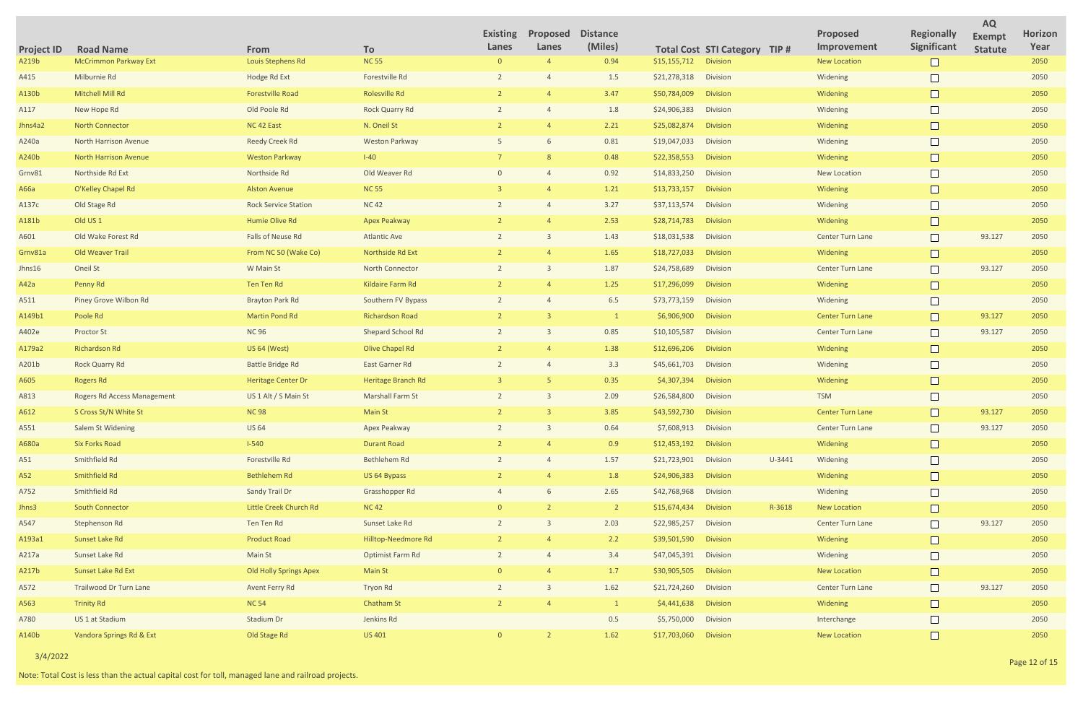|                     |        |                                |                                         | <b>AQ</b>                       |                        |
|---------------------|--------|--------------------------------|-----------------------------------------|---------------------------------|------------------------|
| <b>STI Category</b> | TIP#   | <b>Proposed</b><br>Improvement | <b>Regionally</b><br><b>Significant</b> | <b>Exempt</b><br><b>Statute</b> | <b>Horizon</b><br>Year |
| <b>Division</b>     |        | <b>New Location</b>            |                                         |                                 | 2050                   |
| <b>Division</b>     |        | Widening                       |                                         |                                 | 2050                   |
| <b>Division</b>     |        | Widening                       |                                         |                                 | 2050                   |
| <b>Division</b>     |        | Widening                       |                                         |                                 | 2050                   |
| <b>Division</b>     |        | Widening                       |                                         |                                 | 2050                   |
| <b>Division</b>     |        | Widening                       |                                         |                                 | 2050                   |
| <b>Division</b>     |        | Widening                       |                                         |                                 | 2050                   |
| <b>Division</b>     |        | <b>New Location</b>            |                                         |                                 | 2050                   |
| <b>Division</b>     |        | Widening                       |                                         |                                 | 2050                   |
| <b>Division</b>     |        | Widening                       |                                         |                                 | 2050                   |
| <b>Division</b>     |        | Widening                       |                                         |                                 | 2050                   |
| <b>Division</b>     |        | <b>Center Turn Lane</b>        |                                         | 93.127                          | 2050                   |
| <b>Division</b>     |        | Widening                       |                                         |                                 | 2050                   |
| <b>Division</b>     |        | <b>Center Turn Lane</b>        |                                         | 93.127                          | 2050                   |
| <b>Division</b>     |        | Widening                       |                                         |                                 | 2050                   |
| <b>Division</b>     |        | Widening                       |                                         |                                 | 2050                   |
| <b>Division</b>     |        | <b>Center Turn Lane</b>        |                                         | 93.127                          | 2050                   |
| <b>Division</b>     |        | <b>Center Turn Lane</b>        |                                         | 93.127                          | 2050                   |
| <b>Division</b>     |        | Widening                       |                                         |                                 | 2050                   |
| <b>Division</b>     |        | Widening                       |                                         |                                 | 2050                   |
| <b>Division</b>     |        | Widening                       |                                         |                                 | 2050                   |
| <b>Division</b>     |        | <b>TSM</b>                     |                                         |                                 | 2050                   |
| <b>Division</b>     |        | <b>Center Turn Lane</b>        |                                         | 93.127                          | 2050                   |
| Division            |        | <b>Center Turn Lane</b>        |                                         | 93.127                          | 2050                   |
| <b>Division</b>     |        | Widening                       |                                         |                                 | 2050                   |
| Division            | U-3441 | Widening                       |                                         |                                 | 2050                   |
| <b>Division</b>     |        | Widening                       |                                         |                                 | 2050                   |
| Division            |        | Widening                       |                                         |                                 | 2050                   |
| <b>Division</b>     | R-3618 | <b>New Location</b>            |                                         |                                 | 2050                   |
| Division            |        | <b>Center Turn Lane</b>        |                                         | 93.127                          | 2050                   |
| <b>Division</b>     |        | Widening                       |                                         |                                 | 2050                   |
| <b>Division</b>     |        | Widening                       |                                         |                                 | 2050                   |
| <b>Division</b>     |        | <b>New Location</b>            |                                         |                                 | 2050                   |
| <b>Division</b>     |        | <b>Center Turn Lane</b>        |                                         | 93.127                          | 2050                   |
| <b>Division</b>     |        | Widening                       |                                         |                                 | 2050                   |
| Division            |        | Interchange                    |                                         |                                 | 2050                   |
| <b>Division</b>     |        | <b>New Location</b>            |                                         |                                 | 2050                   |

| <b>Project ID</b> | <b>Road Name</b>             | From                          | <b>To</b>               | <b>Existing</b><br>Lanes | Proposed<br>Lanes | <b>Distance</b><br>(Miles) |              | <b>Total Cost STI Category TIP #</b> |        | <b>Proposed</b><br>Improvement | <b>Regionally</b><br>Significant | <b>Exempt</b><br><b>Statute</b> | <b>Horiz</b><br>Yea |
|-------------------|------------------------------|-------------------------------|-------------------------|--------------------------|-------------------|----------------------------|--------------|--------------------------------------|--------|--------------------------------|----------------------------------|---------------------------------|---------------------|
| A219b             | <b>McCrimmon Parkway Ext</b> | Louis Stephens Rd             | <b>NC 55</b>            | $\Omega$                 | $\overline{4}$    | 0.94                       | \$15,155,712 | <b>Division</b>                      |        | <b>New Location</b>            |                                  |                                 | 2050                |
| A415              | Milburnie Rd                 | Hodge Rd Ext                  | Forestville Rd          |                          |                   | 1.5                        | \$21,278,318 | Division                             |        | Widening                       |                                  |                                 | 2050                |
| A130b             | Mitchell Mill Rd             | <b>Forestville Road</b>       | <b>Rolesville Rd</b>    |                          |                   | 3.47                       | \$50,784,009 | <b>Division</b>                      |        | Widening                       |                                  |                                 | 2050                |
| A117              | New Hope Rd                  | Old Poole Rd                  | <b>Rock Quarry Rd</b>   |                          |                   | 1.8                        | \$24,906,383 | Division                             |        | Widening                       |                                  |                                 | 2050                |
| Jhns4a2           | <b>North Connector</b>       | NC 42 East                    | N. Oneil St             |                          |                   | 2.21                       | \$25,082,874 | <b>Division</b>                      |        | Widening                       |                                  |                                 | 2050                |
| A240a             | <b>North Harrison Avenue</b> | <b>Reedy Creek Rd</b>         | <b>Weston Parkway</b>   |                          |                   | 0.81                       | \$19,047,033 | Division                             |        | Widening                       |                                  |                                 | 2050                |
| A240b             | <b>North Harrison Avenue</b> | <b>Weston Parkway</b>         | $I-40$                  |                          |                   | 0.48                       | \$22,358,553 | <b>Division</b>                      |        | Widening                       |                                  |                                 | 2050                |
| Grnv81            | Northside Rd Ext             | Northside Rd                  | Old Weaver Rd           |                          |                   | 0.92                       | \$14,833,250 | Division                             |        | <b>New Location</b>            |                                  |                                 | 2050                |
| A66a              | O'Kelley Chapel Rd           | <b>Alston Avenue</b>          | <b>NC 55</b>            |                          |                   | 1.21                       | \$13,733,157 | <b>Division</b>                      |        | Widening                       |                                  |                                 | 2050                |
| A137c             | Old Stage Rd                 | <b>Rock Service Station</b>   | <b>NC42</b>             |                          |                   | 3.27                       | \$37,113,574 | Division                             |        | Widening                       |                                  |                                 | 2050                |
| A181b             | Old US <sub>1</sub>          | Humie Olive Rd                | <b>Apex Peakway</b>     |                          |                   | 2.53                       | \$28,714,783 | <b>Division</b>                      |        | Widening                       |                                  |                                 | 2050                |
| A601              | Old Wake Forest Rd           | Falls of Neuse Rd             | <b>Atlantic Ave</b>     |                          |                   | 1.43                       | \$18,031,538 | Division                             |        | Center Turn Lane               |                                  | 93.127                          | 2050                |
| Grnv81a           | Old Weaver Trail             | From NC 50 (Wake Co)          | Northside Rd Ext        |                          |                   | 1.65                       | \$18,727,033 | <b>Division</b>                      |        | Widening                       |                                  |                                 | 2050                |
| Jhns16            | Oneil St                     | W Main St                     | <b>North Connector</b>  |                          |                   | 1.87                       | \$24,758,689 | Division                             |        | <b>Center Turn Lane</b>        |                                  | 93.127                          | 2050                |
| A42a              | Penny Rd                     | <b>Ten Ten Rd</b>             | Kildaire Farm Rd        |                          |                   | 1.25                       | \$17,296,099 | <b>Division</b>                      |        | Widening                       |                                  |                                 | 2050                |
| A511              | Piney Grove Wilbon Rd        | <b>Brayton Park Rd</b>        | Southern FV Bypass      |                          |                   | 6.5                        | \$73,773,159 | Division                             |        | Widening                       |                                  |                                 | 2050                |
| A149b1            | Poole Rd                     | <b>Martin Pond Rd</b>         | <b>Richardson Road</b>  |                          |                   |                            | \$6,906,900  | <b>Division</b>                      |        | <b>Center Turn Lane</b>        |                                  | 93.127                          | 2050                |
| A402e             | <b>Proctor St</b>            | <b>NC 96</b>                  | Shepard School Rd       |                          |                   | 0.85                       | \$10,105,587 | Division                             |        | <b>Center Turn Lane</b>        |                                  | 93.127                          | 2050                |
| A179a2            | <b>Richardson Rd</b>         | <b>US 64 (West)</b>           | Olive Chapel Rd         |                          |                   | 1.38                       | \$12,696,206 | <b>Division</b>                      |        | Widening                       |                                  |                                 | 2050                |
| A201b             | <b>Rock Quarry Rd</b>        | <b>Battle Bridge Rd</b>       | East Garner Rd          |                          |                   | 3.3                        | \$45,661,703 | Division                             |        | Widening                       |                                  |                                 | 2050                |
| A605              | <b>Rogers Rd</b>             | <b>Heritage Center Dr</b>     | Heritage Branch Rd      |                          |                   | 0.35                       | \$4,307,394  | <b>Division</b>                      |        | Widening                       |                                  |                                 | 2050                |
| A813              | Rogers Rd Access Management  | US 1 Alt / S Main St          | <b>Marshall Farm St</b> |                          |                   | 2.09                       | \$26,584,800 | Division                             |        | <b>TSM</b>                     |                                  |                                 | 2050                |
| A612              | S Cross St/N White St        | <b>NC 98</b>                  | <b>Main St</b>          |                          |                   | 3.85                       | \$43,592,730 | <b>Division</b>                      |        | <b>Center Turn Lane</b>        |                                  | 93.127                          | 2050                |
| A551              | <b>Salem St Widening</b>     | <b>US 64</b>                  | Apex Peakway            | 2                        | $\overline{3}$    | 0.64                       | \$7,608,913  | Division                             |        | <b>Center Turn Lane</b>        |                                  | 93.127                          | 2050                |
| A680a             | <b>Six Forks Road</b>        | $I-540$                       | <b>Durant Road</b>      |                          |                   | 0.9                        | \$12,453,192 | <b>Division</b>                      |        | Widening                       |                                  |                                 | 2050                |
| A51               | Smithfield Rd                | Forestville Rd                | Bethlehem Rd            |                          | $\overline{4}$    | 1.57                       | \$21,723,901 | <b>Division</b>                      | U-3441 | Widening                       |                                  |                                 | 2050                |
| A52               | Smithfield Rd                | <b>Bethlehem Rd</b>           | US 64 Bypass            |                          |                   | 1.8                        | \$24,906,383 | <b>Division</b>                      |        | Widening                       |                                  |                                 | 2050                |
| A752              | Smithfield Rd                | Sandy Trail Dr                | Grasshopper Rd          |                          | 6                 | 2.65                       | \$42,768,968 | <b>Division</b>                      |        | Widening                       |                                  |                                 | 2050                |
| Jhns3             | <b>South Connector</b>       | Little Creek Church Rd        | <b>NC42</b>             |                          |                   | $\overline{2}$             | \$15,674,434 | <b>Division</b>                      | R-3618 | <b>New Location</b>            |                                  |                                 | 2050                |
| A547              | Stephenson Rd                | Ten Ten Rd                    | Sunset Lake Rd          |                          | $\overline{3}$    | 2.03                       | \$22,985,257 | Division                             |        | Center Turn Lane               | $\Box$                           | 93.127                          | 2050                |
| A193a1            | Sunset Lake Rd               | <b>Product Road</b>           | Hilltop-Needmore Rd     |                          |                   | 2.2                        | \$39,501,590 | <b>Division</b>                      |        | Widening                       |                                  |                                 | 2050                |
| A217a             | Sunset Lake Rd               | Main St                       | Optimist Farm Rd        |                          | $\overline{4}$    | 3.4                        | \$47,045,391 | Division                             |        | Widening                       |                                  |                                 | 2050                |
| A217b             | Sunset Lake Rd Ext           | <b>Old Holly Springs Apex</b> | Main St                 |                          |                   | 1.7                        | \$30,905,505 | <b>Division</b>                      |        | <b>New Location</b>            | $\Box$                           |                                 | 2050                |
| A572              | Trailwood Dr Turn Lane       | Avent Ferry Rd                | Tryon Rd                |                          | 3                 | 1.62                       | \$21,724,260 | <b>Division</b>                      |        | Center Turn Lane               | $\Box$                           | 93.127                          | 2050                |
| A563              | <b>Trinity Rd</b>            | <b>NC 54</b>                  | <b>Chatham St</b>       |                          |                   | 1                          | \$4,441,638  | <b>Division</b>                      |        | Widening                       | $\Box$                           |                                 | 2050                |
| A780              | US 1 at Stadium              | Stadium Dr                    | Jenkins Rd              |                          |                   | 0.5                        | \$5,750,000  | Division                             |        | Interchange                    |                                  |                                 | 2050                |
| A140b             | Vandora Springs Rd & Ext     | Old Stage Rd                  | <b>US 401</b>           | $\Omega$                 | 2                 | 1.62                       | \$17,703,060 | <b>Division</b>                      |        | <b>New Location</b>            | $\Box$                           |                                 | 2050                |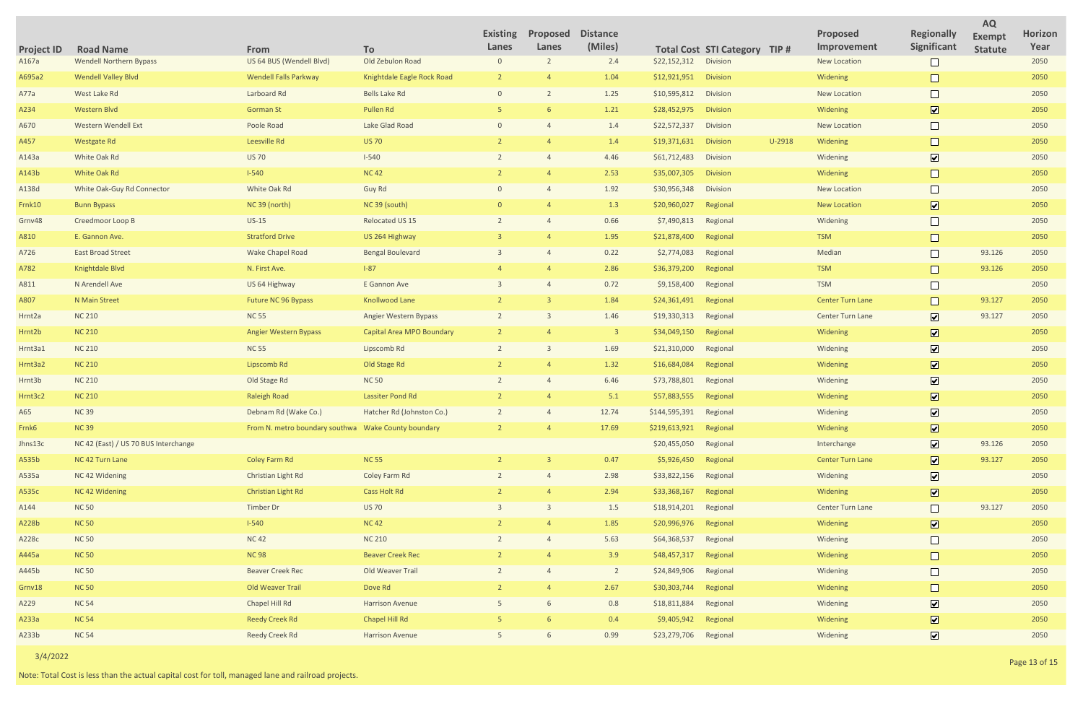|                     |          |                                |                                  | <b>AQ</b>                       |                        |
|---------------------|----------|--------------------------------|----------------------------------|---------------------------------|------------------------|
| <b>STI Category</b> | TIP#     | <b>Proposed</b><br>Improvement | <b>Regionally</b><br>Significant | <b>Exempt</b><br><b>Statute</b> | <b>Horizon</b><br>Year |
| <b>Division</b>     |          | <b>New Location</b>            |                                  |                                 | 2050                   |
| <b>Division</b>     |          | Widening                       |                                  |                                 | 2050                   |
| <b>Division</b>     |          | <b>New Location</b>            |                                  |                                 | 2050                   |
| <b>Division</b>     |          | Widening                       | $\boxed{\checkmark}$             |                                 | 2050                   |
| <b>Division</b>     |          | <b>New Location</b>            |                                  |                                 | 2050                   |
| <b>Division</b>     | $U-2918$ | Widening                       |                                  |                                 | 2050                   |
| <b>Division</b>     |          | Widening                       | $\boxed{\blacktriangledown}$     |                                 | 2050                   |
| <b>Division</b>     |          | Widening                       |                                  |                                 | 2050                   |
| <b>Division</b>     |          | <b>New Location</b>            |                                  |                                 | 2050                   |
| Regional            |          | <b>New Location</b>            | $\boxed{\checkmark}$             |                                 | 2050                   |
| Regional            |          | Widening                       |                                  |                                 | 2050                   |
| Regional            |          | <b>TSM</b>                     |                                  |                                 | 2050                   |
| Regional            |          | Median                         |                                  | 93.126                          | 2050                   |
| Regional            |          | <b>TSM</b>                     |                                  | 93.126                          | 2050                   |
| Regional            |          | <b>TSM</b>                     |                                  |                                 | 2050                   |
| Regional            |          | <b>Center Turn Lane</b>        |                                  | 93.127                          | 2050                   |
| Regional            |          | <b>Center Turn Lane</b>        | $\boxed{\checkmark}$             | 93.127                          | 2050                   |
| Regional            |          | Widening                       | $\boxed{\blacktriangledown}$     |                                 | 2050                   |
| Regional            |          | Widening                       | $\boxed{\blacktriangledown}$     |                                 | 2050                   |
| Regional            |          | Widening                       | $\boxed{\blacktriangledown}$     |                                 | 2050                   |
| Regional            |          | Widening                       | $\boxed{\blacktriangledown}$     |                                 | 2050                   |
| Regional            |          | Widening                       | $\boxed{\blacktriangledown}$     |                                 | 2050                   |
| Regional            |          | Widening                       | $\blacktriangledown$             |                                 | 2050                   |
| Regional            |          | Widening                       | $\boxed{\mathbf{v}}$             |                                 | 2050                   |
| Regional            |          | Interchange                    | $\boxed{\blacktriangledown}$     | 93.126                          | 2050                   |
| Regional            |          | <b>Center Turn Lane</b>        | $\boxed{\blacktriangledown}$     | 93.127                          | 2050                   |
| Regional            |          | Widening                       | $\boxed{\checkmark}$             |                                 | 2050                   |
| Regional            |          | Widening                       | $\boxed{\blacktriangledown}$     |                                 | 2050                   |
| Regional            |          | <b>Center Turn Lane</b>        |                                  | 93.127                          | 2050                   |
| Regional            |          | Widening                       | $\boxed{\checkmark}$             |                                 | 2050                   |
| Regional            |          | Widening                       |                                  |                                 | 2050                   |
| Regional            |          | Widening                       |                                  |                                 | 2050                   |
| Regional            |          | Widening                       |                                  |                                 | 2050                   |
| Regional            |          | Widening                       |                                  |                                 | 2050                   |
| Regional            |          | Widening                       | $\boxed{\blacktriangledown}$     |                                 | 2050                   |
| Regional            |          | Widening                       | $\boxed{\blacktriangledown}$     |                                 | 2050                   |
| Regional            |          | Widening                       | $\boxed{\blacktriangledown}$     |                                 | 2050                   |

| <b>Project ID</b> | <b>Road Name</b>                     | From                                                 | To                               | <b>Existing</b><br>Lanes | Proposed<br>Lanes | <b>Distance</b><br>(Miles) |                        | <b>Total Cost STI Category TIP #</b> |        | <b>Proposed</b><br>Improvement | <b>Regionally</b><br>Significant | <b>Exempt</b><br><b>Statute</b> | <b>Horiz</b><br>Yea |
|-------------------|--------------------------------------|------------------------------------------------------|----------------------------------|--------------------------|-------------------|----------------------------|------------------------|--------------------------------------|--------|--------------------------------|----------------------------------|---------------------------------|---------------------|
| A167a             | <b>Wendell Northern Bypass</b>       | US 64 BUS (Wendell Blvd)                             | Old Zebulon Road                 | $\overline{0}$           | $\overline{2}$    | 2.4                        | \$22,152,312 Division  |                                      |        | New Location                   |                                  |                                 | 2050                |
| A695a2            | <b>Wendell Valley Blvd</b>           | <b>Wendell Falls Parkway</b>                         | Knightdale Eagle Rock Road       |                          |                   | 1.04                       | \$12,921,951           | Division                             |        | Widening                       |                                  |                                 | 2050                |
| A77a              | West Lake Rd                         | Larboard Rd                                          | <b>Bells Lake Rd</b>             | $\mathbf{0}$             | $\overline{2}$    | 1.25                       | \$10,595,812           | Division                             |        | <b>New Location</b>            |                                  |                                 | 2050                |
| A234              | <b>Western Blvd</b>                  | <b>Gorman St</b>                                     | Pullen Rd                        |                          | 6                 | 1.21                       | \$28,452,975           | Division                             |        | Widening                       | $\boxed{\textbf{v}}$             |                                 | 2050                |
| A670              | Western Wendell Ext                  | Poole Road                                           | Lake Glad Road                   | $\Omega$                 |                   | 1.4                        | \$22,572,337           | Division                             |        | <b>New Location</b>            |                                  |                                 | 2050                |
| A457              | <b>Westgate Rd</b>                   | <b>Leesville Rd</b>                                  | <b>US70</b>                      |                          |                   | 1.4                        | \$19,371,631           | <b>Division</b>                      | U-2918 | Widening                       |                                  |                                 | 2050                |
| A143a             | White Oak Rd                         | <b>US 70</b>                                         | $I-540$                          |                          |                   | 4.46                       | \$61,712,483           | Division                             |        | Widening                       | $\overline{\mathbf{v}}$          |                                 | 2050                |
| A143b             | White Oak Rd                         | $I - 540$                                            | <b>NC42</b>                      |                          |                   | 2.53                       | \$35,007,305           | <b>Division</b>                      |        | Widening                       |                                  |                                 | 2050                |
| A138d             | White Oak-Guy Rd Connector           | White Oak Rd                                         | Guy Rd                           | $\Omega$                 |                   | 1.92                       | \$30,956,348           | Division                             |        | <b>New Location</b>            |                                  |                                 | 2050                |
| Frnk10            | <b>Bunn Bypass</b>                   | NC 39 (north)                                        | NC 39 (south)                    |                          |                   | 1.3                        | \$20,960,027           | Regional                             |        | <b>New Location</b>            | $\boxed{\text{v}}$               |                                 | 2050                |
| Grnv48            | Creedmoor Loop B                     | $US-15$                                              | <b>Relocated US 15</b>           |                          |                   | 0.66                       | \$7,490,813            | Regional                             |        | Widening                       |                                  |                                 | 2050                |
| A810              | E. Gannon Ave.                       | <b>Stratford Drive</b>                               | US 264 Highway                   |                          |                   | 1.95                       | \$21,878,400           | Regional                             |        | <b>TSM</b>                     |                                  |                                 | 2050                |
| A726              | <b>East Broad Street</b>             | Wake Chapel Road                                     | <b>Bengal Boulevard</b>          |                          |                   | 0.22                       | \$2,774,083            | Regional                             |        | Median                         |                                  | 93.126                          | 2050                |
| A782              | Knightdale Blvd                      | N. First Ave.                                        | $I-87$                           |                          |                   | 2.86                       | \$36,379,200           | Regional                             |        | <b>TSM</b>                     |                                  | 93.126                          | 2050                |
| A811              | N Arendell Ave                       | US 64 Highway                                        | E Gannon Ave                     |                          |                   | 0.72                       | \$9,158,400            | Regional                             |        | <b>TSM</b>                     |                                  |                                 | 2050                |
| A807              | N Main Street                        | Future NC 96 Bypass                                  | <b>Knollwood Lane</b>            |                          | $\mathbf{B}$      | 1.84                       | \$24,361,491           | Regional                             |        | <b>Center Turn Lane</b>        |                                  | 93.127                          | 2050                |
| Hrnt2a            | <b>NC 210</b>                        | <b>NC 55</b>                                         | Angier Western Bypass            |                          |                   | 1.46                       | \$19,330,313           | Regional                             |        | Center Turn Lane               | $\overline{\mathbf{v}}$          | 93.127                          | 2050                |
| Hrnt2b            | <b>NC 210</b>                        | <b>Angier Western Bypass</b>                         | <b>Capital Area MPO Boundary</b> |                          |                   | $\mathbf{3}$               | \$34,049,150           | Regional                             |        | Widening                       | $\overline{\mathbf{v}}$          |                                 | 2050                |
| Hrnt3a1           | <b>NC 210</b>                        | <b>NC 55</b>                                         | Lipscomb Rd                      |                          |                   | 1.69                       | \$21,310,000           | Regional                             |        | Widening                       | $\overline{\mathbf{v}}$          |                                 | 2050                |
| Hrnt3a2           | <b>NC 210</b>                        | <b>Lipscomb Rd</b>                                   | Old Stage Rd                     |                          |                   | 1.32                       | \$16,684,084           | Regional                             |        | Widening                       | $\boxed{\textbf{v}}$             |                                 | 2050                |
| Hrnt3b            | <b>NC 210</b>                        | Old Stage Rd                                         | <b>NC 50</b>                     |                          |                   | 6.46                       | \$73,788,801           | Regional                             |        | Widening                       | $\overline{\mathbf{v}}$          |                                 | 2050                |
| Hrnt3c2           | <b>NC 210</b>                        | <b>Raleigh Road</b>                                  | <b>Lassiter Pond Rd</b>          |                          |                   | 5.1                        | \$57,883,555           | Regional                             |        | Widening                       | $\overline{\mathbf{v}}$          |                                 | 2050                |
| A65               | <b>NC 39</b>                         | Debnam Rd (Wake Co.)                                 | Hatcher Rd (Johnston Co.)        |                          |                   | 12.74                      | \$144,595,391          | Regional                             |        | Widening                       | $\overline{\mathbf{v}}$          |                                 | 2050                |
| Frnk <sub>6</sub> | <b>NC39</b>                          | From N. metro boundary southwa  Wake County boundary |                                  |                          |                   | 17.69                      | \$219,613,921 Regional |                                      |        | Widening                       | M                                |                                 | 2050                |
| Jhns13c           | NC 42 (East) / US 70 BUS Interchange |                                                      |                                  |                          |                   |                            | \$20,455,050           | Regional                             |        | Interchange                    | $\overline{\mathbf{v}}$          | 93.126                          | 2050                |
| A535b             | NC 42 Turn Lane                      | Coley Farm Rd                                        | <b>NC 55</b>                     |                          | $\mathbf{B}$      | 0.47                       | \$5,926,450            | Regional                             |        | <b>Center Turn Lane</b>        | $\overline{\mathbf{z}}$          | 93.127                          | 2050                |
| A535a             | NC 42 Widening                       | Christian Light Rd                                   | Coley Farm Rd                    |                          |                   | 2.98                       | \$33,822,156           | Regional                             |        | Widening                       | $\overline{\mathbf{v}}$          |                                 | 2050                |
| A535c             | NC 42 Widening                       | Christian Light Rd                                   | <b>Cass Holt Rd</b>              |                          |                   | 2.94                       | \$33,368,167           | Regional                             |        | Widening                       | $\overline{\mathbf{v}}$          |                                 | 2050                |
| A144              | <b>NC 50</b>                         | Timber Dr                                            | <b>US 70</b>                     |                          |                   | 1.5                        | \$18,914,201 Regional  |                                      |        | Center Turn Lane               | $\Box$                           | 93.127                          | 2050                |
| A228b             | <b>NC 50</b>                         | $I-540$                                              | <b>NC 42</b>                     |                          |                   | 1.85                       | \$20,996,976           | Regional                             |        | Widening                       | $\overline{\mathbf{v}}$          |                                 | 2050                |
| A228c             | <b>NC 50</b>                         | <b>NC42</b>                                          | <b>NC 210</b>                    |                          |                   | 5.63                       | \$64,368,537           | Regional                             |        | Widening                       |                                  |                                 | 2050                |
| A445a             | <b>NC 50</b>                         | <b>NC 98</b>                                         | <b>Beaver Creek Rec</b>          |                          |                   | 3.9                        | \$48,457,317           | Regional                             |        | Widening                       |                                  |                                 | 2050                |
| A445b             | <b>NC 50</b>                         | <b>Beaver Creek Rec</b>                              | Old Weaver Trail                 |                          |                   | $\overline{2}$             | \$24,849,906           | Regional                             |        | Widening                       |                                  |                                 | 2050                |
| Grnv18            | <b>NC 50</b>                         | <b>Old Weaver Trail</b>                              | Dove Rd                          |                          |                   | 2.67                       | \$30,303,744           | Regional                             |        | Widening                       |                                  |                                 | 2050                |
| A229              | <b>NC 54</b>                         | Chapel Hill Rd                                       | <b>Harrison Avenue</b>           |                          | 6                 | 0.8                        | \$18,811,884           | Regional                             |        | Widening                       | $\overline{\mathbf{v}}$          |                                 | 2050                |
| A233a             | <b>NC 54</b>                         | <b>Reedy Creek Rd</b>                                | Chapel Hill Rd                   |                          |                   | 0.4                        | \$9,405,942            | Regional                             |        | Widening                       | $\overline{\mathbf{v}}$          |                                 | 2050                |
| A233b             | <b>NC 54</b>                         | <b>Reedy Creek Rd</b>                                | <b>Harrison Avenue</b>           | 5 <sup>5</sup>           | 6                 | 0.99                       | \$23,279,706           | Regional                             |        | Widening                       | $\overline{\mathbf{v}}$          |                                 | 2050                |
|                   |                                      |                                                      |                                  |                          |                   |                            |                        |                                      |        |                                |                                  |                                 |                     |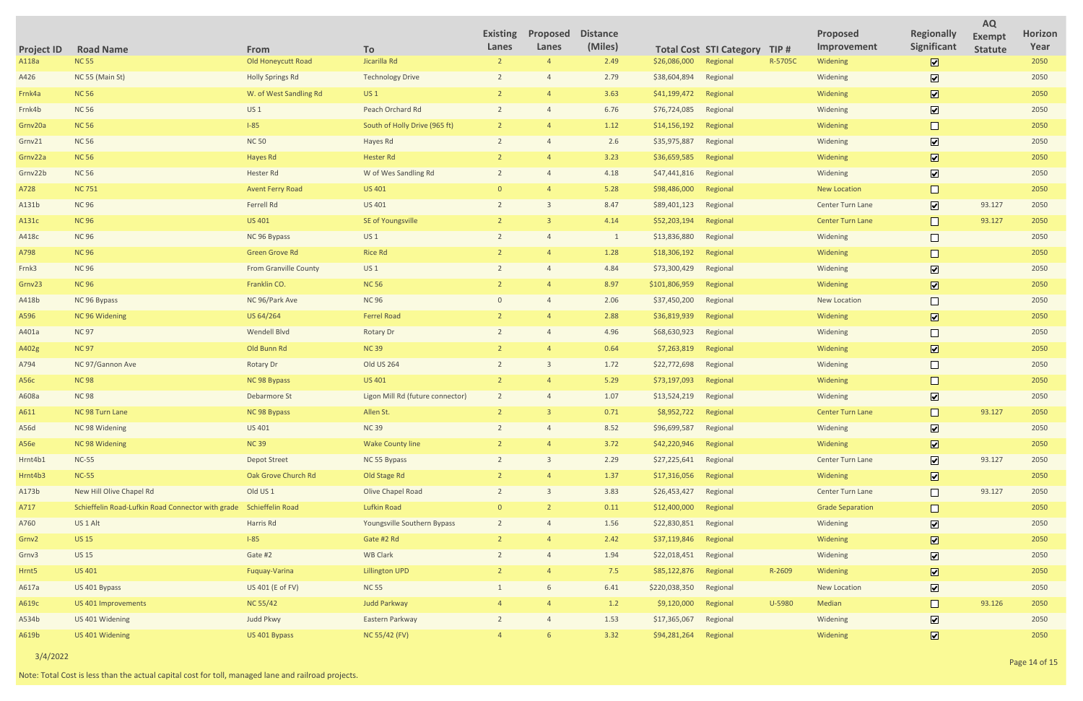|                   |                                                   |                              |                                  | <b>Existing</b> | Proposed | <b>Distance</b> |               |                                |         | Proposed                | <b>Regionally</b>            | <b>AQ</b><br><b>Exempt</b> | Horizon |
|-------------------|---------------------------------------------------|------------------------------|----------------------------------|-----------------|----------|-----------------|---------------|--------------------------------|---------|-------------------------|------------------------------|----------------------------|---------|
| <b>Project ID</b> | <b>Road Name</b>                                  | From                         | To                               | Lanes           | Lanes    | (Miles)         |               | <b>Total Cost STI Category</b> | TIP#    | Improvement             | Significant                  | <b>Statute</b>             | Year    |
| A118a             | <b>NC 55</b>                                      | Old Honeycutt Road           | Jicarilla Rd                     | $\overline{2}$  |          | 2.49            | \$26,086,000  | Regional                       | R-5705C | Widening                | $\overline{\mathbf{v}}$      |                            | 2050    |
| A426              | NC 55 (Main St)                                   | <b>Holly Springs Rd</b>      | <b>Technology Drive</b>          |                 |          | 2.79            | \$38,604,894  | Regional                       |         | Widening                | $\overline{\mathbf{v}}$      |                            | 2050    |
| Frnk4a            | <b>NC 56</b>                                      | W. of West Sandling Rd       | US <sub>1</sub>                  |                 |          | 3.63            | \$41,199,472  | Regional                       |         | Widening                | $\boxed{\blacktriangledown}$ |                            | 2050    |
| Frnk4b            | <b>NC 56</b>                                      | <b>US1</b>                   | Peach Orchard Rd                 |                 |          | 6.76            | \$76,724,085  | Regional                       |         | Widening                | $\overline{\mathbf{v}}$      |                            | 2050    |
| Grnv20a           | <b>NC 56</b>                                      | $1-85$                       | South of Holly Drive (965 ft)    |                 |          | 1.12            | \$14,156,192  | Regional                       |         | Widening                | $\Box$                       |                            | 2050    |
| Grnv21            | <b>NC 56</b>                                      | <b>NC 50</b>                 | Hayes Rd                         |                 |          | 2.6             | \$35,975,887  | Regional                       |         | Widening                | $\boxed{\blacktriangledown}$ |                            | 2050    |
| Grnv22a           | <b>NC 56</b>                                      | Hayes Rd                     | <b>Hester Rd</b>                 |                 |          | 3.23            | \$36,659,585  | Regional                       |         | Widening                | $\overline{\mathbf{v}}$      |                            | 2050    |
| Grnv22b           | <b>NC 56</b>                                      | Hester Rd                    | W of Wes Sandling Rd             |                 |          | 4.18            | \$47,441,816  | Regional                       |         | Widening                | $\overline{\mathbf{v}}$      |                            | 2050    |
| A728              | <b>NC 751</b>                                     | <b>Avent Ferry Road</b>      | <b>US 401</b>                    |                 |          | 5.28            | \$98,486,000  | Regional                       |         | <b>New Location</b>     | $\Box$                       |                            | 2050    |
| A131b             | <b>NC 96</b>                                      | Ferrell Rd                   | US 401                           |                 |          | 8.47            | \$89,401,123  | Regional                       |         | Center Turn Lane        | $\overline{\mathbf{v}}$      | 93.127                     | 2050    |
| A131c             | <b>NC 96</b>                                      | <b>US 401</b>                | SE of Youngsville                |                 |          | 4.14            | \$52,203,194  | Regional                       |         | Center Turn Lane        | $\Box$                       | 93.127                     | 2050    |
| A418c             | <b>NC 96</b>                                      | NC 96 Bypass                 | <b>US1</b>                       |                 |          | $\mathbf{1}$    | \$13,836,880  | Regional                       |         | Widening                | $\Box$                       |                            | 2050    |
| A798              | <b>NC 96</b>                                      | <b>Green Grove Rd</b>        | <b>Rice Rd</b>                   |                 |          | 1.28            | \$18,306,192  | Regional                       |         | Widening                | $\Box$                       |                            | 2050    |
| Frnk3             | <b>NC 96</b>                                      | <b>From Granville County</b> | <b>US1</b>                       |                 |          | 4.84            | \$73,300,429  | Regional                       |         | Widening                | $\overline{\mathbf{v}}$      |                            | 2050    |
| Grnv23            | <b>NC 96</b>                                      | Franklin CO.                 | <b>NC 56</b>                     |                 |          | 8.97            | \$101,806,959 | Regional                       |         | Widening                | $\boxed{\mathbf{v}}$         |                            | 2050    |
| A418b             | NC 96 Bypass                                      | NC 96/Park Ave               | <b>NC 96</b>                     |                 |          | 2.06            | \$37,450,200  | Regional                       |         | New Location            |                              |                            | 2050    |
| A596              | NC 96 Widening                                    | US 64/264                    | <b>Ferrel Road</b>               |                 |          | 2.88            | \$36,819,939  | Regional                       |         | Widening                | $\boxed{\mathbf{v}}$         |                            | 2050    |
| A401a             | <b>NC 97</b>                                      | Wendell Blvd                 | <b>Rotary Dr</b>                 |                 |          | 4.96            | \$68,630,923  | Regional                       |         | Widening                | $\Box$                       |                            | 2050    |
| A402g             | <b>NC 97</b>                                      | Old Bunn Rd                  | <b>NC 39</b>                     |                 |          | 0.64            | \$7,263,819   | Regional                       |         | Widening                | $\overline{\mathbf{v}}$      |                            | 2050    |
| A794              | NC 97/Gannon Ave                                  | <b>Rotary Dr</b>             | Old US 264                       |                 |          | 1.72            | \$22,772,698  | Regional                       |         | Widening                |                              |                            | 2050    |
| A56c              | <b>NC98</b>                                       | NC 98 Bypass                 | US 401                           |                 |          | 5.29            | \$73,197,093  | Regional                       |         | Widening                | $\Box$                       |                            | 2050    |
| A608a             | <b>NC 98</b>                                      | Debarmore St                 | Ligon Mill Rd (future connector) |                 |          | 1.07            | \$13,524,219  | Regional                       |         | Widening                | $\boxed{\mathbf{v}}$         |                            | 2050    |
| A611              | NC 98 Turn Lane                                   | NC 98 Bypass                 | Allen St.                        |                 |          | 0.71            | \$8,952,722   | Regional                       |         | <b>Center Turn Lane</b> |                              | 93.127                     | 2050    |
| A56d              | NC 98 Widening                                    | US 401                       | <b>NC 39</b>                     |                 |          | 8.52            | \$96,699,587  | Regional                       |         | Widening                | $\overline{\mathbf{v}}$      |                            | 2050    |
| A56e              | NC 98 Widening                                    | <b>NC39</b>                  | <b>Wake County line</b>          |                 |          | 3.72            | \$42,220,946  | Regional                       |         | Widening                | $\overline{\mathbf{v}}$      |                            | 2050    |
| Hrnt4b1           | <b>NC-55</b>                                      | <b>Depot Street</b>          | NC 55 Bypass                     | $\overline{2}$  |          | 2.29            | \$27,225,641  | Regional                       |         | Center Turn Lane        | $\overline{\mathbf{v}}$      | 93.127                     | 2050    |
| Hrnt4b3           | <b>NC-55</b>                                      | Oak Grove Church Rd          | Old Stage Rd                     |                 |          | 1.37            | \$17,316,056  | Regional                       |         | Widening                | $\overline{\mathbf{v}}$      |                            | 2050    |
| A173b             | New Hill Olive Chapel Rd                          | Old US <sub>1</sub>          | Olive Chapel Road                | $\overline{2}$  |          | 3.83            | \$26,453,427  | Regional                       |         | Center Turn Lane        | $\Box$                       | 93.127                     | 2050    |
| A717              | Schieffelin Road-Lufkin Road Connector with grade | Schieffelin Road             | <b>Lufkin Road</b>               |                 |          | 0.11            | \$12,400,000  | Regional                       |         | <b>Grade Separation</b> | $\Box$                       |                            | 2050    |
| A760              | US <sub>1</sub> Alt                               | Harris Rd                    | Youngsville Southern Bypass      | 2               |          | 1.56            | \$22,830,851  | Regional                       |         | Widening                | $\overline{\mathbf{v}}$      |                            | 2050    |
| Grnv2             | <b>US15</b>                                       | $1-85$                       | Gate #2 Rd                       |                 |          | 2.42            | \$37,119,846  | Regional                       |         | Widening                | $\overline{\mathbf{v}}$      |                            | 2050    |
| Grnv3             | <b>US15</b>                                       | Gate #2                      | <b>WB Clark</b>                  |                 |          | 1.94            | \$22,018,451  | Regional                       |         | Widening                | $\overline{\mathbf{v}}$      |                            | 2050    |
| Hrnt <sub>5</sub> | <b>US 401</b>                                     | Fuquay-Varina                | <b>Lillington UPD</b>            |                 |          | 7.5             | \$85,122,876  | Regional                       | R-2609  | Widening                | $\overline{\mathbf{v}}$      |                            | 2050    |
| A617a             | US 401 Bypass                                     | US 401 (E of FV)             | <b>NC 55</b>                     |                 |          | 6.41            | \$220,038,350 | Regional                       |         | New Location            | $\overline{\mathbf{v}}$      |                            | 2050    |
| A619c             | US 401 Improvements                               | <b>NC 55/42</b>              | <b>Judd Parkway</b>              |                 |          | 1.2             | \$9,120,000   | Regional                       | U-5980  | Median                  | $\Box$                       | 93.126                     | 2050    |
| A534b             | US 401 Widening                                   | Judd Pkwy                    | Eastern Parkway                  |                 |          | 1.53            | \$17,365,067  | Regional                       |         | Widening                | $\overline{\mathbf{v}}$      |                            | 2050    |
| A619b             | US 401 Widening                                   | US 401 Bypass                | NC 55/42 (FV)                    |                 |          | 3.32            | \$94,281,264  | Regional                       |         | Widening                | $\overline{\mathbf{v}}$      |                            | 2050    |